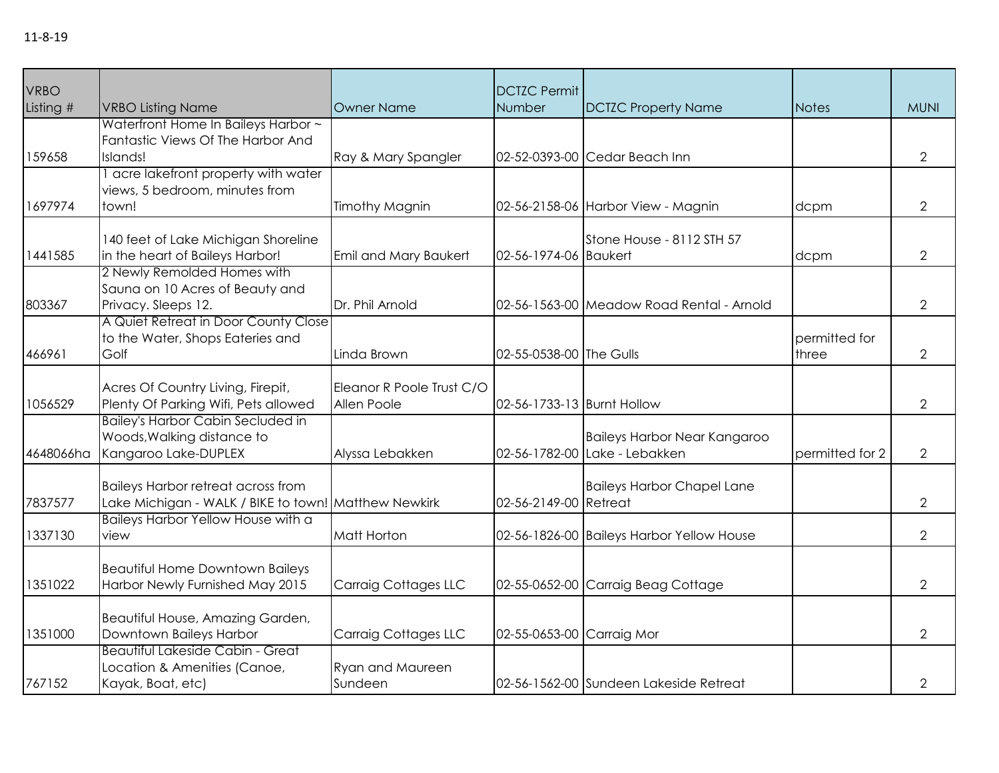| <b>VRBO</b><br>Listing # | <b>VRBO Listing Name</b>                                                                              | <b>Owner Name</b>                        | <b>DCTZC Permit</b><br>Number | <b>DCTZC Property Name</b>                                    | <b>Notes</b>           | <b>MUNI</b>    |
|--------------------------|-------------------------------------------------------------------------------------------------------|------------------------------------------|-------------------------------|---------------------------------------------------------------|------------------------|----------------|
| 159658                   | Waterfront Home In Baileys Harbor ~<br>Fantastic Views Of The Harbor And<br>Islands!                  | Ray & Mary Spangler                      |                               | 02-52-0393-00 Cedar Beach Inn                                 |                        | $\overline{2}$ |
| 1697974                  | I acre lakefront property with water<br>views, 5 bedroom, minutes from<br>town!                       | <b>Timothy Magnin</b>                    |                               | 02-56-2158-06 Harbor View - Magnin                            | dcpm                   | $\overline{2}$ |
| 1441585                  | 140 feet of Lake Michigan Shoreline<br>in the heart of Baileys Harbor!<br>2 Newly Remolded Homes with | Emil and Mary Baukert                    | 02-56-1974-06 Baukert         | Stone House - 8112 STH 57                                     | dcpm                   | $\overline{2}$ |
| 803367                   | Sauna on 10 Acres of Beauty and<br>Privacy. Sleeps 12.<br>A Quiet Retreat in Door County Close        | Dr. Phil Arnold                          |                               | 02-56-1563-00 Meadow Road Rental - Arnold                     |                        | $\overline{2}$ |
| 466961                   | to the Water, Shops Eateries and<br>Golf                                                              | Linda Brown                              | 02-55-0538-00 The Gulls       |                                                               | permitted for<br>three | $\overline{2}$ |
| 1056529                  | Acres Of Country Living, Firepit,<br>Plenty Of Parking Wifi, Pets allowed                             | Eleanor R Poole Trust C/O<br>Allen Poole | 02-56-1733-13 Burnt Hollow    |                                                               |                        | $\overline{2}$ |
| 4648066ha                | <b>Bailey's Harbor Cabin Secluded in</b><br>Woods, Walking distance to<br>Kangaroo Lake-DUPLEX        | Alyssa Lebakken                          |                               | Baileys Harbor Near Kangaroo<br>02-56-1782-00 Lake - Lebakken | permitted for 2        | $\overline{2}$ |
| 7837577                  | <b>Baileys Harbor retreat across from</b><br>Lake Michigan - WALK / BIKE to town! Matthew Newkirk     |                                          | 02-56-2149-00 Retreat         | <b>Baileys Harbor Chapel Lane</b>                             |                        | $\overline{2}$ |
| 1337130                  | Baileys Harbor Yellow House with a<br>view                                                            | <b>Matt Horton</b>                       |                               | 02-56-1826-00 Baileys Harbor Yellow House                     |                        | $\overline{2}$ |
| 1351022                  | <b>Beautiful Home Downtown Baileys</b><br>Harbor Newly Furnished May 2015                             | Carraig Cottages LLC                     |                               | 02-55-0652-00 Carraig Beag Cottage                            |                        | $\overline{2}$ |
| 1351000                  | Beautiful House, Amazing Garden,<br>Downtown Baileys Harbor                                           | Carraig Cottages LLC                     | 02-55-0653-00 Carraig Mor     |                                                               |                        | $\overline{2}$ |
| 767152                   | <b>Beautiful Lakeside Cabin - Great</b><br>Location & Amenities (Canoe,<br>Kayak, Boat, etc)          | <b>Ryan and Maureen</b><br>Sundeen       |                               | 02-56-1562-00 Sundeen Lakeside Retreat                        |                        | $\overline{2}$ |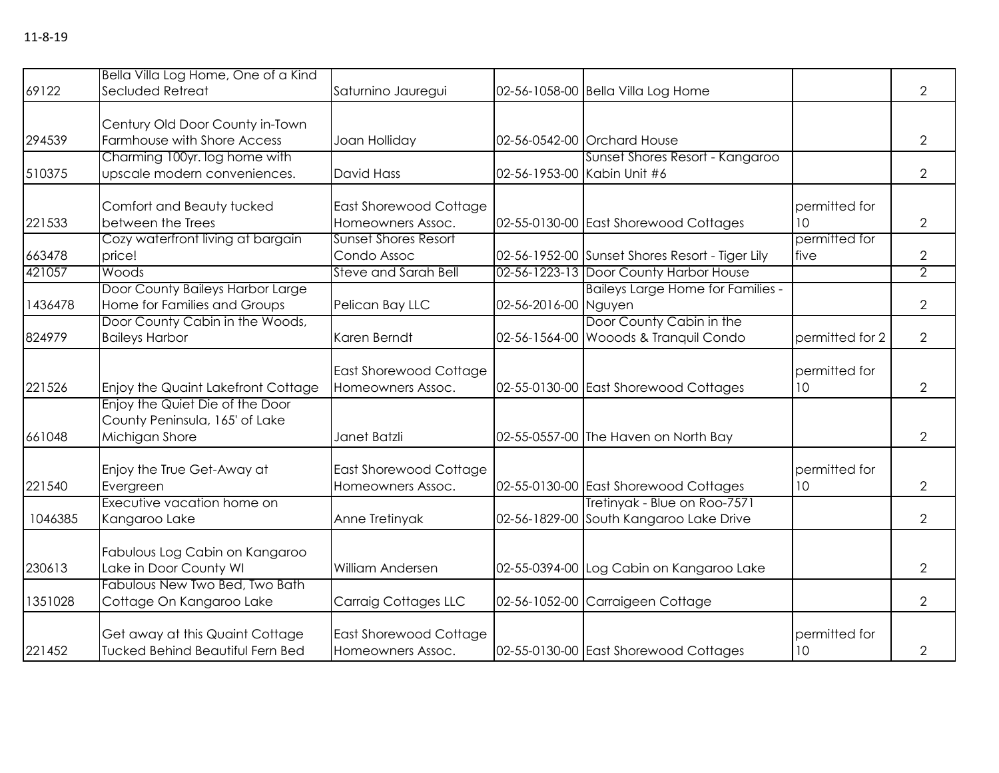|         | Bella Villa Log Home, One of a Kind       |                               |                      |                                                 |                 |                |
|---------|-------------------------------------------|-------------------------------|----------------------|-------------------------------------------------|-----------------|----------------|
| 69122   | Secluded Retreat                          | Saturnino Jauregui            |                      | 02-56-1058-00 Bella Villa Log Home              |                 | $\overline{2}$ |
|         |                                           |                               |                      |                                                 |                 |                |
|         | Century Old Door County in-Town           |                               |                      |                                                 |                 |                |
| 294539  | Farmhouse with Shore Access               | Joan Holliday                 |                      | 02-56-0542-00 Orchard House                     |                 | $\overline{2}$ |
|         | Charming 100yr. log home with             |                               |                      | Sunset Shores Resort - Kangaroo                 |                 |                |
| 510375  | upscale modern conveniences.              | <b>David Hass</b>             |                      | 02-56-1953-00 Kabin Unit #6                     |                 | $\overline{2}$ |
|         | Comfort and Beauty tucked                 | East Shorewood Cottage        |                      |                                                 | permitted for   |                |
| 221533  | between the Trees                         | Homeowners Assoc.             |                      | 02-55-0130-00 East Shorewood Cottages           | 10              | $\overline{2}$ |
|         | Cozy waterfront living at bargain         | <b>Sunset Shores Resort</b>   |                      |                                                 | permitted for   |                |
| 663478  | price!                                    | Condo Assoc                   |                      | 02-56-1952-00 Sunset Shores Resort - Tiger Lily | <b>∣</b> five   | $\overline{2}$ |
| 421057  | Woods                                     | <b>Steve and Sarah Bell</b>   |                      | 02-56-1223-13 Door County Harbor House          |                 | $\overline{2}$ |
|         | Door County Baileys Harbor Large          |                               |                      | <b>Baileys Large Home for Families -</b>        |                 |                |
| 1436478 | Home for Families and Groups              | Pelican Bay LLC               | 02-56-2016-00 Nguyen |                                                 |                 | $\overline{2}$ |
|         | Door County Cabin in the Woods,           |                               |                      | Door County Cabin in the                        |                 |                |
|         |                                           |                               |                      |                                                 |                 |                |
| 824979  | <b>Baileys Harbor</b>                     | Karen Berndt                  |                      | 02-56-1564-00 Wooods & Tranquil Condo           | permitted for 2 | $\overline{2}$ |
|         |                                           | <b>East Shorewood Cottage</b> |                      |                                                 | permitted for   |                |
| 221526  | <b>Enjoy the Quaint Lakefront Cottage</b> | Homeowners Assoc.             |                      | 02-55-0130-00 East Shorewood Cottages           | 10              | $\overline{2}$ |
|         | Enjoy the Quiet Die of the Door           |                               |                      |                                                 |                 |                |
|         | County Peninsula, 165' of Lake            |                               |                      |                                                 |                 |                |
| 661048  | Michigan Shore                            | Janet Batzli                  |                      | 02-55-0557-00 The Haven on North Bay            |                 | $\overline{2}$ |
|         |                                           |                               |                      |                                                 |                 |                |
|         | Enjoy the True Get-Away at                | <b>East Shorewood Cottage</b> |                      |                                                 | permitted for   |                |
| 221540  | Evergreen                                 | Homeowners Assoc.             |                      | 02-55-0130-00 East Shorewood Cottages           | 10              | $\overline{2}$ |
|         | Executive vacation home on                |                               |                      | Tretinyak - Blue on Roo-7571                    |                 |                |
| 1046385 | Kangaroo Lake                             | Anne Tretinyak                |                      | 02-56-1829-00 South Kangaroo Lake Drive         |                 | $\overline{2}$ |
|         |                                           |                               |                      |                                                 |                 |                |
|         | Fabulous Log Cabin on Kangaroo            |                               |                      |                                                 |                 |                |
| 230613  | Lake in Door County WI                    | William Andersen              |                      | 02-55-0394-00 Log Cabin on Kangaroo Lake        |                 | $\overline{2}$ |
|         | Fabulous New Two Bed, Two Bath            |                               |                      |                                                 |                 |                |
| 1351028 | Cottage On Kangaroo Lake                  | <b>Carraig Cottages LLC</b>   |                      | 02-56-1052-00 Carraigeen Cottage                |                 | $\overline{2}$ |
|         |                                           |                               |                      |                                                 |                 |                |
|         | Get away at this Quaint Cottage           | <b>East Shorewood Cottage</b> |                      |                                                 | permitted for   |                |
| 221452  | Tucked Behind Beautiful Fern Bed          | Homeowners Assoc.             |                      | 02-55-0130-00 East Shorewood Cottages           | 10              | $\overline{2}$ |
|         |                                           |                               |                      |                                                 |                 |                |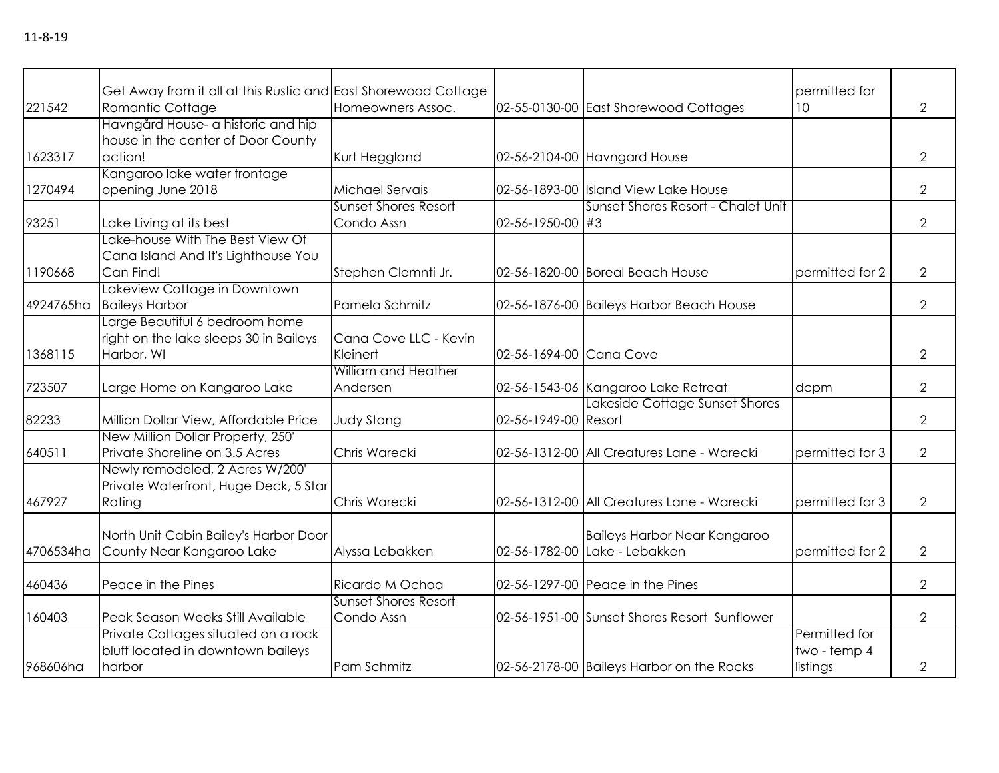|           | Get Away from it all at this Rustic and East Shorewood Cottage                         |                                           |                         |                                                               | permitted for                             |                |
|-----------|----------------------------------------------------------------------------------------|-------------------------------------------|-------------------------|---------------------------------------------------------------|-------------------------------------------|----------------|
| 221542    | Romantic Cottage                                                                       | Homeowners Assoc.                         |                         | 02-55-0130-00 East Shorewood Cottages                         | 10                                        | $\overline{2}$ |
| 1623317   | Havngård House- a historic and hip<br>house in the center of Door County<br>action!    | Kurt Heggland                             |                         | 02-56-2104-00 Havngard House                                  |                                           | $\overline{2}$ |
| 1270494   | Kangaroo lake water frontage<br>opening June 2018                                      | Michael Servais                           |                         | 02-56-1893-00 Island View Lake House                          |                                           | $\overline{2}$ |
| 93251     | Lake Living at its best                                                                | <b>Sunset Shores Resort</b><br>Condo Assn | 02-56-1950-00 #3        | Sunset Shores Resort - Chalet Unit                            |                                           | $\overline{2}$ |
| 1190668   | Lake-house With The Best View Of<br>Cana Island And It's Lighthouse You<br>Can Find!   | Stephen Clemnti Jr.                       |                         | 02-56-1820-00 Boreal Beach House                              | permitted for 2                           | $\overline{2}$ |
| 4924765ha | Lakeview Cottage in Downtown<br><b>Baileys Harbor</b>                                  | Pamela Schmitz                            |                         | 02-56-1876-00 Baileys Harbor Beach House                      |                                           | $\overline{2}$ |
| 1368115   | Large Beautiful 6 bedroom home<br>right on the lake sleeps 30 in Baileys<br>Harbor, WI | Cana Cove LLC - Kevin<br>Kleinert         | 02-56-1694-00 Cana Cove |                                                               |                                           | $\overline{2}$ |
| 723507    | Large Home on Kangaroo Lake                                                            | William and Heather<br>Andersen           |                         | 02-56-1543-06 Kangaroo Lake Retreat                           | dcpm                                      | $\overline{2}$ |
| 82233     | Million Dollar View, Affordable Price                                                  | <b>Judy Stang</b>                         | 02-56-1949-00 Resort    | Lakeside Cottage Sunset Shores                                |                                           | $\overline{2}$ |
| 640511    | New Million Dollar Property, 250'<br>Private Shoreline on 3.5 Acres                    | Chris Warecki                             |                         | 02-56-1312-00 All Creatures Lane - Warecki                    | permitted for 3                           | $\overline{2}$ |
| 467927    | Newly remodeled, 2 Acres W/200'<br>Private Waterfront, Huge Deck, 5 Star<br>Rating     | Chris Warecki                             |                         | 02-56-1312-00 All Creatures Lane - Warecki                    | permitted for 3                           | $\overline{2}$ |
| 4706534ha | North Unit Cabin Bailey's Harbor Door<br>County Near Kangaroo Lake                     | Alyssa Lebakken                           |                         | Baileys Harbor Near Kangaroo<br>02-56-1782-00 Lake - Lebakken | permitted for 2                           | $\overline{2}$ |
| 460436    | Peace in the Pines                                                                     | Ricardo M Ochoa                           |                         | 02-56-1297-00 Peace in the Pines                              |                                           | $\overline{2}$ |
| 160403    | Peak Season Weeks Still Available                                                      | <b>Sunset Shores Resort</b><br>Condo Assn |                         | 02-56-1951-00 Sunset Shores Resort Sunflower                  |                                           | $\overline{2}$ |
| 968606ha  | Private Cottages situated on a rock<br>bluff located in downtown baileys<br>harbor     | Pam Schmitz                               |                         | 02-56-2178-00 Baileys Harbor on the Rocks                     | Permitted for<br>two - temp 4<br>listings | 2              |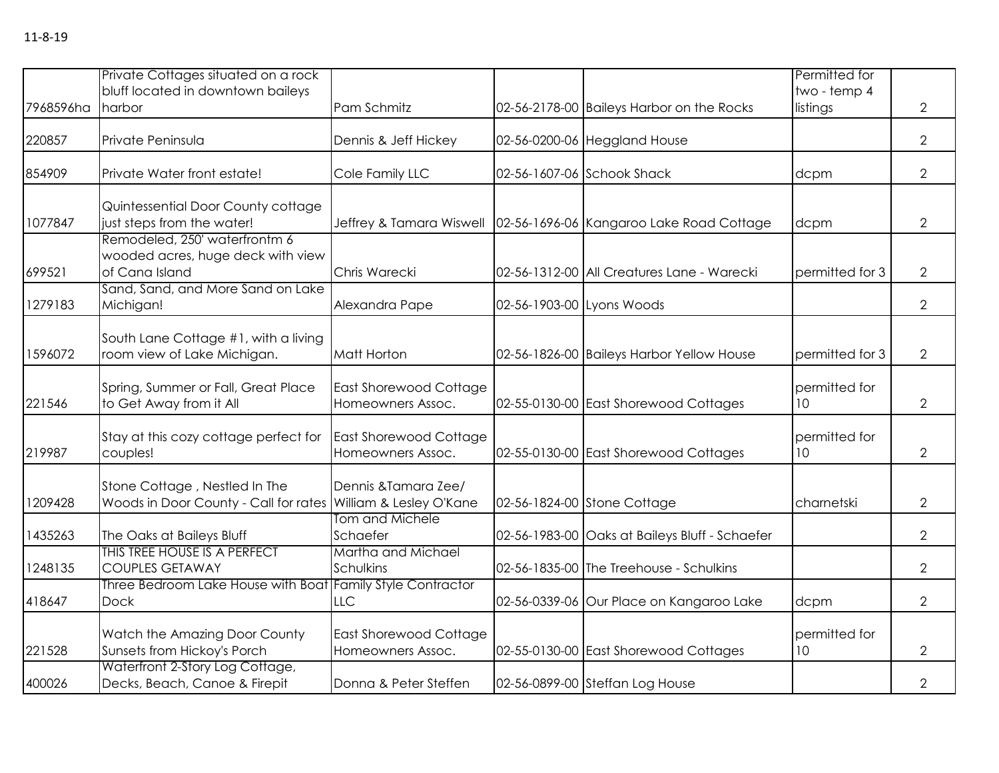|           | Private Cottages situated on a rock                                                            |                                                    |                                                | Permitted for            |                |
|-----------|------------------------------------------------------------------------------------------------|----------------------------------------------------|------------------------------------------------|--------------------------|----------------|
| 7968596ha | bluff located in downtown baileys<br>harbor                                                    | Pam Schmitz                                        | 02-56-2178-00 Baileys Harbor on the Rocks      | two - temp 4<br>listings | $\overline{2}$ |
| 220857    | Private Peninsula                                                                              | Dennis & Jeff Hickey                               | 02-56-0200-06 Heggland House                   |                          | $\overline{2}$ |
| 854909    | Private Water front estate!                                                                    | Cole Family LLC                                    | 02-56-1607-06 Schook Shack                     | dcpm                     | $\overline{2}$ |
| 1077847   | Quintessential Door County cottage<br>just steps from the water!                               | Jeffrey & Tamara Wiswell                           | 02-56-1696-06 Kangaroo Lake Road Cottage       | dcpm                     | 2              |
| 699521    | Remodeled, 250' waterfrontm 6<br>wooded acres, huge deck with view<br>of Cana Island           | Chris Warecki                                      | 02-56-1312-00 All Creatures Lane - Warecki     | permitted for 3          | $\overline{2}$ |
| 1279183   | Sand, Sand, and More Sand on Lake<br>Michigan!                                                 | Alexandra Pape                                     | 02-56-1903-00 Lyons Woods                      |                          | $\overline{2}$ |
| 1596072   | South Lane Cottage #1, with a living<br>room view of Lake Michigan.                            | Matt Horton                                        | 02-56-1826-00 Baileys Harbor Yellow House      | permitted for 3          | $\overline{2}$ |
| 221546    | Spring, Summer or Fall, Great Place<br>to Get Away from it All                                 | <b>East Shorewood Cottage</b><br>Homeowners Assoc. | 02-55-0130-00 East Shorewood Cottages          | permitted for<br>10      | $\overline{2}$ |
| 219987    | Stay at this cozy cottage perfect for<br>couples!                                              | <b>East Shorewood Cottage</b><br>Homeowners Assoc. | 02-55-0130-00 East Shorewood Cottages          | permitted for<br>10      | $\overline{2}$ |
| 1209428   | Stone Cottage, Nestled In The<br>Woods in Door County - Call for rates William & Lesley O'Kane | Dennis & Tamara Zee/                               | 02-56-1824-00 Stone Cottage                    | charnetski               | $\overline{2}$ |
| 1435263   | The Oaks at Baileys Bluff                                                                      | Tom and Michele<br>Schaefer                        | 02-56-1983-00 Oaks at Baileys Bluff - Schaefer |                          | $\overline{2}$ |
| 1248135   | THIS TREE HOUSE IS A PERFECT<br><b>COUPLES GETAWAY</b>                                         | Martha and Michael<br>Schulkins                    | 02-56-1835-00 The Treehouse - Schulkins        |                          | $\overline{2}$ |
| 418647    | Three Bedroom Lake House with Boat<br><b>Dock</b>                                              | <b>Family Style Contractor</b><br><b>LLC</b>       | 02-56-0339-06 Our Place on Kangaroo Lake       | dcpm                     | $\overline{2}$ |
| 221528    | Watch the Amazing Door County<br>Sunsets from Hickoy's Porch                                   | <b>East Shorewood Cottage</b><br>Homeowners Assoc. | 02-55-0130-00 East Shorewood Cottages          | permitted for<br>10      | $\overline{2}$ |
| 400026    | Waterfront 2-Story Log Cottage,<br>Decks, Beach, Canoe & Firepit                               | Donna & Peter Steffen                              | 02-56-0899-00 Steffan Log House                |                          | $\overline{2}$ |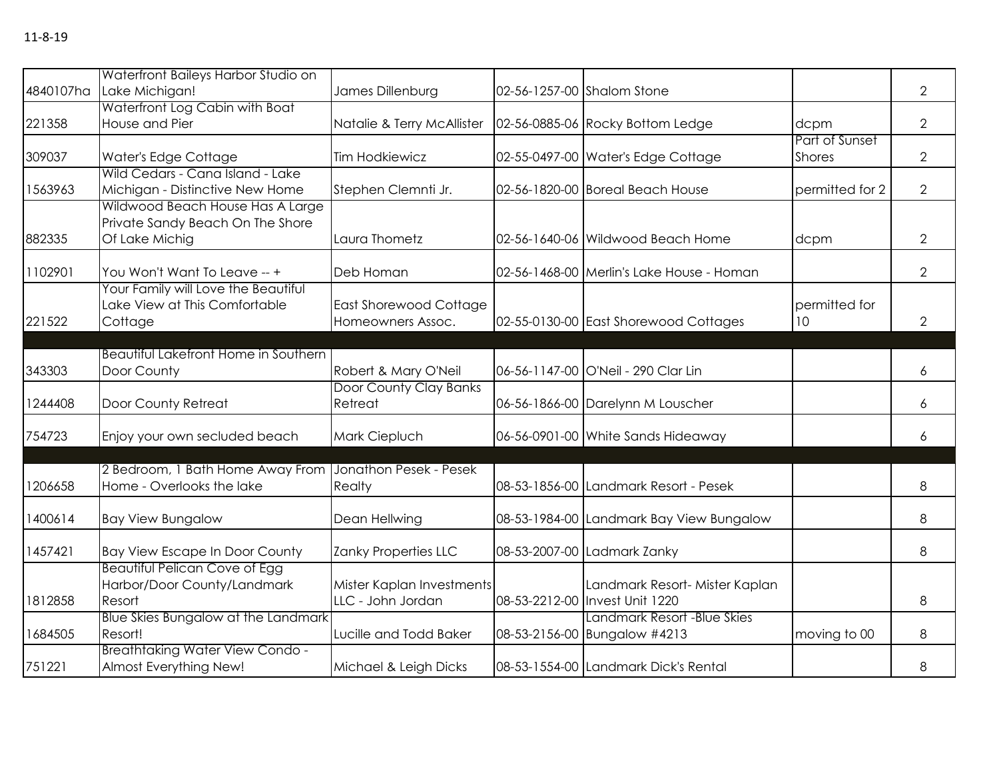|           | Waterfront Baileys Harbor Studio on                                                    |                                                    |                                                                  |                                 |                |
|-----------|----------------------------------------------------------------------------------------|----------------------------------------------------|------------------------------------------------------------------|---------------------------------|----------------|
| 4840107ha | Lake Michigan!                                                                         | James Dillenburg                                   | 02-56-1257-00 Shalom Stone                                       |                                 | $\overline{2}$ |
| 221358    | Waterfront Log Cabin with Boat<br>House and Pier                                       | Natalie & Terry McAllister                         | 02-56-0885-06 Rocky Bottom Ledge                                 | dcpm                            | $\overline{2}$ |
| 309037    | Water's Edge Cottage                                                                   | <b>Tim Hodkiewicz</b>                              | 02-55-0497-00 Water's Edge Cottage                               | Part of Sunset<br><b>Shores</b> | $\overline{2}$ |
| 1563963   | Wild Cedars - Cana Island - Lake<br>Michigan - Distinctive New Home                    | Stephen Clemnti Jr.                                | 02-56-1820-00 Boreal Beach House                                 | permitted for 2                 | $\overline{2}$ |
| 882335    | Wildwood Beach House Has A Large<br>Private Sandy Beach On The Shore<br>Of Lake Michig | Laura Thometz                                      | 02-56-1640-06 Wildwood Beach Home                                | dcpm                            | 2              |
| 1102901   | You Won't Want To Leave -- +                                                           | Deb Homan                                          | 02-56-1468-00 Merlin's Lake House - Homan                        |                                 | $\overline{2}$ |
| 221522    | Your Family will Love the Beautiful<br>Lake View at This Comfortable<br>Cottage        | <b>East Shorewood Cottage</b><br>Homeowners Assoc. | 02-55-0130-00 East Shorewood Cottages                            | permitted for<br>10             | $\overline{2}$ |
| 343303    | Beautiful Lakefront Home in Southern<br>Door County                                    | Robert & Mary O'Neil                               | 06-56-1147-00 O'Neil - 290 Clar Lin                              |                                 | 6              |
| 1244408   | Door County Retreat                                                                    | Door County Clay Banks<br>Retreat                  | 06-56-1866-00 Darelynn M Louscher                                |                                 | 6              |
| 754723    | Enjoy your own secluded beach                                                          | Mark Ciepluch                                      | 06-56-0901-00 White Sands Hideaway                               |                                 | 6              |
| 1206658   | 2 Bedroom, 1 Bath Home Away From<br>Home - Overlooks the lake                          | Jonathon Pesek - Pesek<br>Realty                   | 08-53-1856-00 Landmark Resort - Pesek                            |                                 | 8              |
| 1400614   | <b>Bay View Bungalow</b>                                                               | Dean Hellwing                                      | 08-53-1984-00 Landmark Bay View Bungalow                         |                                 | 8              |
| 1457421   | <b>Bay View Escape In Door County</b>                                                  | Zanky Properties LLC                               | 08-53-2007-00 Ladmark Zanky                                      |                                 | 8              |
| 1812858   | <b>Beautiful Pelican Cove of Egg</b><br>Harbor/Door County/Landmark<br>Resort          | Mister Kaplan Investments<br>LLC - John Jordan     | Landmark Resort- Mister Kaplan<br>08-53-2212-00 Invest Unit 1220 |                                 | 8              |
| 1684505   | Blue Skies Bungalow at the Landmark<br>Resort!                                         | Lucille and Todd Baker                             | Landmark Resort -Blue Skies<br>08-53-2156-00 Bungalow #4213      | moving to 00                    | 8              |
| 751221    | <b>Breathtaking Water View Condo -</b><br>Almost Everything New!                       | Michael & Leigh Dicks                              | 08-53-1554-00 Landmark Dick's Rental                             |                                 | 8              |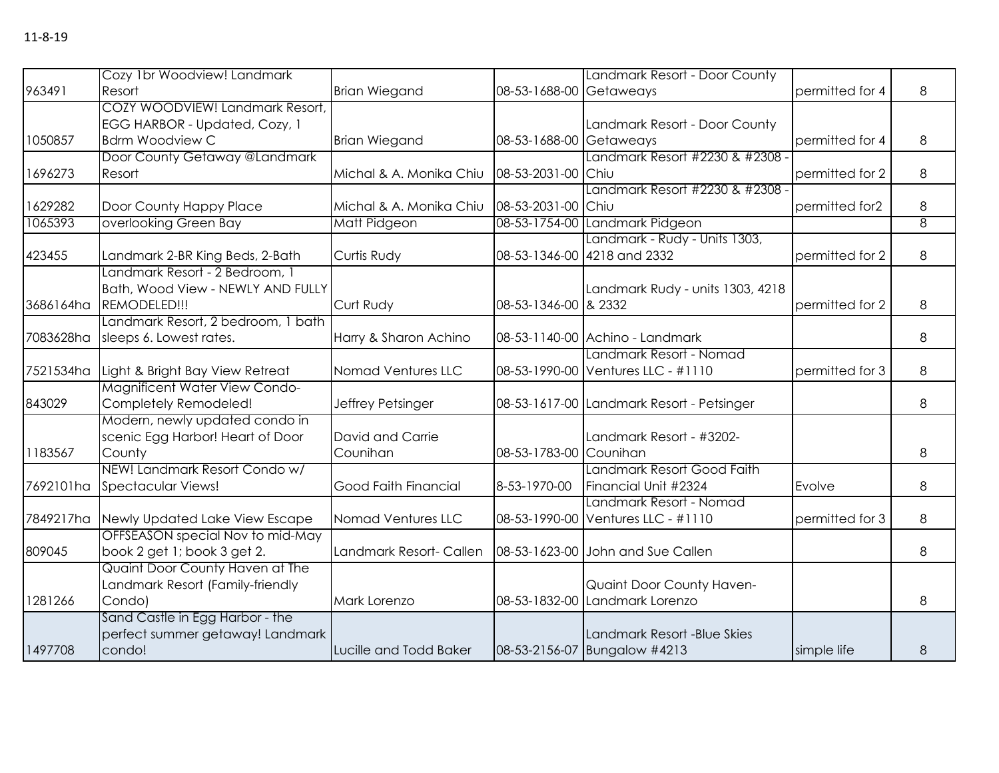|           | Cozy 1br Woodview! Landmark        |                         |                         | Landmark Resort - Door County             |                 |   |
|-----------|------------------------------------|-------------------------|-------------------------|-------------------------------------------|-----------------|---|
| 963491    | Resort                             | <b>Brian Wiegand</b>    | 08-53-1688-00 Getaweays |                                           | permitted for 4 | 8 |
|           | COZY WOODVIEW! Landmark Resort,    |                         |                         |                                           |                 |   |
|           | EGG HARBOR - Updated, Cozy, 1      |                         |                         | Landmark Resort - Door County             |                 |   |
| 1050857   | <b>Bdrm Woodview C</b>             | <b>Brian Wiegand</b>    | 08-53-1688-00 Getaweays |                                           | permitted for 4 | 8 |
|           | Door County Getaway @Landmark      |                         |                         | Landmark Resort #2230 & #2308 ·           |                 |   |
| 1696273   | Resort                             | Michal & A. Monika Chiu | 08-53-2031-00 Chiu      |                                           | permitted for 2 | 8 |
|           |                                    |                         |                         | Landmark Resort #2230 & #2308 -           |                 |   |
| 1629282   | Door County Happy Place            | Michal & A. Monika Chiu | 08-53-2031-00 Chiu      |                                           | permitted for2  | 8 |
| 1065393   | overlooking Green Bay              | Matt Pidgeon            |                         | 08-53-1754-00 Landmark Pidgeon            |                 | 8 |
|           |                                    |                         |                         | Landmark - Rudy - Units 1303,             |                 |   |
| 423455    | Landmark 2-BR King Beds, 2-Bath    | Curtis Rudy             |                         | 08-53-1346-00 4218 and 2332               | permitted for 2 | 8 |
|           | Landmark Resort - 2 Bedroom, 1     |                         |                         |                                           |                 |   |
|           | Bath, Wood View - NEWLY AND FULLY  |                         |                         | Landmark Rudy - units 1303, 4218          |                 |   |
| 3686164ha | REMODELED!!!                       | Curt Rudy               | 08-53-1346-00 & 2332    |                                           | permitted for 2 | 8 |
|           | Landmark Resort, 2 bedroom, 1 bath |                         |                         |                                           |                 |   |
| 7083628ha | sleeps 6. Lowest rates.            | Harry & Sharon Achino   |                         | 08-53-1140-00 Achino - Landmark           |                 | 8 |
|           |                                    |                         |                         | Landmark Resort - Nomad                   |                 |   |
| 7521534ha | Light & Bright Bay View Retreat    | Nomad Ventures LLC      |                         | 08-53-1990-00 Ventures LLC - #1110        | permitted for 3 | 8 |
|           | Magnificent Water View Condo-      |                         |                         |                                           |                 |   |
| 843029    | Completely Remodeled!              | Jeffrey Petsinger       |                         | 08-53-1617-00 Landmark Resort - Petsinger |                 | 8 |
|           | Modern, newly updated condo in     |                         |                         |                                           |                 |   |
|           | scenic Egg Harbor! Heart of Door   | David and Carrie        |                         | Landmark Resort - #3202-                  |                 |   |
| 1183567   | County                             | Counihan                | 08-53-1783-00 Counihan  |                                           |                 | 8 |
|           | NEW! Landmark Resort Condo w/      |                         |                         | Landmark Resort Good Faith                |                 |   |
| 7692101ha | Spectacular Views!                 | Good Faith Financial    | 8-53-1970-00            | Financial Unit #2324                      | Evolve          | 8 |
|           |                                    |                         |                         | Landmark Resort - Nomad                   |                 |   |
| 7849217ha | Newly Updated Lake View Escape     | Nomad Ventures LLC      |                         | 08-53-1990-00 Ventures LLC - #1110        | permitted for 3 | 8 |
|           | OFFSEASON special Nov to mid-May   |                         |                         |                                           |                 |   |
| 809045    | book 2 get 1; book 3 get 2.        | Landmark Resort- Callen |                         | 08-53-1623-00 John and Sue Callen         |                 | 8 |
|           | Quaint Door County Haven at The    |                         |                         |                                           |                 |   |
|           | Landmark Resort (Family-friendly   |                         |                         | Quaint Door County Haven-                 |                 |   |
| 1281266   | Condo)                             | Mark Lorenzo            |                         | 08-53-1832-00 Landmark Lorenzo            |                 | 8 |
|           | Sand Castle in Egg Harbor - the    |                         |                         |                                           |                 |   |
|           | perfect summer getaway! Landmark   |                         |                         | Landmark Resort - Blue Skies              |                 |   |
| 1497708   | condo!                             | Lucille and Todd Baker  |                         | 08-53-2156-07 Bungalow #4213              | simple life     | 8 |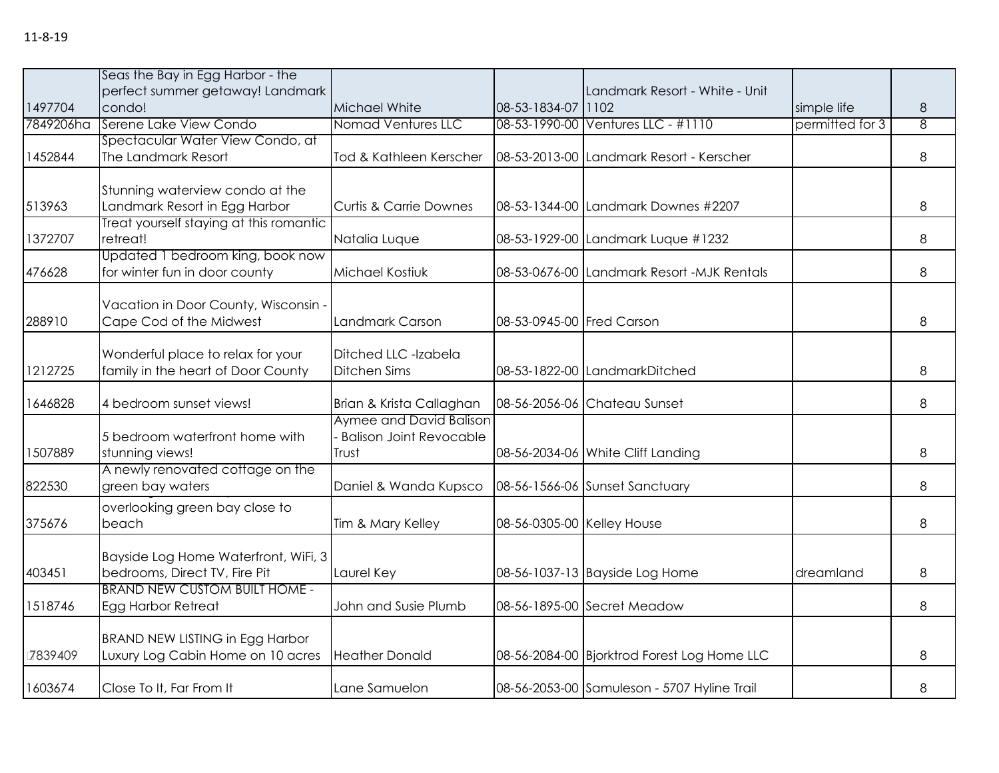| 1497704   | Seas the Bay in Egg Harbor - the<br>perfect summer getaway! Landmark<br>condo! | Michael White                                                      | 08-53-1834-07 1102         | Landmark Resort - White - Unit              | simple life     | 8              |
|-----------|--------------------------------------------------------------------------------|--------------------------------------------------------------------|----------------------------|---------------------------------------------|-----------------|----------------|
| 7849206ha | Serene Lake View Condo                                                         | <b>Nomad Ventures LLC</b>                                          |                            | 08-53-1990-00 Ventures LLC - #1110          | permitted for 3 | $\overline{8}$ |
| 1452844   | Spectacular Water View Condo, at<br>The Landmark Resort                        | Tod & Kathleen Kerscher                                            |                            | 08-53-2013-00 Landmark Resort - Kerscher    |                 | 8              |
| 513963    | Stunning waterview condo at the<br>Landmark Resort in Egg Harbor               | <b>Curtis &amp; Carrie Downes</b>                                  |                            | 08-53-1344-00 Landmark Downes #2207         |                 | 8              |
| 1372707   | Treat yourself staying at this romantic<br>retreat!                            | Natalia Luque                                                      |                            | 08-53-1929-00 Landmark Luque #1232          |                 | 8              |
| 476628    | Updated 1 bedroom king, book now<br>for winter fun in door county              | Michael Kostiuk                                                    |                            | 08-53-0676-00 Landmark Resort -MJK Rentals  |                 | 8              |
| 288910    | Vacation in Door County, Wisconsin -<br>Cape Cod of the Midwest                | Landmark Carson                                                    | 08-53-0945-00 Fred Carson  |                                             |                 | 8              |
| 1212725   | Wonderful place to relax for your<br>family in the heart of Door County        | Ditched LLC -Izabela<br>Ditchen Sims                               |                            | 08-53-1822-00 LandmarkDitched               |                 | 8              |
| 1646828   | 4 bedroom sunset views!                                                        | Brian & Krista Callaghan                                           |                            | 08-56-2056-06 Chateau Sunset                |                 | 8              |
| 1507889   | 5 bedroom waterfront home with<br>stunning views!                              | Aymee and David Balison<br><b>Balison Joint Revocable</b><br>Trust |                            | 08-56-2034-06 White Cliff Landing           |                 | 8              |
| 822530    | A newly renovated cottage on the<br>green bay waters                           | Daniel & Wanda Kupsco                                              |                            | 08-56-1566-06 Sunset Sanctuary              |                 | 8              |
| 375676    | overlooking green bay close to<br>beach                                        | Tim & Mary Kelley                                                  | 08-56-0305-00 Kelley House |                                             |                 | 8              |
| 403451    | Bayside Log Home Waterfront, WiFi, 3<br>bedrooms, Direct TV, Fire Pit          | Laurel Key                                                         |                            | 08-56-1037-13 Bayside Log Home              | dreamland       | 8              |
| 1518746   | <b>BRAND NEW CUSTOM BUILT HOME -</b><br>Egg Harbor Retreat                     | John and Susie Plumb                                               |                            | 08-56-1895-00 Secret Meadow                 |                 | 8              |
| 7839409   | <b>BRAND NEW LISTING in Egg Harbor</b><br>Luxury Log Cabin Home on 10 acres    | <b>Heather Donald</b>                                              |                            | 08-56-2084-00 Bjorktrod Forest Log Home LLC |                 | 8              |
| 1603674   | Close To It, Far From It                                                       | Lane Samuelon                                                      |                            | 08-56-2053-00 Samuleson - 5707 Hyline Trail |                 | 8              |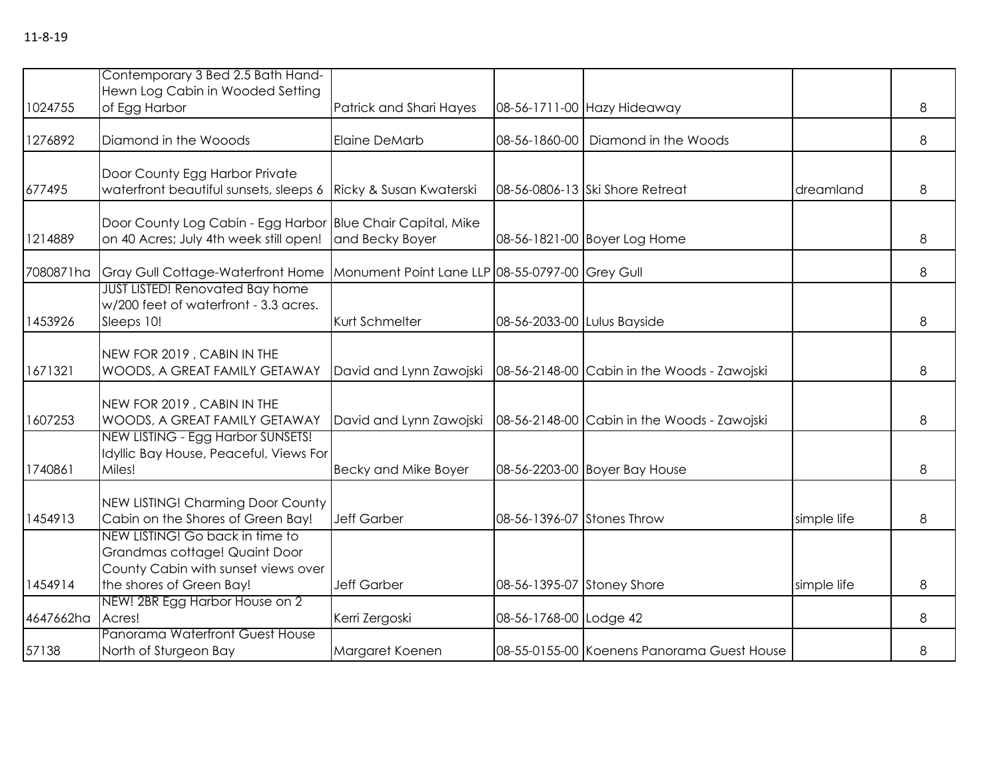|           | Contemporary 3 Bed 2.5 Bath Hand-<br>Hewn Log Cabin in Wooded Setting                                                               |                                                 |                             |                                             |             |   |
|-----------|-------------------------------------------------------------------------------------------------------------------------------------|-------------------------------------------------|-----------------------------|---------------------------------------------|-------------|---|
| 1024755   | of Egg Harbor                                                                                                                       | Patrick and Shari Hayes                         |                             | 08-56-1711-00 Hazy Hideaway                 |             | 8 |
| 1276892   | Diamond in the Wooods                                                                                                               | <b>Elaine DeMarb</b>                            | 08-56-1860-00               | Diamond in the Woods                        |             | 8 |
| 677495    | Door County Egg Harbor Private<br>waterfront beautiful sunsets, sleeps 6                                                            | Ricky & Susan Kwaterski                         |                             | 08-56-0806-13 Ski Shore Retreat             | dreamland   | 8 |
| 1214889   | Door County Log Cabin - Egg Harbor Blue Chair Capital, Mike<br>on 40 Acres; July 4th week still open!                               | and Becky Boyer                                 |                             | 08-56-1821-00 Boyer Log Home                |             | 8 |
| 7080871ha | Gray Gull Cottage-Waterfront Home                                                                                                   | Monument Point Lane LLP 08-55-0797-00 Grey Gull |                             |                                             |             | 8 |
| 1453926   | <b>JUST LISTED! Renovated Bay home</b><br>w/200 feet of waterfront - 3.3 acres.<br>Sleeps 10!                                       | Kurt Schmelter                                  | 08-56-2033-00 Lulus Bayside |                                             |             | 8 |
| 1671321   | NEW FOR 2019, CABIN IN THE<br>WOODS, A GREAT FAMILY GETAWAY                                                                         | David and Lynn Zawojski                         |                             | 08-56-2148-00 Cabin in the Woods - Zawojski |             | 8 |
| 1607253   | NEW FOR 2019, CABIN IN THE<br>WOODS, A GREAT FAMILY GETAWAY                                                                         | David and Lynn Zawojski                         |                             | 08-56-2148-00 Cabin in the Woods - Zawojski |             | 8 |
| 1740861   | NEW LISTING - Egg Harbor SUNSETS!<br>Idyllic Bay House, Peaceful, Views For<br>Miles!                                               | <b>Becky and Mike Boyer</b>                     |                             | 08-56-2203-00 Boyer Bay House               |             | 8 |
| 1454913   | NEW LISTING! Charming Door County<br>Cabin on the Shores of Green Bay!                                                              | <b>Jeff Garber</b>                              | 08-56-1396-07 Stones Throw  |                                             | simple life | 8 |
| 1454914   | NEW LISTING! Go back in time to<br>Grandmas cottage! Quaint Door<br>County Cabin with sunset views over<br>the shores of Green Bay! | <b>Jeff Garber</b>                              | 08-56-1395-07 Stoney Shore  |                                             | simple life | 8 |
| 4647662ha | NEW! 2BR Egg Harbor House on 2<br>Acres!                                                                                            | Kerri Zergoski                                  | 08-56-1768-00 Lodge 42      |                                             |             | 8 |
| 57138     | Panorama Waterfront Guest House<br>North of Sturgeon Bay                                                                            | Margaret Koenen                                 |                             | 08-55-0155-00 Koenens Panorama Guest House  |             | 8 |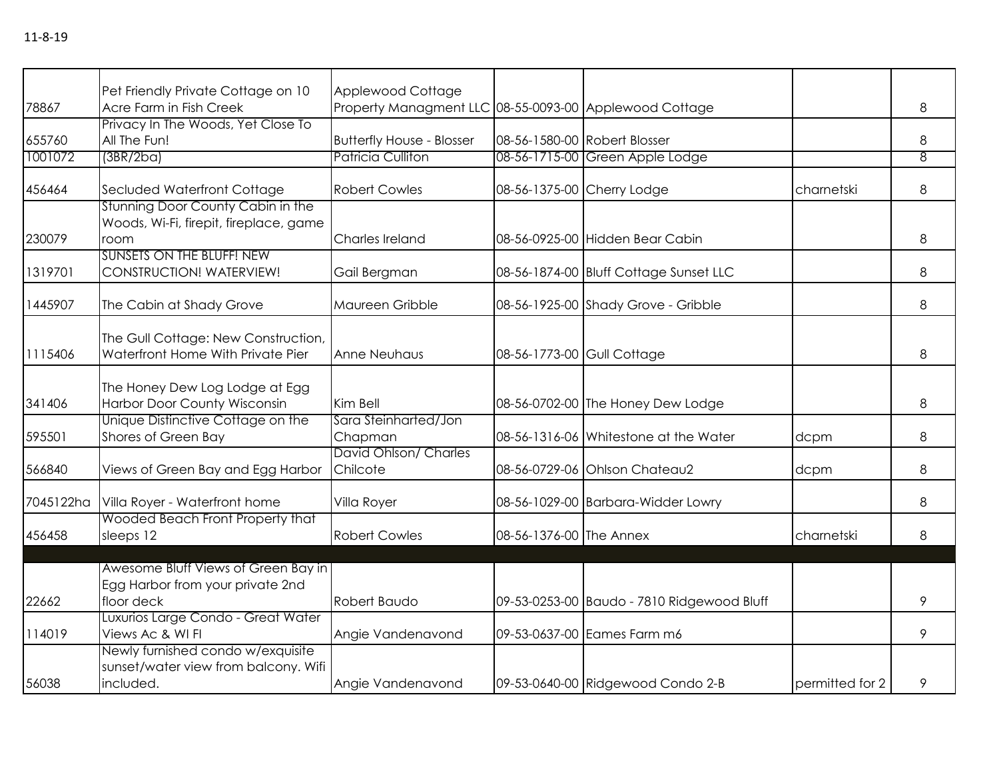|                   | Pet Friendly Private Cottage on 10                                                     | Applewood Cottage                                            |                              |                                            |                 |                     |
|-------------------|----------------------------------------------------------------------------------------|--------------------------------------------------------------|------------------------------|--------------------------------------------|-----------------|---------------------|
| 78867             | Acre Farm in Fish Creek                                                                | Property Managment LLC 08-55-0093-00 Applewood Cottage       |                              |                                            |                 | 8                   |
| 655760<br>1001072 | Privacy In The Woods, Yet Close To<br>All The Fun!<br>(3BR/2ba)                        | <b>Butterfly House - Blosser</b><br><b>Patricia Culliton</b> | 08-56-1580-00 Robert Blosser | 08-56-1715-00 Green Apple Lodge            |                 | 8<br>$\overline{8}$ |
|                   |                                                                                        |                                                              |                              |                                            |                 |                     |
| 456464            | Secluded Waterfront Cottage                                                            | <b>Robert Cowles</b>                                         | 08-56-1375-00 Cherry Lodge   |                                            | charnetski      | 8                   |
| 230079            | Stunning Door County Cabin in the<br>Woods, Wi-Fi, firepit, fireplace, game<br>room    | Charles Ireland                                              |                              | 08-56-0925-00 Hidden Bear Cabin            |                 | 8                   |
| 1319701           | <b>SUNSETS ON THE BLUFF! NEW</b><br>CONSTRUCTION! WATERVIEW!                           | Gail Bergman                                                 |                              | 08-56-1874-00 Bluff Cottage Sunset LLC     |                 | 8                   |
| 1445907           | The Cabin at Shady Grove                                                               | Maureen Gribble                                              |                              | 08-56-1925-00 Shady Grove - Gribble        |                 | 8                   |
| 1115406           | The Gull Cottage: New Construction,<br>Waterfront Home With Private Pier               | Anne Neuhaus                                                 | 08-56-1773-00 Gull Cottage   |                                            |                 | 8                   |
| 341406            | The Honey Dew Log Lodge at Egg<br>Harbor Door County Wisconsin                         | Kim Bell                                                     |                              | 08-56-0702-00 The Honey Dew Lodge          |                 | 8                   |
| 595501            | Unique Distinctive Cottage on the<br>Shores of Green Bay                               | Sara Steinharted/Jon<br>Chapman                              |                              | 08-56-1316-06 Whitestone at the Water      | dcpm            | 8                   |
| 566840            | Views of Green Bay and Egg Harbor                                                      | David Ohlson/ Charles<br>Chilcote                            |                              | 08-56-0729-06 Ohlson Chateau2              | dcpm            | 8                   |
| 7045122ha         | Villa Royer - Waterfront home                                                          | Villa Royer                                                  |                              | 08-56-1029-00 Barbara-Widder Lowry         |                 | 8                   |
| 456458            | Wooded Beach Front Property that<br>sleeps 12                                          | <b>Robert Cowles</b>                                         | 08-56-1376-00 The Annex      |                                            | charnetski      | 8                   |
|                   | Awesome Bluff Views of Green Bay in                                                    |                                                              |                              |                                            |                 |                     |
| 22662             | Egg Harbor from your private 2nd<br>floor deck                                         | Robert Baudo                                                 |                              | 09-53-0253-00 Baudo - 7810 Ridgewood Bluff |                 | 9                   |
| 114019            | Luxurios Large Condo - Great Water<br>Views Ac & WI FI                                 | Angie Vandenavond                                            |                              | 09-53-0637-00 Eames Farm m6                |                 | 9                   |
| 56038             | Newly furnished condo w/exquisite<br>sunset/water view from balcony. Wifi<br>included. | Angie Vandenavond                                            |                              | 09-53-0640-00 Ridgewood Condo 2-B          | permitted for 2 | 9                   |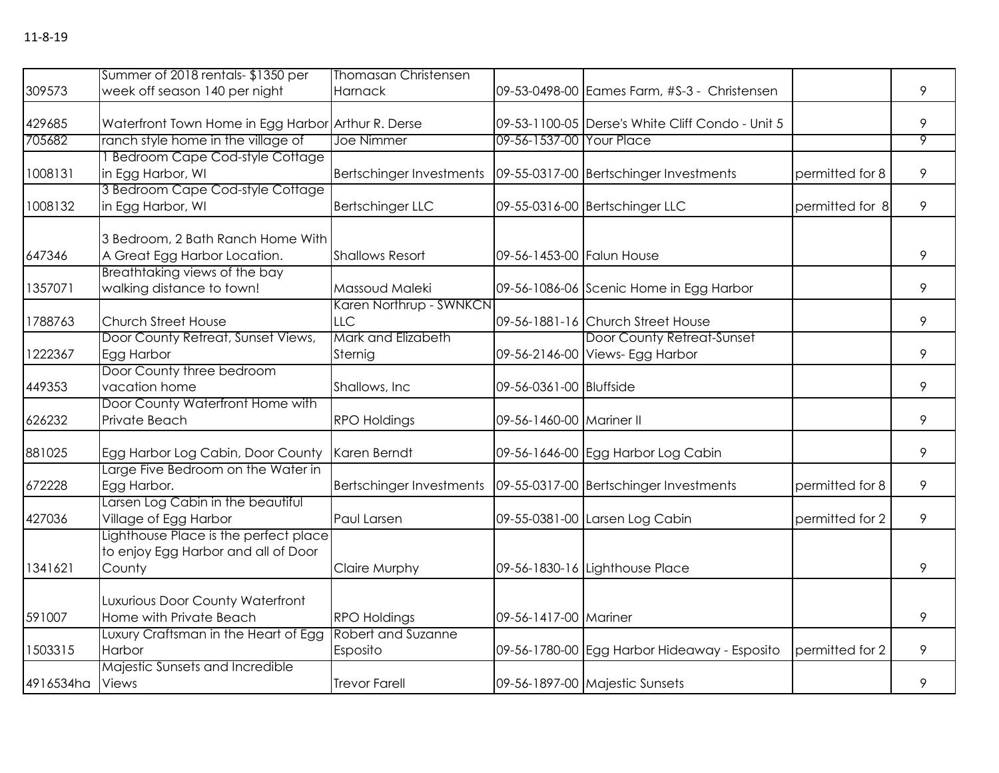|           | Summer of 2018 rentals-\$1350 per                           | <b>Thomasan Christensen</b>               |                           |                                                  |                 |                |
|-----------|-------------------------------------------------------------|-------------------------------------------|---------------------------|--------------------------------------------------|-----------------|----------------|
| 309573    | week off season 140 per night                               | Harnack                                   |                           | 09-53-0498-00 Eames Farm, #S-3 - Christensen     |                 | 9              |
|           |                                                             |                                           |                           |                                                  |                 |                |
| 429685    | Waterfront Town Home in Egg Harbor Arthur R. Derse          |                                           |                           | 09-53-1100-05 Derse's White Cliff Condo - Unit 5 |                 | 9              |
| 705682    | ranch style home in the village of                          | Joe Nimmer                                | 09-56-1537-00 Your Place  |                                                  |                 | $\overline{9}$ |
|           | 1 Bedroom Cape Cod-style Cottage                            |                                           |                           |                                                  |                 |                |
| 1008131   | in Egg Harbor, WI                                           | <b>Bertschinger Investments</b>           |                           | 09-55-0317-00 Bertschinger Investments           | permitted for 8 | 9              |
|           | 3 Bedroom Cape Cod-style Cottage                            |                                           |                           |                                                  |                 |                |
| 1008132   | in Egg Harbor, WI                                           | <b>Bertschinger LLC</b>                   |                           | 09-55-0316-00 Bertschinger LLC                   | permitted for 8 | 9              |
|           | 3 Bedroom, 2 Bath Ranch Home With                           |                                           |                           |                                                  |                 |                |
| 647346    | A Great Egg Harbor Location.                                | <b>Shallows Resort</b>                    | 09-56-1453-00 Falun House |                                                  |                 | 9              |
|           | Breathtaking views of the bay                               |                                           |                           |                                                  |                 |                |
| 1357071   | walking distance to town!                                   | Massoud Maleki                            |                           | 09-56-1086-06 Scenic Home in Egg Harbor          |                 | 9              |
|           |                                                             | Karen Northrup - SWNKCN                   |                           |                                                  |                 |                |
| 1788763   | Church Street House                                         | LLC                                       |                           | 09-56-1881-16 Church Street House                |                 | 9              |
|           | Door County Retreat, Sunset Views,                          | Mark and Elizabeth                        |                           | Door County Retreat-Sunset                       |                 |                |
| 1222367   | Egg Harbor                                                  | Sternig                                   |                           | 09-56-2146-00 Views- Egg Harbor                  |                 | 9              |
|           | Door County three bedroom                                   |                                           |                           |                                                  |                 |                |
| 449353    | vacation home                                               | Shallows, Inc.                            | 09-56-0361-00 Bluffside   |                                                  |                 | 9              |
|           | Door County Waterfront Home with                            |                                           |                           |                                                  |                 |                |
| 626232    | Private Beach                                               | <b>RPO Holdings</b>                       | 09-56-1460-00 Mariner II  |                                                  |                 | 9              |
|           |                                                             |                                           |                           |                                                  |                 |                |
| 881025    | Egg Harbor Log Cabin, Door County                           | Karen Berndt                              |                           | 09-56-1646-00 Egg Harbor Log Cabin               |                 | 9              |
|           | Large Five Bedroom on the Water in                          |                                           |                           |                                                  |                 |                |
| 672228    | Egg Harbor.                                                 | <b>Bertschinger Investments</b>           |                           | 09-55-0317-00 Bertschinger Investments           | permitted for 8 | 9              |
|           | Larsen Log Cabin in the beautiful                           |                                           |                           |                                                  |                 |                |
| 427036    | Village of Egg Harbor                                       | Paul Larsen                               |                           | 09-55-0381-00 Larsen Log Cabin                   | permitted for 2 | 9              |
|           | Lighthouse Place is the perfect place                       |                                           |                           |                                                  |                 |                |
|           | to enjoy Egg Harbor and all of Door                         |                                           |                           |                                                  |                 |                |
| 1341621   | County                                                      | Claire Murphy                             |                           | 09-56-1830-16 Lighthouse Place                   |                 | 9              |
|           |                                                             |                                           |                           |                                                  |                 |                |
| 591007    | Luxurious Door County Waterfront<br>Home with Private Beach |                                           |                           |                                                  |                 | 9              |
|           |                                                             | <b>RPO Holdings</b><br>Robert and Suzanne | 09-56-1417-00 Mariner     |                                                  |                 |                |
| 1503315   | Luxury Craftsman in the Heart of Egg<br>Harbor              |                                           |                           |                                                  |                 | 9              |
|           |                                                             | Esposito                                  |                           | 09-56-1780-00 Egg Harbor Hideaway - Esposito     | permitted for 2 |                |
| 4916534ha | Majestic Sunsets and Incredible<br>Views                    | <b>Trevor Farell</b>                      |                           | 09-56-1897-00 Majestic Sunsets                   |                 | 9              |
|           |                                                             |                                           |                           |                                                  |                 |                |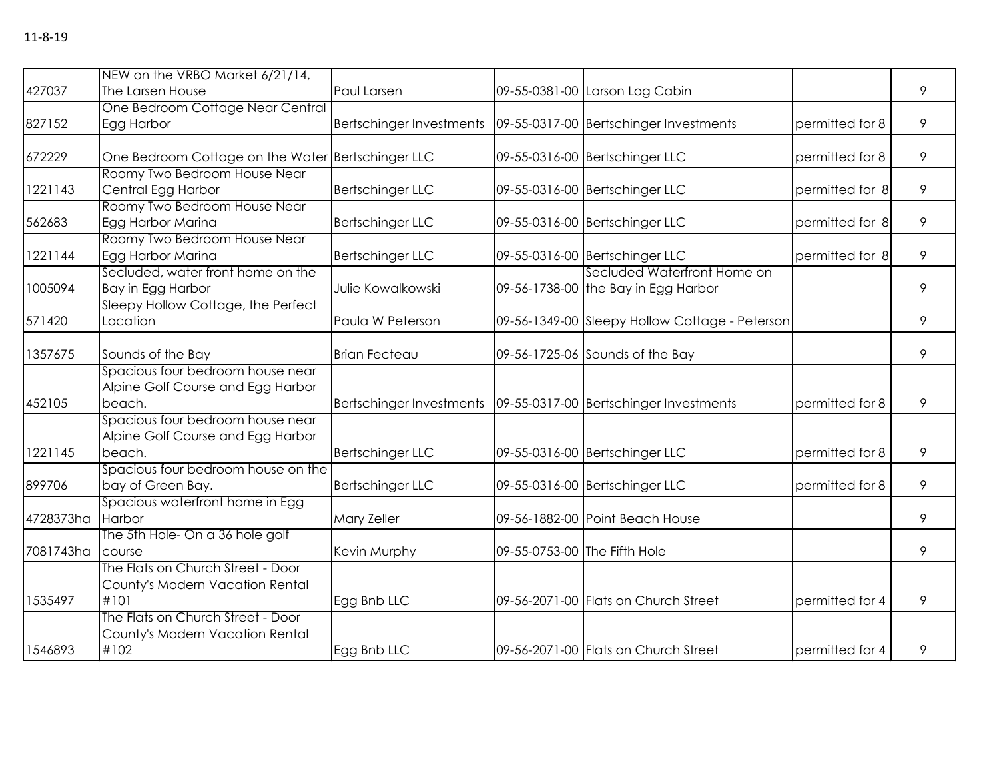|           | NEW on the VRBO Market 6/21/14,                   |                          |                                                |                 |   |
|-----------|---------------------------------------------------|--------------------------|------------------------------------------------|-----------------|---|
| 427037    | The Larsen House                                  | Paul Larsen              | 09-55-0381-00 Larson Log Cabin                 |                 | 9 |
|           | One Bedroom Cottage Near Central                  |                          |                                                |                 |   |
| 827152    | Egg Harbor                                        | Bertschinger Investments | 09-55-0317-00 Bertschinger Investments         | permitted for 8 | 9 |
|           |                                                   |                          |                                                |                 |   |
| 672229    | One Bedroom Cottage on the Water Bertschinger LLC |                          | 09-55-0316-00 Bertschinger LLC                 | permitted for 8 | 9 |
|           | Roomy Two Bedroom House Near                      |                          |                                                |                 |   |
| 1221143   | Central Egg Harbor                                | <b>Bertschinger LLC</b>  | 09-55-0316-00 Bertschinger LLC                 | permitted for 8 | 9 |
|           | Roomy Two Bedroom House Near                      |                          |                                                |                 |   |
| 562683    | Egg Harbor Marina                                 | <b>Bertschinger LLC</b>  | 09-55-0316-00 Bertschinger LLC                 | permitted for 8 | 9 |
|           | Roomy Two Bedroom House Near                      |                          |                                                |                 |   |
| 1221144   | Egg Harbor Marina                                 | <b>Bertschinger LLC</b>  | 09-55-0316-00 Bertschinger LLC                 | permitted for 8 | 9 |
|           | Secluded, water front home on the                 |                          | Secluded Waterfront Home on                    |                 |   |
| 1005094   | Bay in Egg Harbor                                 | Julie Kowalkowski        | 09-56-1738-00 the Bay in Egg Harbor            |                 | 9 |
|           | Sleepy Hollow Cottage, the Perfect                |                          |                                                |                 |   |
| 571420    | Location                                          | Paula W Peterson         | 09-56-1349-00 Sleepy Hollow Cottage - Peterson |                 | 9 |
| 1357675   | Sounds of the Bay                                 | <b>Brian Fecteau</b>     | 09-56-1725-06 Sounds of the Bay                |                 | 9 |
|           | Spacious four bedroom house near                  |                          |                                                |                 |   |
|           | Alpine Golf Course and Egg Harbor                 |                          |                                                |                 |   |
| 452105    | beach.                                            | Bertschinger Investments | 09-55-0317-00 Bertschinger Investments         | permitted for 8 | 9 |
|           | Spacious four bedroom house near                  |                          |                                                |                 |   |
|           | Alpine Golf Course and Egg Harbor                 |                          |                                                |                 |   |
| 1221145   | beach.                                            | <b>Bertschinger LLC</b>  | 09-55-0316-00 Bertschinger LLC                 | permitted for 8 | 9 |
|           | Spacious four bedroom house on the                |                          |                                                |                 |   |
| 899706    | bay of Green Bay.                                 | <b>Bertschinger LLC</b>  | 09-55-0316-00 Bertschinger LLC                 | permitted for 8 | 9 |
|           | Spacious waterfront home in Egg                   |                          |                                                |                 |   |
| 4728373ha | Harbor                                            | Mary Zeller              | 09-56-1882-00 Point Beach House                |                 | 9 |
|           | The 5th Hole- On a 36 hole golf                   |                          |                                                |                 |   |
| 7081743ha | course                                            | Kevin Murphy             | 09-55-0753-00 The Fifth Hole                   |                 | 9 |
|           | The Flats on Church Street - Door                 |                          |                                                |                 |   |
|           | County's Modern Vacation Rental                   |                          |                                                |                 |   |
| 1535497   | #101                                              | Egg Bnb LLC              | 09-56-2071-00 Flats on Church Street           | permitted for 4 | 9 |
|           | The Flats on Church Street - Door                 |                          |                                                |                 |   |
|           | County's Modern Vacation Rental                   |                          |                                                |                 |   |
| 1546893   | #102                                              | Egg Bnb LLC              | 09-56-2071-00 Flats on Church Street           | permitted for 4 | 9 |
|           |                                                   |                          |                                                |                 |   |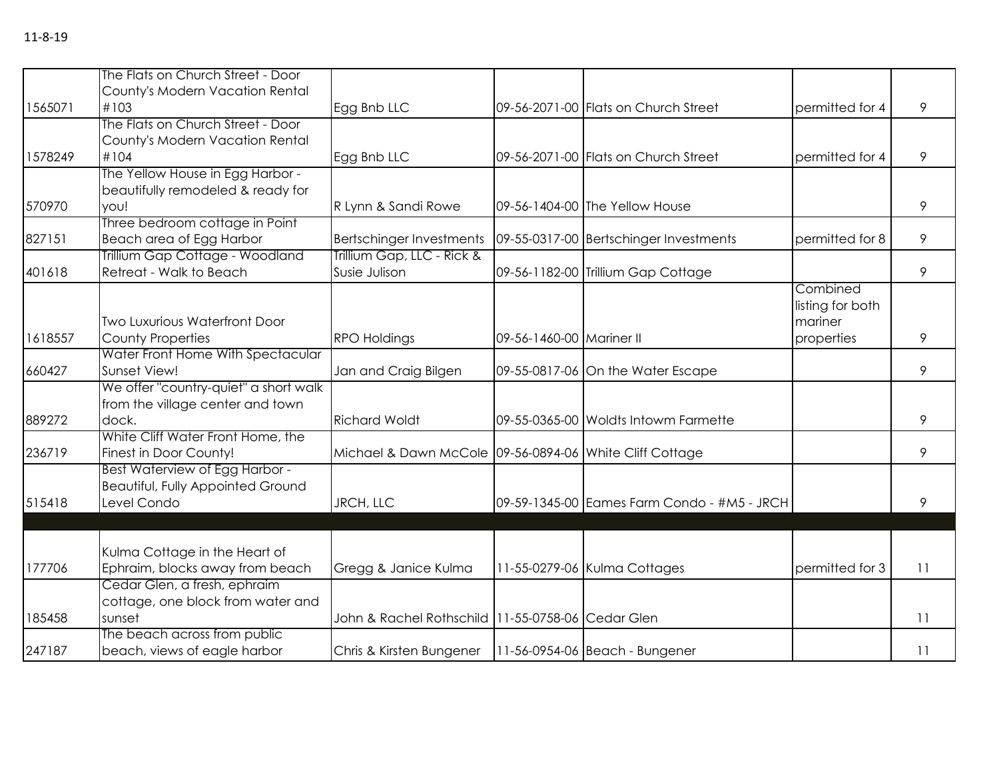|         | The Flats on Church Street - Door     |                                                             |                          |                                             |                  |    |
|---------|---------------------------------------|-------------------------------------------------------------|--------------------------|---------------------------------------------|------------------|----|
|         | County's Modern Vacation Rental       |                                                             |                          |                                             |                  |    |
| 1565071 | #103                                  | Egg Bnb LLC                                                 |                          | 09-56-2071-00 Flats on Church Street        | permitted for 4  | 9  |
|         | The Flats on Church Street - Door     |                                                             |                          |                                             |                  |    |
|         | County's Modern Vacation Rental       |                                                             |                          |                                             |                  |    |
| 1578249 | #104                                  | Egg Bnb LLC                                                 |                          | 09-56-2071-00 Flats on Church Street        | permitted for 4  | 9  |
|         | The Yellow House in Egg Harbor -      |                                                             |                          |                                             |                  |    |
|         | beautifully remodeled & ready for     |                                                             |                          |                                             |                  |    |
| 570970  | you!                                  | R Lynn & Sandi Rowe                                         |                          | 09-56-1404-00 The Yellow House              |                  | 9  |
|         | Three bedroom cottage in Point        |                                                             |                          |                                             |                  |    |
| 827151  | Beach area of Egg Harbor              | <b>Bertschinger Investments</b>                             |                          | 09-55-0317-00 Bertschinger Investments      | permitted for 8  | 9  |
|         | Trillium Gap Cottage - Woodland       | Trillium Gap, LLC - Rick &                                  |                          |                                             |                  |    |
| 401618  | Retreat - Walk to Beach               | Susie Julison                                               |                          | 09-56-1182-00 Trillium Gap Cottage          |                  | 9  |
|         |                                       |                                                             |                          |                                             | Combined         |    |
|         |                                       |                                                             |                          |                                             | listing for both |    |
|         | <b>Two Luxurious Waterfront Door</b>  |                                                             |                          |                                             | mariner          |    |
| 1618557 | County Properties                     | <b>RPO Holdings</b>                                         | 09-56-1460-00 Mariner II |                                             | properties       | 9  |
|         | Water Front Home With Spectacular     |                                                             |                          |                                             |                  |    |
| 660427  | Sunset View!                          | Jan and Craig Bilgen                                        |                          | 09-55-0817-06 On the Water Escape           |                  | 9  |
|         | We offer "country-quiet" a short walk |                                                             |                          |                                             |                  |    |
|         | from the village center and town      |                                                             |                          |                                             |                  |    |
| 889272  | dock.                                 | <b>Richard Woldt</b>                                        |                          | 09-55-0365-00 Woldts Intowm Farmette        |                  | 9  |
|         | White Cliff Water Front Home, the     |                                                             |                          |                                             |                  |    |
| 236719  | Finest in Door County!                | Michael & Dawn McCole 09-56-0894-06 White Cliff Cottage     |                          |                                             |                  | 9  |
|         | Best Waterview of Egg Harbor -        |                                                             |                          |                                             |                  |    |
|         | Beautiful, Fully Appointed Ground     |                                                             |                          |                                             |                  |    |
| 515418  | Level Condo                           | JRCH, LLC                                                   |                          | 09-59-1345-00 Eames Farm Condo - #M5 - JRCH |                  | 9  |
|         |                                       |                                                             |                          |                                             |                  |    |
|         |                                       |                                                             |                          |                                             |                  |    |
|         | Kulma Cottage in the Heart of         |                                                             |                          |                                             |                  |    |
| 177706  | Ephraim, blocks away from beach       | Gregg & Janice Kulma                                        |                          | 11-55-0279-06 Kulma Cottages                | permitted for 3  | 11 |
|         | Cedar Glen, a fresh, ephraim          |                                                             |                          |                                             |                  |    |
|         | cottage, one block from water and     |                                                             |                          |                                             |                  |    |
| 185458  | sunset                                | John & Rachel Rothschild 11-55-0758-06 Cedar Glen           |                          |                                             |                  | 11 |
|         | The beach across from public          |                                                             |                          |                                             |                  |    |
| 247187  | beach, views of eagle harbor          | Chris & Kirsten Bungener   11-56-0954-06   Beach - Bungener |                          |                                             |                  | 11 |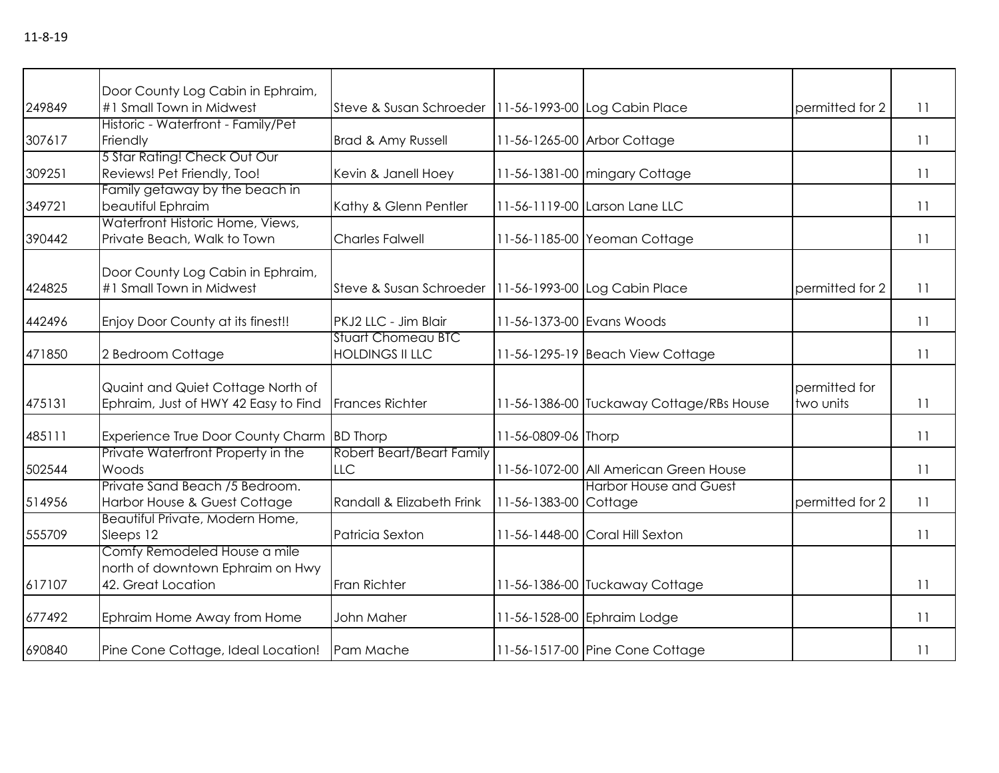|        | Door County Log Cabin in Ephraim,                                                      |                                                         |                           |                                          |                            |    |
|--------|----------------------------------------------------------------------------------------|---------------------------------------------------------|---------------------------|------------------------------------------|----------------------------|----|
| 249849 | #1 Small Town in Midwest                                                               | Steve & Susan Schroeder   11-56-1993-00 Log Cabin Place |                           |                                          | permitted for 2            | 11 |
| 307617 | Historic - Waterfront - Family/Pet<br>Friendly                                         | Brad & Amy Russell                                      |                           | 11-56-1265-00 Arbor Cottage              |                            | 11 |
| 309251 | 5 Star Rating! Check Out Our<br>Reviews! Pet Friendly, Too!                            | Kevin & Janell Hoey                                     |                           | 11-56-1381-00 mingary Cottage            |                            | 11 |
| 349721 | Family getaway by the beach in<br>beautiful Ephraim                                    | Kathy & Glenn Pentler                                   |                           | 11-56-1119-00 Larson Lane LLC            |                            | 11 |
| 390442 | Waterfront Historic Home, Views,<br>Private Beach, Walk to Town                        | <b>Charles Falwell</b>                                  |                           | 11-56-1185-00 Yeoman Cottage             |                            | 11 |
| 424825 | Door County Log Cabin in Ephraim,<br>#1 Small Town in Midwest                          | Steve & Susan Schroeder                                 |                           | 11-56-1993-00 Log Cabin Place            | permitted for 2            | 11 |
| 442496 | Enjoy Door County at its finest!!                                                      | PKJ2 LLC - Jim Blair                                    | 11-56-1373-00 Evans Woods |                                          |                            | 11 |
| 471850 | 2 Bedroom Cottage                                                                      | <b>Stuart Chomeau BTC</b><br><b>HOLDINGS II LLC</b>     |                           | 11-56-1295-19 Beach View Cottage         |                            | 11 |
| 475131 | Quaint and Quiet Cottage North of<br>Ephraim, Just of HWY 42 Easy to Find              | <b>Frances Richter</b>                                  |                           | 11-56-1386-00 Tuckaway Cottage/RBs House | permitted for<br>two units | 11 |
| 485111 | Experience True Door County Charm BD Thorp                                             |                                                         | 11-56-0809-06 Thorp       |                                          |                            | 11 |
| 502544 | Private Waterfront Property in the<br>Woods                                            | Robert Beart/Beart Family<br><b>LLC</b>                 |                           | 11-56-1072-00 All American Green House   |                            | 11 |
| 514956 | Private Sand Beach /5 Bedroom.<br>Harbor House & Guest Cottage                         | Randall & Elizabeth Frink                               | 11-56-1383-00 Cottage     | <b>Harbor House and Guest</b>            | permitted for 2            | 11 |
| 555709 | Beautiful Private, Modern Home,<br>Sleeps 12                                           | Patricia Sexton                                         |                           | 11-56-1448-00 Coral Hill Sexton          |                            | 11 |
| 617107 | Comfy Remodeled House a mile<br>north of downtown Ephraim on Hwy<br>42. Great Location | Fran Richter                                            |                           | 11-56-1386-00 Tuckaway Cottage           |                            | 11 |
| 677492 | Ephraim Home Away from Home                                                            | John Maher                                              |                           | 11-56-1528-00 Ephraim Lodge              |                            | 11 |
| 690840 | Pine Cone Cottage, Ideal Location! Pam Mache                                           |                                                         |                           | 11-56-1517-00 Pine Cone Cottage          |                            | 11 |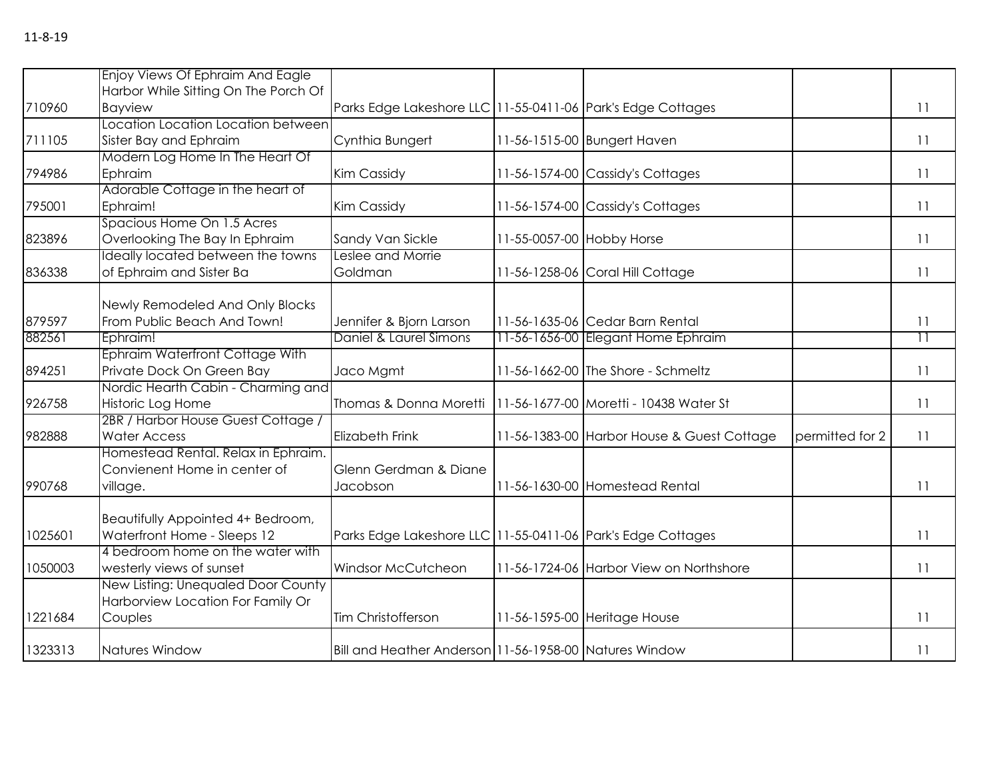|         | Enjoy Views Of Ephraim And Eagle     |                                                             |                           |                                            |                 |                 |
|---------|--------------------------------------|-------------------------------------------------------------|---------------------------|--------------------------------------------|-----------------|-----------------|
|         | Harbor While Sitting On The Porch Of |                                                             |                           |                                            |                 |                 |
| 710960  | <b>Bayview</b>                       | Parks Edge Lakeshore LLC 11-55-0411-06 Park's Edge Cottages |                           |                                            |                 | 11              |
|         | Location Location Location between   |                                                             |                           |                                            |                 |                 |
| 711105  | Sister Bay and Ephraim               | Cynthia Bungert                                             |                           | 11-56-1515-00 Bungert Haven                |                 | $\overline{11}$ |
|         | Modern Log Home In The Heart Of      |                                                             |                           |                                            |                 |                 |
| 794986  | Ephraim                              | Kim Cassidy                                                 |                           | 11-56-1574-00 Cassidy's Cottages           |                 | 11              |
|         | Adorable Cottage in the heart of     |                                                             |                           |                                            |                 |                 |
| 795001  | Ephraim!                             | Kim Cassidy                                                 |                           | 11-56-1574-00 Cassidy's Cottages           |                 | 11              |
|         | Spacious Home On 1.5 Acres           |                                                             |                           |                                            |                 |                 |
| 823896  | Overlooking The Bay In Ephraim       | Sandy Van Sickle                                            | 11-55-0057-00 Hobby Horse |                                            |                 | 11              |
|         | Ideally located between the towns    | Leslee and Morrie                                           |                           |                                            |                 |                 |
| 836338  | of Ephraim and Sister Ba             | Goldman                                                     |                           | 11-56-1258-06 Coral Hill Cottage           |                 | 11              |
|         |                                      |                                                             |                           |                                            |                 |                 |
|         | Newly Remodeled And Only Blocks      |                                                             |                           |                                            |                 |                 |
| 879597  | From Public Beach And Town!          | Jennifer & Bjorn Larson                                     |                           | 11-56-1635-06 Cedar Barn Rental            |                 | 11              |
| 882561  | Ephraim!                             | Daniel & Laurel Simons                                      |                           | 11-56-1656-00 Elegant Home Ephraim         |                 | $\overline{11}$ |
|         | Ephraim Waterfront Cottage With      |                                                             |                           |                                            |                 |                 |
| 894251  | Private Dock On Green Bay            | Jaco Mgmt                                                   |                           | 11-56-1662-00 The Shore - Schmeltz         |                 | 11              |
|         | Nordic Hearth Cabin - Charming and   |                                                             |                           |                                            |                 |                 |
| 926758  | Historic Log Home                    | Thomas & Donna Moretti                                      |                           | 11-56-1677-00 Moretti - 10438 Water St     |                 | 11              |
|         | 2BR / Harbor House Guest Cottage /   |                                                             |                           |                                            |                 |                 |
| 982888  | <b>Water Access</b>                  | Elizabeth Frink                                             |                           | 11-56-1383-00 Harbor House & Guest Cottage | permitted for 2 | 11              |
|         | Homestead Rental. Relax in Ephraim.  |                                                             |                           |                                            |                 |                 |
|         | Convienent Home in center of         | Glenn Gerdman & Diane                                       |                           |                                            |                 |                 |
| 990768  | village.                             | Jacobson                                                    |                           | 11-56-1630-00 Homestead Rental             |                 | 11              |
|         |                                      |                                                             |                           |                                            |                 |                 |
|         | Beautifully Appointed 4+ Bedroom,    |                                                             |                           |                                            |                 |                 |
| 1025601 | Waterfront Home - Sleeps 12          | Parks Edge Lakeshore LLC 11-55-0411-06 Park's Edge Cottages |                           |                                            |                 | 11              |
|         | 4 bedroom home on the water with     |                                                             |                           |                                            |                 |                 |
| 1050003 | westerly views of sunset             | Windsor McCutcheon                                          |                           | 11-56-1724-06 Harbor View on Northshore    |                 | 11              |
|         | New Listing: Unequaled Door County   |                                                             |                           |                                            |                 |                 |
|         | Harborview Location For Family Or    |                                                             |                           |                                            |                 |                 |
| 1221684 | Couples                              | Tim Christofferson                                          |                           | 11-56-1595-00 Heritage House               |                 | 11              |
|         |                                      |                                                             |                           |                                            |                 |                 |
| 1323313 | Natures Window                       | Bill and Heather Anderson 11-56-1958-00 Natures Window      |                           |                                            |                 | 11              |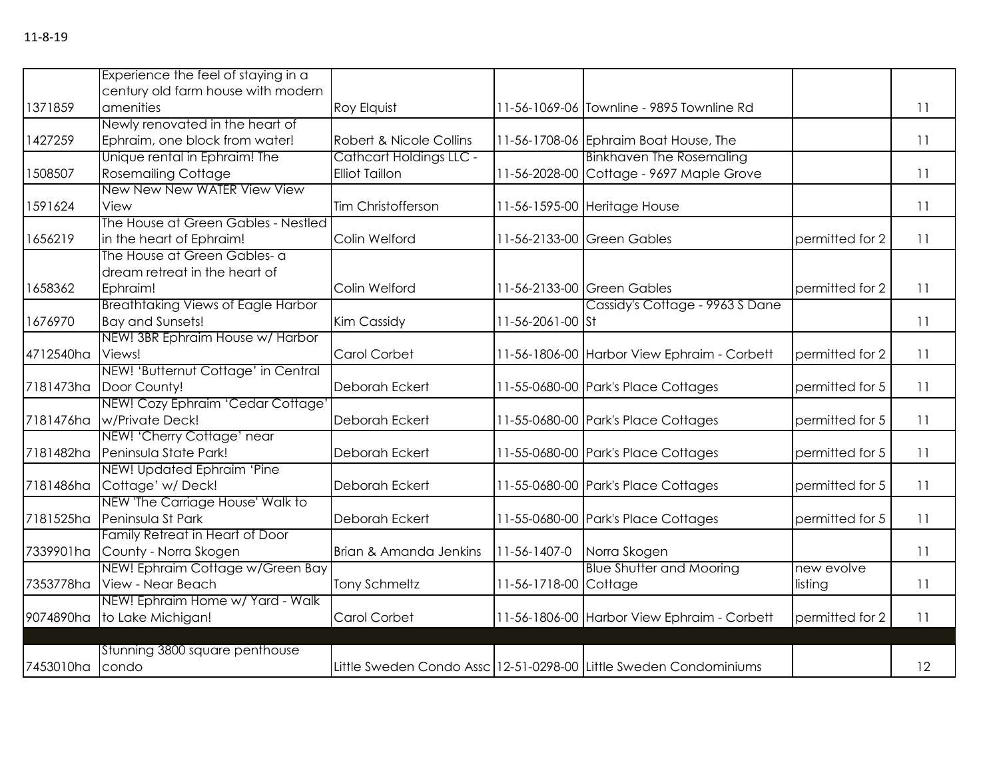|           | Experience the feel of staying in a       |                         |                       |                                                                   |                 |    |
|-----------|-------------------------------------------|-------------------------|-----------------------|-------------------------------------------------------------------|-----------------|----|
|           | century old farm house with modern        |                         |                       |                                                                   |                 |    |
| 1371859   | amenities                                 | Roy Elquist             |                       | 11-56-1069-06 Townline - 9895 Townline Rd                         |                 | 11 |
|           | Newly renovated in the heart of           |                         |                       |                                                                   |                 |    |
| 1427259   | Ephraim, one block from water!            | Robert & Nicole Collins |                       | 11-56-1708-06 Ephraim Boat House, The                             |                 | 11 |
|           | Unique rental in Ephraim! The             | Cathcart Holdings LLC - |                       | <b>Binkhaven The Rosemaling</b>                                   |                 |    |
| 1508507   | <b>Rosemailing Cottage</b>                | <b>Elliot Taillon</b>   |                       | 11-56-2028-00 Cottage - 9697 Maple Grove                          |                 | 11 |
|           | New New New WATER View View               |                         |                       |                                                                   |                 |    |
| 1591624   | View                                      | Tim Christofferson      |                       | 11-56-1595-00 Heritage House                                      |                 | 11 |
|           | The House at Green Gables - Nestled       |                         |                       |                                                                   |                 |    |
| 1656219   | in the heart of Ephraim!                  | Colin Welford           |                       | 11-56-2133-00 Green Gables                                        | permitted for 2 | 11 |
|           | The House at Green Gables- a              |                         |                       |                                                                   |                 |    |
|           | dream retreat in the heart of             |                         |                       |                                                                   |                 |    |
| 1658362   | Ephraim!                                  | Colin Welford           |                       | 11-56-2133-00 Green Gables                                        | permitted for 2 | 11 |
|           | <b>Breathtaking Views of Eagle Harbor</b> |                         |                       | Cassidy's Cottage - 9963 S Dane                                   |                 |    |
| 1676970   | <b>Bay and Sunsets!</b>                   | Kim Cassidy             | 11-56-2061-00 St      |                                                                   |                 | 11 |
|           | NEW! 3BR Ephraim House w/ Harbor          |                         |                       |                                                                   |                 |    |
| 4712540ha | Views!                                    | Carol Corbet            |                       | 11-56-1806-00 Harbor View Ephraim - Corbett                       | permitted for 2 | 11 |
|           | NEW! 'Butternut Cottage' in Central       |                         |                       |                                                                   |                 |    |
| 7181473ha | Door County!                              | Deborah Eckert          |                       | 11-55-0680-00 Park's Place Cottages                               | permitted for 5 | 11 |
|           | NEW! Cozy Ephraim 'Cedar Cottage'         |                         |                       |                                                                   |                 |    |
| 7181476ha | w/Private Deck!                           | Deborah Eckert          |                       | 11-55-0680-00 Park's Place Cottages                               | permitted for 5 | 11 |
|           | NEW! 'Cherry Cottage' near                |                         |                       |                                                                   |                 |    |
| 7181482ha | Peninsula State Park!                     | Deborah Eckert          |                       | 11-55-0680-00 Park's Place Cottages                               | permitted for 5 | 11 |
|           | NEW! Updated Ephraim 'Pine                |                         |                       |                                                                   |                 |    |
| 7181486ha | Cottage' w/Deck!                          | Deborah Eckert          |                       | 11-55-0680-00 Park's Place Cottages                               | permitted for 5 | 11 |
|           | NEW 'The Carriage House' Walk to          |                         |                       |                                                                   |                 |    |
| 7181525ha | Peninsula St Park                         | Deborah Eckert          |                       | 11-55-0680-00 Park's Place Cottages                               | permitted for 5 | 11 |
|           | Family Retreat in Heart of Door           |                         |                       |                                                                   |                 |    |
| 7339901ha | County - Norra Skogen                     | Brian & Amanda Jenkins  | 11-56-1407-0          | Norra Skogen                                                      |                 | 11 |
|           | NEW! Ephraim Cottage w/Green Bay          |                         |                       | <b>Blue Shutter and Mooring</b>                                   | new evolve      |    |
| 7353778ha | View - Near Beach                         | <b>Tony Schmeltz</b>    | 11-56-1718-00 Cottage |                                                                   | listing         | 11 |
|           | NEW! Ephraim Home w/ Yard - Walk          |                         |                       |                                                                   |                 |    |
| 9074890ha | to Lake Michigan!                         | Carol Corbet            |                       | 11-56-1806-00 Harbor View Ephraim - Corbett                       | permitted for 2 | 11 |
|           |                                           |                         |                       |                                                                   |                 |    |
|           | Stunning 3800 square penthouse            |                         |                       |                                                                   |                 |    |
| 7453010ha | condo                                     |                         |                       | Little Sweden Condo Assc 12-51-0298-00 Little Sweden Condominiums |                 | 12 |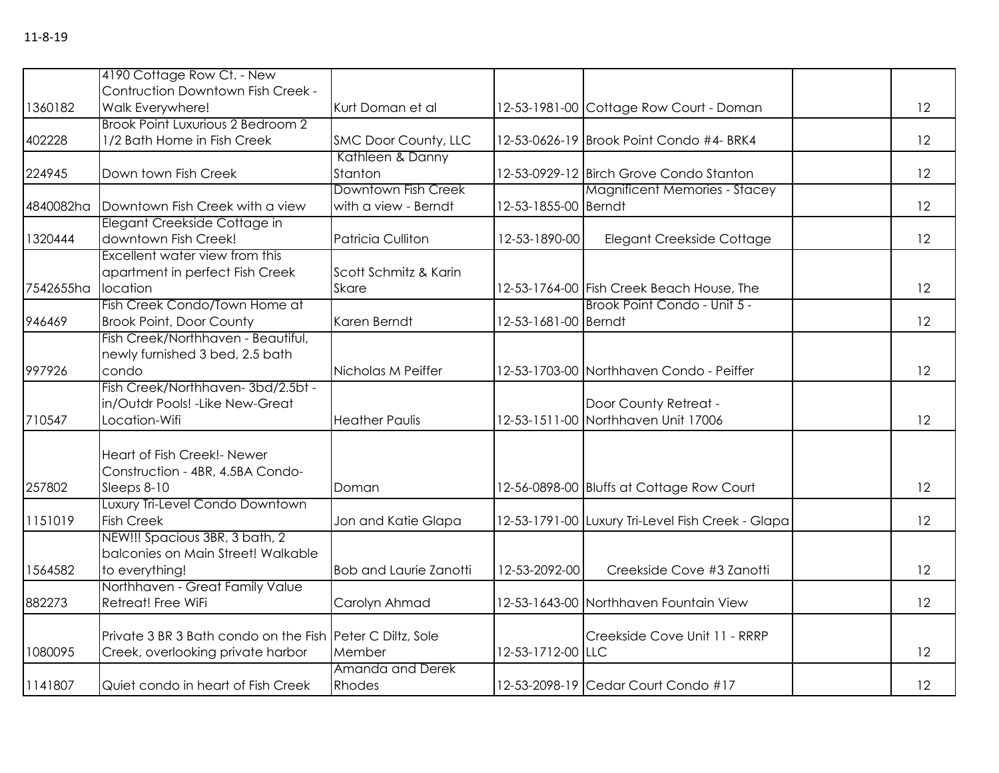|           | 4190 Cottage Row Ct. - New                                |                               |                      |                                                   |    |
|-----------|-----------------------------------------------------------|-------------------------------|----------------------|---------------------------------------------------|----|
|           | Contruction Downtown Fish Creek -                         |                               |                      |                                                   |    |
| 1360182   | Walk Everywhere!                                          | Kurt Doman et al              |                      | 12-53-1981-00 Cottage Row Court - Doman           | 12 |
|           | Brook Point Luxurious 2 Bedroom 2                         |                               |                      |                                                   |    |
| 402228    | 1/2 Bath Home in Fish Creek                               | SMC Door County, LLC          |                      | 12-53-0626-19 Brook Point Condo #4- BRK4          | 12 |
|           |                                                           | Kathleen & Danny              |                      |                                                   |    |
| 224945    | Down town Fish Creek                                      | Stanton                       |                      | 12-53-0929-12 Birch Grove Condo Stanton           | 12 |
|           |                                                           | Downtown Fish Creek           |                      | <b>Magnificent Memories - Stacey</b>              |    |
| 4840082ha | Downtown Fish Creek with a view                           | with a view - Berndt          | 12-53-1855-00 Berndt |                                                   | 12 |
|           | Elegant Creekside Cottage in                              |                               |                      |                                                   |    |
| 1320444   | downtown Fish Creek!                                      | <b>Patricia Culliton</b>      | 12-53-1890-00        | Elegant Creekside Cottage                         | 12 |
|           | Excellent water view from this                            |                               |                      |                                                   |    |
|           | apartment in perfect Fish Creek                           | Scott Schmitz & Karin         |                      |                                                   |    |
| 7542655ha | location                                                  | <b>Skare</b>                  |                      | 12-53-1764-00 Fish Creek Beach House, The         | 12 |
|           | Fish Creek Condo/Town Home at                             |                               |                      | Brook Point Condo - Unit 5 -                      |    |
| 946469    | <b>Brook Point, Door County</b>                           | Karen Berndt                  | 12-53-1681-00 Berndt |                                                   | 12 |
|           | Fish Creek/Northhaven - Beautiful,                        |                               |                      |                                                   |    |
|           | newly furnished 3 bed, 2.5 bath                           |                               |                      |                                                   |    |
| 997926    | condo                                                     | Nicholas M Peiffer            |                      | 12-53-1703-00 Northhaven Condo - Peiffer          | 12 |
|           | Fish Creek/Northhaven-3bd/2.5bt -                         |                               |                      |                                                   |    |
|           | in/Outdr Pools! - Like New-Great                          |                               |                      | Door County Retreat -                             |    |
| 710547    | Location-Wifi                                             | <b>Heather Paulis</b>         |                      | 12-53-1511-00 Northhaven Unit 17006               | 12 |
|           |                                                           |                               |                      |                                                   |    |
|           | Heart of Fish Creek!- Newer                               |                               |                      |                                                   |    |
|           | Construction - 4BR, 4.5BA Condo-                          |                               |                      |                                                   |    |
| 257802    | Sleeps 8-10                                               | Doman                         |                      | 12-56-0898-00 Bluffs at Cottage Row Court         | 12 |
|           | Luxury Tri-Level Condo Downtown                           |                               |                      |                                                   |    |
| 1151019   | <b>Fish Creek</b>                                         | Jon and Katie Glapa           |                      | 12-53-1791-00 Luxury Tri-Level Fish Creek - Glapa | 12 |
|           | NEW!!! Spacious 3BR, 3 bath, 2                            |                               |                      |                                                   |    |
|           | balconies on Main Street! Walkable                        |                               |                      |                                                   |    |
| 1564582   | to everything!                                            | <b>Bob and Laurie Zanotti</b> | 12-53-2092-00        | Creekside Cove #3 Zanotti                         | 12 |
|           | Northhaven - Great Family Value                           |                               |                      |                                                   |    |
| 882273    | Retreat! Free WiFi                                        | Carolyn Ahmad                 |                      | 12-53-1643-00 Northhaven Fountain View            | 12 |
|           |                                                           |                               |                      |                                                   |    |
|           | Private 3 BR 3 Bath condo on the Fish Peter C Diltz, Sole |                               |                      | Creekside Cove Unit 11 - RRRP                     |    |
| 1080095   | Creek, overlooking private harbor                         | Member                        | 12-53-1712-00 LLC    |                                                   | 12 |
|           |                                                           | Amanda and Derek              |                      |                                                   |    |
| 1141807   | Quiet condo in heart of Fish Creek                        | Rhodes                        |                      | 12-53-2098-19 Cedar Court Condo #17               | 12 |
|           |                                                           |                               |                      |                                                   |    |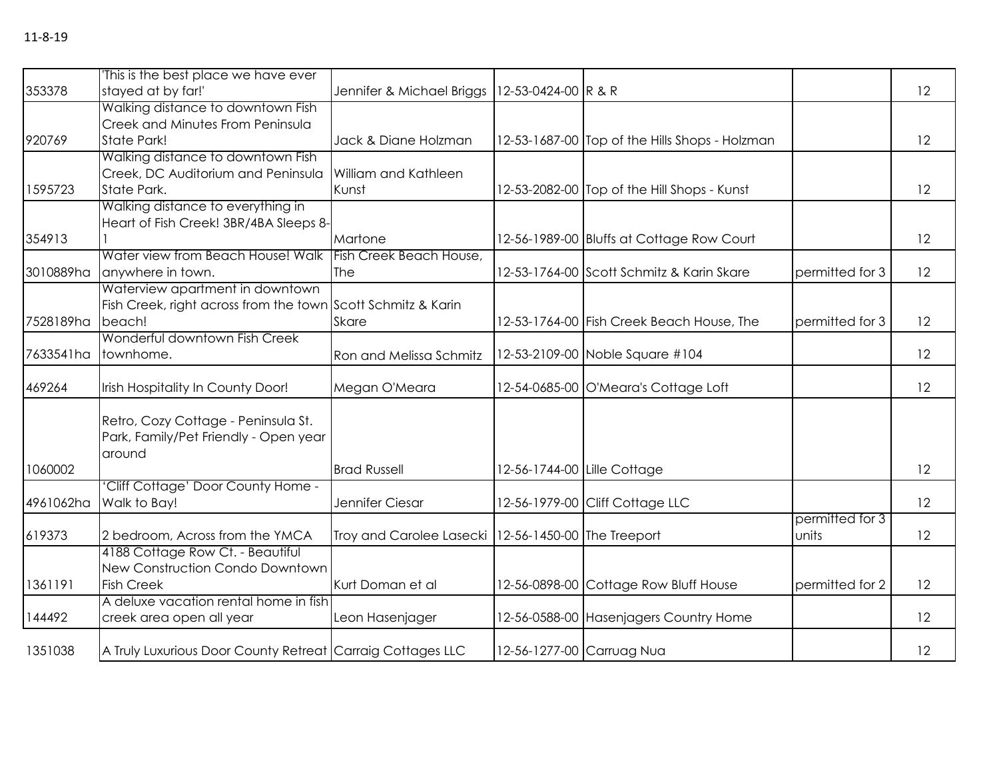|           | This is the best place we have ever                          |                           |                             |                                                |                 |    |
|-----------|--------------------------------------------------------------|---------------------------|-----------------------------|------------------------------------------------|-----------------|----|
| 353378    | stayed at by far!'                                           | Jennifer & Michael Briggs | 12-53-0424-00 R & R         |                                                |                 | 12 |
|           | Walking distance to downtown Fish                            |                           |                             |                                                |                 |    |
|           | Creek and Minutes From Peninsula                             |                           |                             |                                                |                 |    |
| 920769    | State Park!                                                  | Jack & Diane Holzman      |                             | 12-53-1687-00 Top of the Hills Shops - Holzman |                 | 12 |
|           | Walking distance to downtown Fish                            |                           |                             |                                                |                 |    |
|           | Creek, DC Auditorium and Peninsula                           | William and Kathleen      |                             |                                                |                 |    |
| 1595723   | State Park.                                                  | Kunst                     |                             | 12-53-2082-00 Top of the Hill Shops - Kunst    |                 | 12 |
|           | Walking distance to everything in                            |                           |                             |                                                |                 |    |
|           | Heart of Fish Creek! 3BR/4BA Sleeps 8-                       |                           |                             |                                                |                 |    |
| 354913    |                                                              | Martone                   |                             | 12-56-1989-00 Bluffs at Cottage Row Court      |                 | 12 |
|           | Water view from Beach House! Walk Fish Creek Beach House,    |                           |                             |                                                |                 |    |
| 3010889ha | anywhere in town.                                            | The                       |                             | 12-53-1764-00 Scott Schmitz & Karin Skare      | permitted for 3 | 12 |
|           | Waterview apartment in downtown                              |                           |                             |                                                |                 |    |
|           | Fish Creek, right across from the town Scott Schmitz & Karin |                           |                             |                                                |                 |    |
| 7528189ha | beach!                                                       | <b>Skare</b>              |                             | 12-53-1764-00 Fish Creek Beach House, The      | permitted for 3 | 12 |
|           | Wonderful downtown Fish Creek                                |                           |                             |                                                |                 |    |
| 7633541ha | townhome.                                                    | Ron and Melissa Schmitz   |                             | 12-53-2109-00 Noble Square #104                |                 | 12 |
| 469264    | Irish Hospitality In County Door!                            | Megan O'Meara             |                             | 12-54-0685-00 O'Meara's Cottage Loft           |                 | 12 |
|           |                                                              |                           |                             |                                                |                 |    |
|           | Retro, Cozy Cottage - Peninsula St.                          |                           |                             |                                                |                 |    |
|           | Park, Family/Pet Friendly - Open year                        |                           |                             |                                                |                 |    |
|           | around                                                       |                           |                             |                                                |                 |    |
| 1060002   |                                                              | <b>Brad Russell</b>       | 12-56-1744-00 Lille Cottage |                                                |                 | 12 |
|           | 'Cliff Cottage' Door County Home -                           |                           |                             |                                                |                 |    |
| 4961062ha | Walk to Bay!                                                 | Jennifer Ciesar           |                             | 12-56-1979-00 Cliff Cottage LLC                |                 | 12 |
|           |                                                              |                           |                             |                                                | permitted for 3 |    |
| 619373    | 2 bedroom, Across from the YMCA                              | Troy and Carolee Lasecki  | 12-56-1450-00 The Treeport  |                                                | units           | 12 |
|           | 4188 Cottage Row Ct. - Beautiful                             |                           |                             |                                                |                 |    |
|           | New Construction Condo Downtown                              |                           |                             |                                                |                 |    |
| 1361191   | <b>Fish Creek</b>                                            | Kurt Doman et al          |                             | 12-56-0898-00 Cottage Row Bluff House          | permitted for 2 | 12 |
|           | A deluxe vacation rental home in fish                        |                           |                             |                                                |                 |    |
| 144492    | creek area open all year                                     | Leon Hasenjager           |                             | 12-56-0588-00 Hasenjagers Country Home         |                 | 12 |
| 1351038   | A Truly Luxurious Door County Retreat Carraig Cottages LLC   |                           | 12-56-1277-00 Carruag Nua   |                                                |                 | 12 |
|           |                                                              |                           |                             |                                                |                 |    |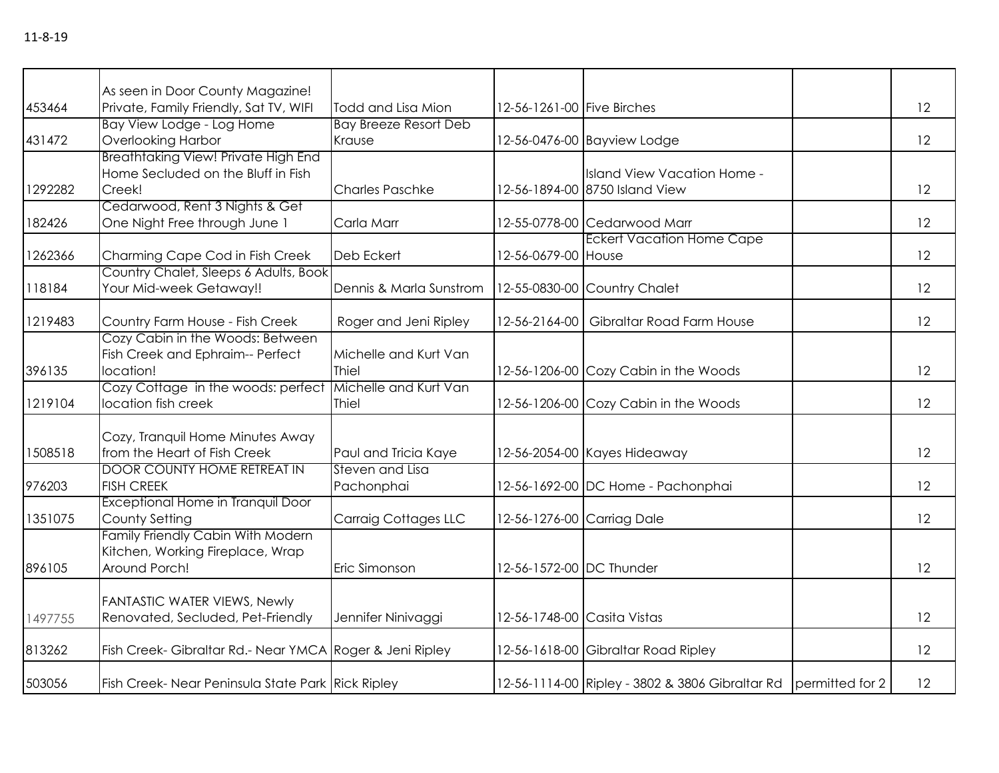|         | As seen in Door County Magazine!                         |                              |                             |                                                                   |    |
|---------|----------------------------------------------------------|------------------------------|-----------------------------|-------------------------------------------------------------------|----|
| 453464  | Private, Family Friendly, Sat TV, WIFI                   | Todd and Lisa Mion           | 12-56-1261-00 Five Birches  |                                                                   | 12 |
|         | Bay View Lodge - Log Home                                | <b>Bay Breeze Resort Deb</b> |                             |                                                                   |    |
| 431472  | Overlooking Harbor                                       | Krause                       |                             | 12-56-0476-00 Bayview Lodge                                       | 12 |
|         | <b>Breathtaking View! Private High End</b>               |                              |                             |                                                                   |    |
|         | Home Secluded on the Bluff in Fish                       |                              |                             | Island View Vacation Home -                                       |    |
| 1292282 | Creek!                                                   | <b>Charles Paschke</b>       |                             | 12-56-1894-00 8750 Island View                                    | 12 |
|         | Cedarwood, Rent 3 Nights & Get                           |                              |                             |                                                                   |    |
| 182426  | One Night Free through June 1                            | Carla Marr                   |                             | 12-55-0778-00 Cedarwood Marr                                      | 12 |
|         |                                                          |                              |                             | <b>Eckert Vacation Home Cape</b>                                  |    |
| 1262366 | Charming Cape Cod in Fish Creek                          | Deb Eckert                   | 12-56-0679-00 House         |                                                                   | 12 |
|         | Country Chalet, Sleeps 6 Adults, Book                    |                              |                             |                                                                   |    |
| 118184  | Your Mid-week Getaway!!                                  | Dennis & Marla Sunstrom      |                             | 12-55-0830-00 Country Chalet                                      | 12 |
|         |                                                          |                              |                             |                                                                   |    |
| 1219483 | Country Farm House - Fish Creek                          | Roger and Jeni Ripley        |                             | 12-56-2164-00 Gibraltar Road Farm House                           | 12 |
|         | Cozy Cabin in the Woods: Between                         |                              |                             |                                                                   |    |
|         | Fish Creek and Ephraim-- Perfect                         | Michelle and Kurt Van        |                             |                                                                   |    |
| 396135  | location!                                                | Thiel                        |                             | 12-56-1206-00 Cozy Cabin in the Woods                             | 12 |
|         | Cozy Cottage in the woods: perfect                       | Michelle and Kurt Van        |                             |                                                                   |    |
| 1219104 | location fish creek                                      | <b>Thiel</b>                 |                             | 12-56-1206-00 Cozy Cabin in the Woods                             | 12 |
|         |                                                          |                              |                             |                                                                   |    |
|         | Cozy, Tranquil Home Minutes Away                         |                              |                             |                                                                   |    |
| 1508518 | from the Heart of Fish Creek                             | Paul and Tricia Kaye         |                             | 12-56-2054-00 Kayes Hideaway                                      | 12 |
|         | <b>DOOR COUNTY HOME RETREAT IN</b>                       | Steven and Lisa              |                             |                                                                   |    |
| 976203  | <b>FISH CREEK</b>                                        | Pachonphai                   |                             | 12-56-1692-00 DC Home - Pachonphai                                | 12 |
|         | Exceptional Home in Tranquil Door                        |                              |                             |                                                                   |    |
| 1351075 | County Setting                                           | <b>Carraig Cottages LLC</b>  | 12-56-1276-00 Carriag Dale  |                                                                   | 12 |
|         | Family Friendly Cabin With Modern                        |                              |                             |                                                                   |    |
|         | Kitchen, Working Fireplace, Wrap                         |                              |                             |                                                                   |    |
| 896105  | Around Porch!                                            | Eric Simonson                | 12-56-1572-00 DC Thunder    |                                                                   | 12 |
|         |                                                          |                              |                             |                                                                   |    |
|         | <b>FANTASTIC WATER VIEWS, Newly</b>                      |                              |                             |                                                                   |    |
| 1497755 | Renovated, Secluded, Pet-Friendly                        | Jennifer Ninivaggi           | 12-56-1748-00 Casita Vistas |                                                                   | 12 |
|         |                                                          |                              |                             |                                                                   |    |
| 813262  | Fish Creek- Gibraltar Rd.- Near YMCA Roger & Jeni Ripley |                              |                             | 12-56-1618-00 Gibraltar Road Ripley                               | 12 |
|         |                                                          |                              |                             |                                                                   |    |
| 503056  | Fish Creek-Near Peninsula State Park Rick Ripley         |                              |                             | 12-56-1114-00 Ripley - 3802 & 3806 Gibraltar Rd   permitted for 2 | 12 |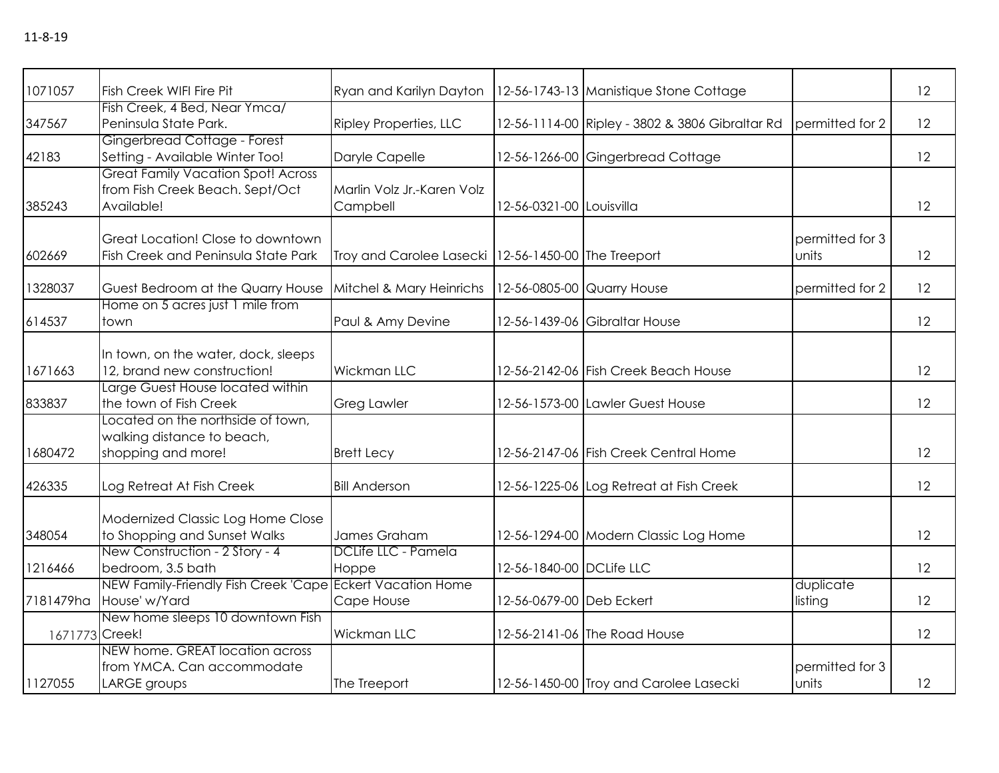| 1071057        | <b>Fish Creek WIFI Fire Pit</b>                                                            | Ryan and Karilyn Dayton                               |                            | 12-56-1743-13 Manistique Stone Cottage          |                          | 12 |
|----------------|--------------------------------------------------------------------------------------------|-------------------------------------------------------|----------------------------|-------------------------------------------------|--------------------------|----|
| 347567         | Fish Creek, 4 Bed, Near Ymca/<br>Peninsula State Park.                                     | <b>Ripley Properties, LLC</b>                         |                            | 12-56-1114-00 Ripley - 3802 & 3806 Gibraltar Rd | permitted for 2          | 12 |
| 42183          | Gingerbread Cottage - Forest<br>Setting - Available Winter Too!                            | Daryle Capelle                                        | 12-56-1266-00              | Gingerbread Cottage                             |                          | 12 |
| 385243         | <b>Great Family Vacation Spot! Across</b><br>from Fish Creek Beach. Sept/Oct<br>Available! | Marlin Volz Jr.-Karen Volz<br>Campbell                | 12-56-0321-00 Louisvilla   |                                                 |                          | 12 |
| 602669         | Great Location! Close to downtown<br>Fish Creek and Peninsula State Park                   | Troy and Carolee Lasecki   12-56-1450-00 The Treeport |                            |                                                 | permitted for 3<br>units | 12 |
| 1328037        | Guest Bedroom at the Quarry House                                                          | Mitchel & Mary Heinrichs                              | 12-56-0805-00 Quarry House |                                                 | permitted for 2          | 12 |
| 614537         | Home on 5 acres just 1 mile from<br>town                                                   | Paul & Amy Devine                                     |                            | 12-56-1439-06 Gibraltar House                   |                          | 12 |
| 1671663        | In town, on the water, dock, sleeps<br>12, brand new construction!                         | Wickman LLC                                           |                            | 12-56-2142-06 Fish Creek Beach House            |                          | 12 |
| 833837         | Large Guest House located within<br>the town of Fish Creek                                 | <b>Greg Lawler</b>                                    |                            | 12-56-1573-00 Lawler Guest House                |                          | 12 |
| 1680472        | Located on the northside of town,<br>walking distance to beach,<br>shopping and more!      | <b>Brett Lecy</b>                                     |                            | 12-56-2147-06 Fish Creek Central Home           |                          | 12 |
| 426335         | Log Retreat At Fish Creek                                                                  | <b>Bill Anderson</b>                                  |                            | 12-56-1225-06 Log Retreat at Fish Creek         |                          | 12 |
| 348054         | Modernized Classic Log Home Close<br>to Shopping and Sunset Walks                          | James Graham                                          |                            | 12-56-1294-00 Modern Classic Log Home           |                          | 12 |
| 1216466        | New Construction - 2 Story - 4<br>bedroom, 3.5 bath                                        | <b>DCLife LLC - Pamela</b><br>Hoppe                   | 12-56-1840-00 DCLife LLC   |                                                 |                          | 12 |
| 7181479ha      | NEW Family-Friendly Fish Creek 'Cape Eckert Vacation Home<br>House' w/Yard                 | Cape House                                            | 12-56-0679-00 Deb Eckert   |                                                 | duplicate<br>listing     | 12 |
| 1671773 Creek! | New home sleeps 10 downtown Fish                                                           | <b>Wickman LLC</b>                                    |                            | 12-56-2141-06 The Road House                    |                          | 12 |
| 1127055        | NEW home. GREAT location across<br>from YMCA. Can accommodate<br>LARGE groups              | The Treeport                                          |                            | 12-56-1450-00 Troy and Carolee Lasecki          | permitted for 3<br>units | 12 |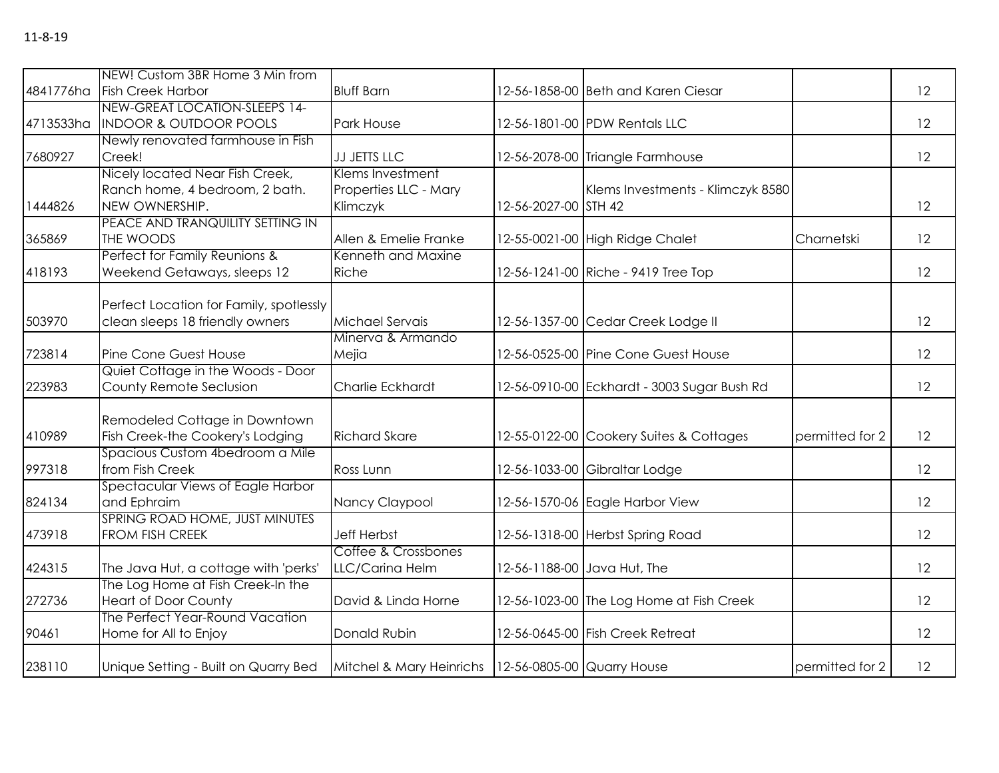|           | NEW! Custom 3BR Home 3 Min from                                                     |                                                       |                            |                                             |                 |    |
|-----------|-------------------------------------------------------------------------------------|-------------------------------------------------------|----------------------------|---------------------------------------------|-----------------|----|
|           | 4841776ha Fish Creek Harbor                                                         | <b>Bluff Barn</b>                                     |                            | 12-56-1858-00 Beth and Karen Ciesar         |                 | 12 |
| 4713533ha | NEW-GREAT LOCATION-SLEEPS 14-<br><b>INDOOR &amp; OUTDOOR POOLS</b>                  | Park House                                            |                            | 12-56-1801-00 PDW Rentals LLC               |                 | 12 |
| 7680927   | Newly renovated farmhouse in Fish<br>Creek!                                         | JJ JETTS LLC                                          |                            | 12-56-2078-00 Triangle Farmhouse            |                 | 12 |
| 1444826   | Nicely located Near Fish Creek,<br>Ranch home, 4 bedroom, 2 bath.<br>NEW OWNERSHIP. | Klems Investment<br>Properties LLC - Mary<br>Klimczyk | 12-56-2027-00 STH 42       | Klems Investments - Klimczyk 8580           |                 | 12 |
| 365869    | PEACE AND TRANQUILITY SETTING IN<br>THE WOODS                                       | Allen & Emelie Franke                                 |                            | 12-55-0021-00 High Ridge Chalet             | Charnetski      | 12 |
| 418193    | Perfect for Family Reunions &<br>Weekend Getaways, sleeps 12                        | Kenneth and Maxine<br>Riche                           |                            | 12-56-1241-00 Riche - 9419 Tree Top         |                 | 12 |
| 503970    | Perfect Location for Family, spotlessly<br>clean sleeps 18 friendly owners          | Michael Servais                                       |                            | 12-56-1357-00 Cedar Creek Lodge II          |                 | 12 |
| 723814    | Pine Cone Guest House                                                               | Minerva & Armando<br>Mejia                            |                            | 12-56-0525-00 Pine Cone Guest House         |                 | 12 |
| 223983    | Quiet Cottage in the Woods - Door<br>County Remote Seclusion                        | <b>Charlie Eckhardt</b>                               |                            | 12-56-0910-00 Eckhardt - 3003 Sugar Bush Rd |                 | 12 |
| 410989    | Remodeled Cottage in Downtown<br>Fish Creek-the Cookery's Lodging                   | <b>Richard Skare</b>                                  |                            | 12-55-0122-00 Cookery Suites & Cottages     | permitted for 2 | 12 |
| 997318    | Spacious Custom 4bedroom a Mile<br>from Fish Creek                                  | Ross Lunn                                             |                            | 12-56-1033-00 Gibraltar Lodge               |                 | 12 |
| 824134    | Spectacular Views of Eagle Harbor<br>and Ephraim                                    | Nancy Claypool                                        |                            | 12-56-1570-06 Eagle Harbor View             |                 | 12 |
| 473918    | SPRING ROAD HOME, JUST MINUTES<br>FROM FISH CREEK                                   | <b>Jeff Herbst</b>                                    |                            | 12-56-1318-00 Herbst Spring Road            |                 | 12 |
| 424315    | The Java Hut, a cottage with 'perks'                                                | Coffee & Crossbones<br>LLC/Carina Helm                |                            | 12-56-1188-00 Java Hut, The                 |                 | 12 |
| 272736    | The Log Home at Fish Creek-In the<br><b>Heart of Door County</b>                    | David & Linda Horne                                   |                            | 12-56-1023-00 The Log Home at Fish Creek    |                 | 12 |
| 90461     | The Perfect Year-Round Vacation<br>Home for All to Enjoy                            | Donald Rubin                                          |                            | 12-56-0645-00 Fish Creek Retreat            |                 | 12 |
| 238110    | Unique Setting - Built on Quarry Bed                                                | Mitchel & Mary Heinrichs                              | 12-56-0805-00 Quarry House |                                             | permitted for 2 | 12 |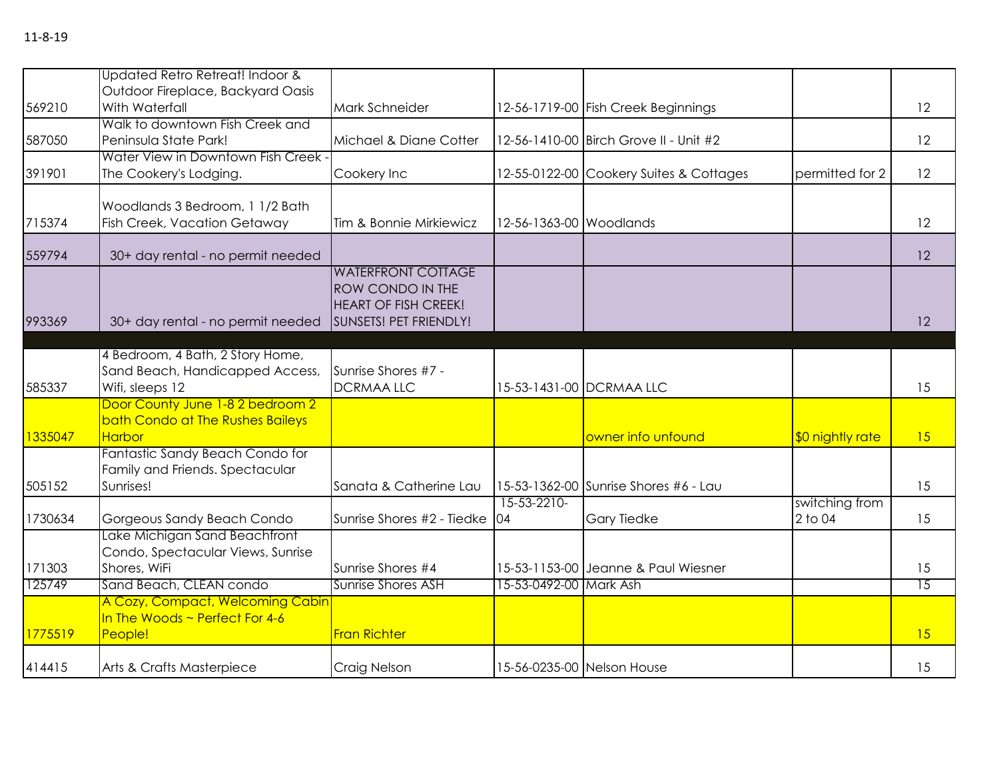|         | Updated Retro Retreat! Indoor &                                      |                             |                            |                                         |                  |                 |
|---------|----------------------------------------------------------------------|-----------------------------|----------------------------|-----------------------------------------|------------------|-----------------|
|         | Outdoor Fireplace, Backyard Oasis                                    |                             |                            |                                         |                  |                 |
| 569210  | With Waterfall<br>Walk to downtown Fish Creek and                    | Mark Schneider              |                            | 12-56-1719-00 Fish Creek Beginnings     |                  | 12              |
| 587050  | Peninsula State Park!                                                | Michael & Diane Cotter      |                            | 12-56-1410-00 Birch Grove II - Unit #2  |                  | 12              |
|         | Water View in Downtown Fish Creek -                                  |                             |                            |                                         |                  |                 |
| 391901  | The Cookery's Lodging.                                               | Cookery Inc                 |                            | 12-55-0122-00 Cookery Suites & Cottages | permitted for 2  | 12              |
|         |                                                                      |                             |                            |                                         |                  |                 |
|         | Woodlands 3 Bedroom, 1 1/2 Bath                                      |                             |                            |                                         |                  |                 |
| 715374  | <b>Fish Creek, Vacation Getaway</b>                                  | Tim & Bonnie Mirkiewicz     | 12-56-1363-00 Woodlands    |                                         |                  | 12              |
| 559794  |                                                                      |                             |                            |                                         |                  | 12              |
|         | 30+ day rental - no permit needed                                    | <b>WATERFRONT COTTAGE</b>   |                            |                                         |                  |                 |
|         |                                                                      | <b>ROW CONDO IN THE</b>     |                            |                                         |                  |                 |
|         |                                                                      | <b>HEART OF FISH CREEK!</b> |                            |                                         |                  |                 |
| 993369  | 30+ day rental - no permit needed                                    | SUNSETS! PET FRIENDLY!      |                            |                                         |                  | 12              |
|         |                                                                      |                             |                            |                                         |                  |                 |
|         | 4 Bedroom, 4 Bath, 2 Story Home,                                     |                             |                            |                                         |                  |                 |
|         | Sand Beach, Handicapped Access,                                      | Sunrise Shores #7 -         |                            |                                         |                  |                 |
| 585337  | Wifi, sleeps 12                                                      | <b>DCRMAALLC</b>            |                            | 15-53-1431-00 DCRMAA LLC                |                  | 15              |
|         | Door County June 1-8 2 bedroom 2<br>bath Condo at The Rushes Baileys |                             |                            |                                         |                  |                 |
| 1335047 | Harbor                                                               |                             |                            | owner info unfound                      | \$0 nightly rate | 15              |
|         | Fantastic Sandy Beach Condo for                                      |                             |                            |                                         |                  |                 |
|         | Family and Friends. Spectacular                                      |                             |                            |                                         |                  |                 |
| 505152  | Sunrises!                                                            | Sanata & Catherine Lau      |                            | 15-53-1362-00 Sunrise Shores #6 - Lau   |                  | 15              |
|         |                                                                      |                             | 15-53-2210-                |                                         | switching from   |                 |
| 1730634 | Gorgeous Sandy Beach Condo                                           | Sunrise Shores #2 - Tiedke  | 04                         | <b>Gary Tiedke</b>                      | 2 to 04          | 15              |
|         | Lake Michigan Sand Beachfront<br>Condo, Spectacular Views, Sunrise   |                             |                            |                                         |                  |                 |
| 171303  | Shores, WiFi                                                         | Sunrise Shores #4           |                            | 15-53-1153-00 Jeanne & Paul Wiesner     |                  | 15              |
| 125749  | Sand Beach, CLEAN condo                                              | <b>Sunrise Shores ASH</b>   | 15-53-0492-00 Mark Ash     |                                         |                  | $\overline{15}$ |
|         | A Cozy, Compact, Welcoming Cabin                                     |                             |                            |                                         |                  |                 |
|         | In The Woods $\sim$ Perfect For 4-6                                  |                             |                            |                                         |                  |                 |
| 1775519 | People!                                                              | <b>Fran Richter</b>         |                            |                                         |                  | 15              |
|         |                                                                      |                             |                            |                                         |                  |                 |
| 414415  | Arts & Crafts Masterpiece                                            | Craig Nelson                | 15-56-0235-00 Nelson House |                                         |                  | 15              |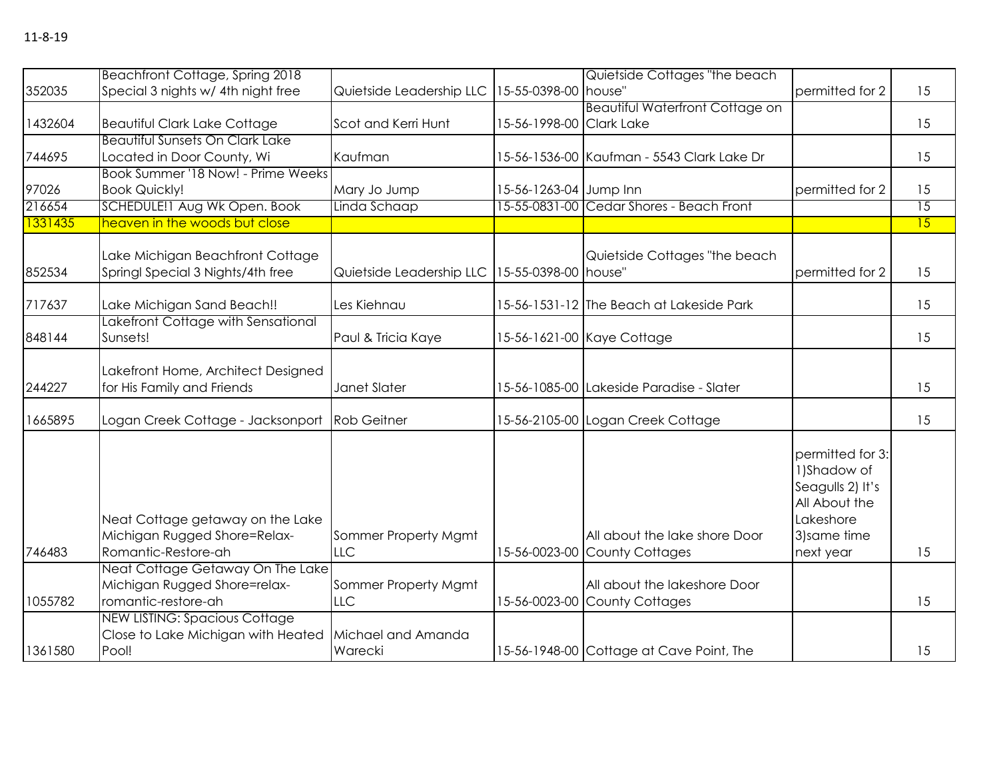|         | Beachfront Cottage, Spring 2018        |                          |                          | Quietside Cottages "the beach              |                  |                 |
|---------|----------------------------------------|--------------------------|--------------------------|--------------------------------------------|------------------|-----------------|
| 352035  | Special 3 nights w/ 4th night free     | Quietside Leadership LLC | 15-55-0398-00 house"     |                                            | permitted for 2  | 15              |
|         |                                        |                          |                          | <b>Beautiful Waterfront Cottage on</b>     |                  |                 |
| 1432604 | <b>Beautiful Clark Lake Cottage</b>    | Scot and Kerri Hunt      | 15-56-1998-00 Clark Lake |                                            |                  | 15              |
|         | <b>Beautiful Sunsets On Clark Lake</b> |                          |                          |                                            |                  |                 |
| 744695  | Located in Door County, Wi             | Kaufman                  |                          | 15-56-1536-00 Kaufman - 5543 Clark Lake Dr |                  | 15              |
|         | Book Summer '18 Now! - Prime Weeks     |                          |                          |                                            |                  |                 |
| 97026   | <b>Book Quickly!</b>                   | Mary Jo Jump             | 15-56-1263-04 Jump Inn   |                                            | permitted for 2  | 15              |
| 216654  | SCHEDULE!1 Aug Wk Open. Book           | Linda Schaap             |                          | 15-55-0831-00 Cedar Shores - Beach Front   |                  | $\overline{15}$ |
| 1331435 | heaven in the woods but close          |                          |                          |                                            |                  | 15              |
|         |                                        |                          |                          |                                            |                  |                 |
|         | Lake Michigan Beachfront Cottage       |                          |                          | Quietside Cottages "the beach              |                  |                 |
| 852534  | Springl Special 3 Nights/4th free      | Quietside Leadership LLC | 15-55-0398-00 house"     |                                            | permitted for 2  | 15              |
|         |                                        |                          |                          |                                            |                  |                 |
| 717637  | Lake Michigan Sand Beach!!             | Les Kiehnau              |                          | 15-56-1531-12 The Beach at Lakeside Park   |                  | 15              |
|         | Lakefront Cottage with Sensational     |                          |                          |                                            |                  |                 |
| 848144  | Sunsets!                               | Paul & Tricia Kaye       |                          | 15-56-1621-00 Kaye Cottage                 |                  | 15              |
|         |                                        |                          |                          |                                            |                  |                 |
| 244227  | Lakefront Home, Architect Designed     | Janet Slater             |                          | 15-56-1085-00 Lakeside Paradise - Slater   |                  | 15              |
|         | for His Family and Friends             |                          |                          |                                            |                  |                 |
| 1665895 | Logan Creek Cottage - Jacksonport      | <b>Rob Geitner</b>       |                          | 15-56-2105-00 Logan Creek Cottage          |                  | 15              |
|         |                                        |                          |                          |                                            |                  |                 |
|         |                                        |                          |                          |                                            | permitted for 3: |                 |
|         |                                        |                          |                          |                                            | 1)Shadow of      |                 |
|         |                                        |                          |                          |                                            | Seagulls 2) It's |                 |
|         |                                        |                          |                          |                                            | All About the    |                 |
|         | Neat Cottage getaway on the Lake       |                          |                          |                                            | Lakeshore        |                 |
|         | Michigan Rugged Shore=Relax-           | Sommer Property Mgmt     |                          | All about the lake shore Door              | 3) same time     |                 |
| 746483  | Romantic-Restore-ah                    | <b>LLC</b>               |                          | 15-56-0023-00 County Cottages              | next year        | 15              |
|         | Neat Cottage Getaway On The Lake       |                          |                          |                                            |                  |                 |
|         | Michigan Rugged Shore=relax-           | Sommer Property Mgmt     |                          | All about the lakeshore Door               |                  |                 |
| 1055782 | romantic-restore-ah                    | <b>LLC</b>               |                          | 15-56-0023-00 County Cottages              |                  | 15              |
|         | <b>NEW LISTING: Spacious Cottage</b>   |                          |                          |                                            |                  |                 |
|         | Close to Lake Michigan with Heated     | Michael and Amanda       |                          |                                            |                  |                 |
| 1361580 | Pool!                                  | Warecki                  |                          | 15-56-1948-00 Cottage at Cave Point, The   |                  | 15              |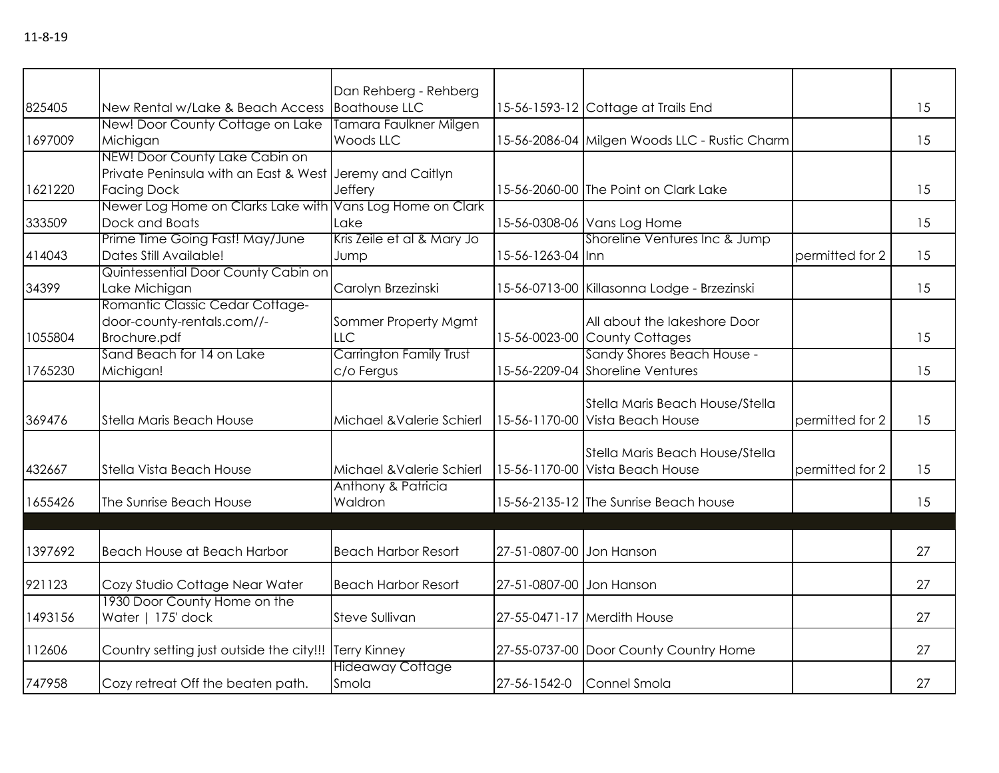| 825405  | New Rental w/Lake & Beach Access                                                                                 | Dan Rehberg - Rehberg<br><b>Boathouse LLC</b> |                          | 15-56-1593-12 Cottage at Trails End                                |                 | 15 |
|---------|------------------------------------------------------------------------------------------------------------------|-----------------------------------------------|--------------------------|--------------------------------------------------------------------|-----------------|----|
| 1697009 | New! Door County Cottage on Lake<br>Michigan                                                                     | Tamara Faulkner Milgen<br>Woods LLC           |                          | 15-56-2086-04 Milgen Woods LLC - Rustic Charm                      |                 | 15 |
| 1621220 | NEW! Door County Lake Cabin on<br>Private Peninsula with an East & West Jeremy and Caitlyn<br><b>Facing Dock</b> | Jeffery                                       |                          | 15-56-2060-00 The Point on Clark Lake                              |                 | 15 |
| 333509  | Newer Log Home on Clarks Lake with Vans Log Home on Clark<br>Dock and Boats                                      | Lake                                          |                          | 15-56-0308-06 Vans Log Home                                        |                 | 15 |
| 414043  | Prime Time Going Fast! May/June<br>Dates Still Available!                                                        | Kris Zeile et al & Mary Jo<br>Jump            | 15-56-1263-04 Inn        | Shoreline Ventures Inc & Jump                                      | permitted for 2 | 15 |
| 34399   | Quintessential Door County Cabin on<br>Lake Michigan                                                             | Carolyn Brzezinski                            |                          | 15-56-0713-00 Killasonna Lodge - Brzezinski                        |                 | 15 |
| 1055804 | Romantic Classic Cedar Cottage-<br>door-county-rentals.com//-<br>Brochure.pdf                                    | Sommer Property Mgmt<br><b>LLC</b>            |                          | All about the lakeshore Door<br>15-56-0023-00 County Cottages      |                 | 15 |
| 1765230 | Sand Beach for 14 on Lake<br>Michigan!                                                                           | Carrington Family Trust<br>c/o Fergus         |                          | Sandy Shores Beach House -<br>15-56-2209-04 Shoreline Ventures     |                 | 15 |
| 369476  | Stella Maris Beach House                                                                                         | Michael & Valerie Schierl                     |                          | Stella Maris Beach House/Stella<br>15-56-1170-00 Vista Beach House | permitted for 2 | 15 |
| 432667  | Stella Vista Beach House                                                                                         | Michael & Valerie Schierl                     |                          | Stella Maris Beach House/Stella<br>15-56-1170-00 Vista Beach House | permitted for 2 | 15 |
| 1655426 | The Sunrise Beach House                                                                                          | Anthony & Patricia<br>Waldron                 |                          | 15-56-2135-12 The Sunrise Beach house                              |                 | 15 |
|         |                                                                                                                  |                                               |                          |                                                                    |                 |    |
| 1397692 | <b>Beach House at Beach Harbor</b>                                                                               | <b>Beach Harbor Resort</b>                    | 27-51-0807-00 Jon Hanson |                                                                    |                 | 27 |
| 921123  | Cozy Studio Cottage Near Water                                                                                   | <b>Beach Harbor Resort</b>                    | 27-51-0807-00 Jon Hanson |                                                                    |                 | 27 |
| 1493156 | 1930 Door County Home on the<br>Water   175' dock                                                                | Steve Sullivan                                |                          | 27-55-0471-17 Merdith House                                        |                 | 27 |
| 112606  | Country setting just outside the city!!! Terry Kinney                                                            |                                               |                          | 27-55-0737-00 Door County Country Home                             |                 | 27 |
| 747958  | Cozy retreat Off the beaten path.                                                                                | <b>Hideaway Cottage</b><br>Smola              | 27-56-1542-0             | Connel Smola                                                       |                 | 27 |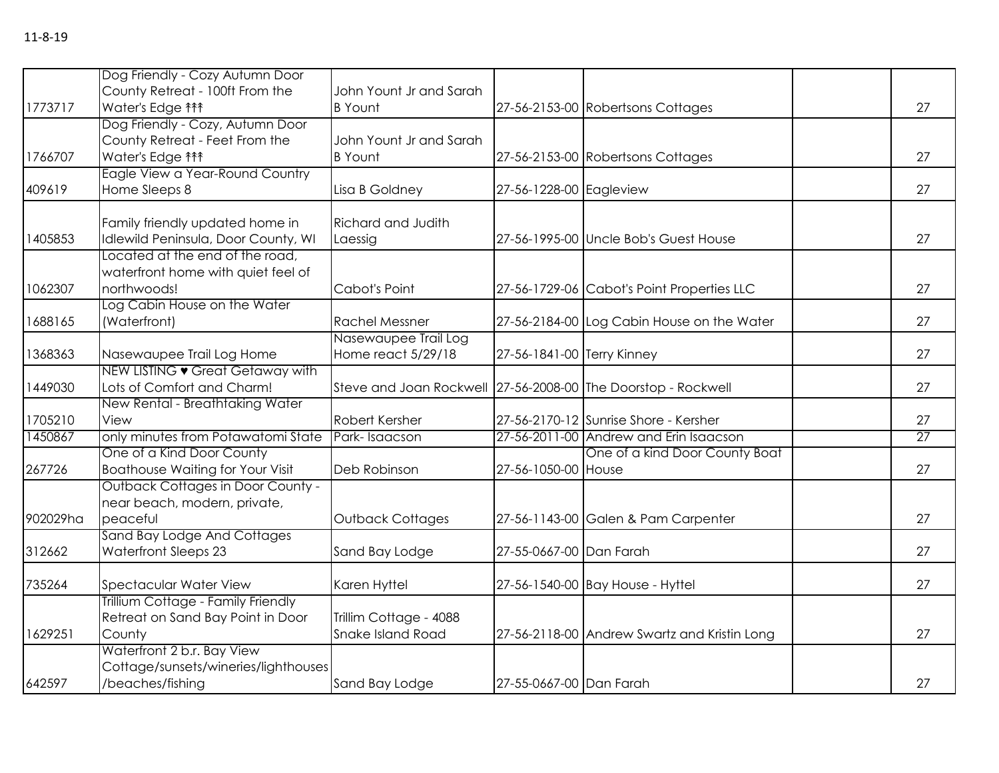|          | Dog Friendly - Cozy Autumn Door          |                                                               |                            |                                              |    |
|----------|------------------------------------------|---------------------------------------------------------------|----------------------------|----------------------------------------------|----|
|          | County Retreat - 100ft From the          | John Yount Jr and Sarah                                       |                            |                                              |    |
| 1773717  | Water's Edge <sup>11</sup>               | <b>B</b> Yount                                                |                            | 27-56-2153-00 Robertsons Cottages            | 27 |
|          | Dog Friendly - Cozy, Autumn Door         |                                                               |                            |                                              |    |
|          | County Retreat - Feet From the           | John Yount Jr and Sarah                                       |                            |                                              |    |
| 1766707  | Water's Edge ***                         | <b>B</b> Yount                                                |                            | 27-56-2153-00 Robertsons Cottages            | 27 |
|          | Eagle View a Year-Round Country          |                                                               |                            |                                              |    |
| 409619   | Home Sleeps 8                            | Lisa B Goldney                                                | 27-56-1228-00 Eagleview    |                                              | 27 |
|          |                                          |                                                               |                            |                                              |    |
|          | Family friendly updated home in          | Richard and Judith                                            |                            |                                              |    |
| 1405853  | Idlewild Peninsula, Door County, WI      | Laessig                                                       |                            | 27-56-1995-00 Uncle Bob's Guest House        | 27 |
|          | Located at the end of the road,          |                                                               |                            |                                              |    |
|          | waterfront home with quiet feel of       |                                                               |                            |                                              |    |
| 1062307  | northwoods!                              | Cabot's Point                                                 |                            | 27-56-1729-06 Cabot's Point Properties LLC   | 27 |
|          | Log Cabin House on the Water             |                                                               |                            |                                              |    |
| 1688165  | (Waterfront)                             | <b>Rachel Messner</b>                                         |                            | 27-56-2184-00 Log Cabin House on the Water   | 27 |
|          |                                          | Nasewaupee Trail Log                                          |                            |                                              |    |
| 1368363  | Nasewaupee Trail Log Home                | Home react 5/29/18                                            | 27-56-1841-00 Terry Kinney |                                              | 27 |
|          | NEW LISTING • Great Getaway with         |                                                               |                            |                                              |    |
| 1449030  | Lots of Comfort and Charm!               | Steve and Joan Rockwell 27-56-2008-00 The Doorstop - Rockwell |                            |                                              | 27 |
|          | New Rental - Breathtaking Water          |                                                               |                            |                                              |    |
| 1705210  | View                                     | Robert Kersher                                                |                            | 27-56-2170-12 Sunrise Shore - Kersher        | 27 |
| 1450867  | only minutes from Potawatomi State       | Park-Isaacson                                                 |                            | 27-56-2011-00 Andrew and Erin Isaacson       | 27 |
|          | One of a Kind Door County                |                                                               |                            | One of a kind Door County Boat               |    |
| 267726   | <b>Boathouse Waiting for Your Visit</b>  | Deb Robinson                                                  | 27-56-1050-00 House        |                                              | 27 |
|          | <b>Outback Cottages in Door County -</b> |                                                               |                            |                                              |    |
|          | near beach, modern, private,             |                                                               |                            |                                              |    |
| 902029ha | peaceful                                 | Outback Cottages                                              |                            | 27-56-1143-00 Galen & Pam Carpenter          | 27 |
|          | Sand Bay Lodge And Cottages              |                                                               |                            |                                              |    |
| 312662   | <b>Waterfront Sleeps 23</b>              | Sand Bay Lodge                                                | 27-55-0667-00 Dan Farah    |                                              | 27 |
|          |                                          |                                                               |                            |                                              |    |
| 735264   | <b>Spectacular Water View</b>            | Karen Hyttel                                                  |                            | 27-56-1540-00 Bay House - Hyttel             | 27 |
|          | Trillium Cottage - Family Friendly       |                                                               |                            |                                              |    |
|          | Retreat on Sand Bay Point in Door        | Trillim Cottage - 4088                                        |                            |                                              |    |
| 1629251  | County                                   | Snake Island Road                                             |                            | 27-56-2118-00 Andrew Swartz and Kristin Long | 27 |
|          | Waterfront 2 b.r. Bay View               |                                                               |                            |                                              |    |
|          | Cottage/sunsets/wineries/lighthouses     |                                                               |                            |                                              |    |
| 642597   | /beaches/fishing                         | Sand Bay Lodge                                                | 27-55-0667-00 Dan Farah    |                                              | 27 |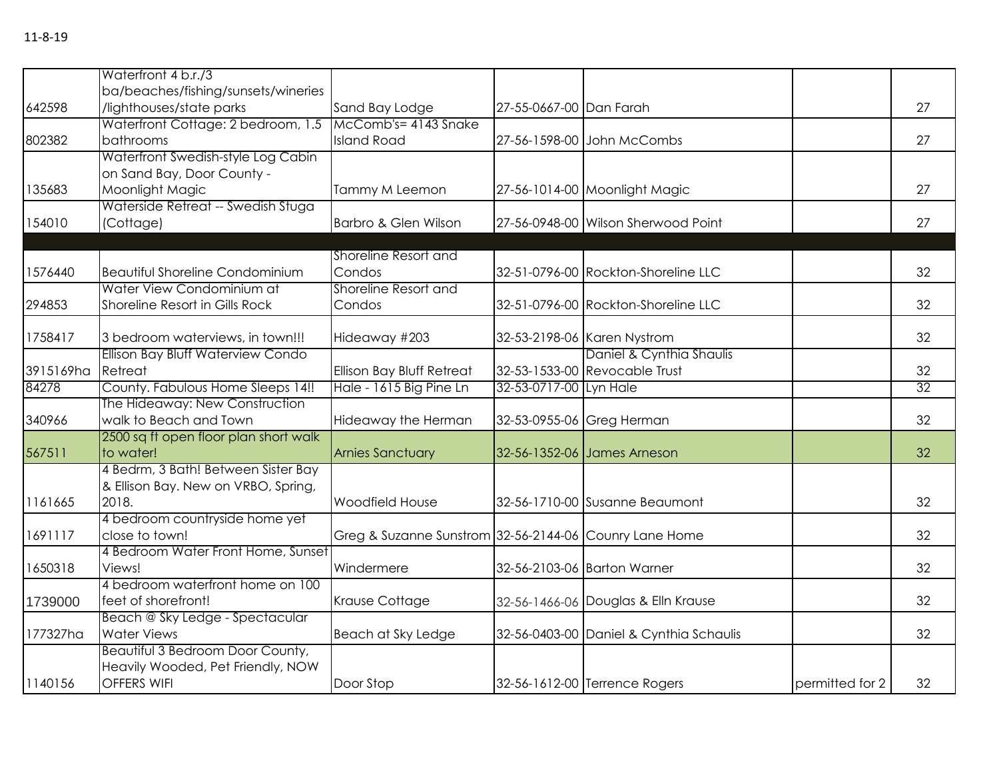|           | Waterfront 4 b.r./3                    |                                                        |                         |                                         |                 |    |
|-----------|----------------------------------------|--------------------------------------------------------|-------------------------|-----------------------------------------|-----------------|----|
|           | ba/beaches/fishing/sunsets/wineries    |                                                        |                         |                                         |                 |    |
| 642598    | /lighthouses/state parks               | Sand Bay Lodge                                         | 27-55-0667-00 Dan Farah |                                         |                 | 27 |
|           | Waterfront Cottage: 2 bedroom, 1.5     | McComb's= 4143 Snake                                   |                         |                                         |                 |    |
| 802382    | bathrooms                              | <b>Island Road</b>                                     |                         | 27-56-1598-00 John McCombs              |                 | 27 |
|           | Waterfront Swedish-style Log Cabin     |                                                        |                         |                                         |                 |    |
|           | on Sand Bay, Door County -             |                                                        |                         |                                         |                 |    |
| 135683    | Moonlight Magic                        | Tammy M Leemon                                         |                         | 27-56-1014-00 Moonlight Magic           |                 | 27 |
|           | Waterside Retreat -- Swedish Stuga     |                                                        |                         |                                         |                 |    |
| 154010    | (Cottage)                              | Barbro & Glen Wilson                                   |                         | 27-56-0948-00 Wilson Sherwood Point     |                 | 27 |
|           |                                        |                                                        |                         |                                         |                 |    |
|           |                                        | Shoreline Resort and                                   |                         |                                         |                 |    |
| 1576440   | <b>Beautiful Shoreline Condominium</b> | Condos                                                 |                         | 32-51-0796-00 Rockton-Shoreline LLC     |                 | 32 |
|           | Water View Condominium at              | Shoreline Resort and                                   |                         |                                         |                 |    |
| 294853    | Shoreline Resort in Gills Rock         | Condos                                                 |                         | 32-51-0796-00 Rockton-Shoreline LLC     |                 | 32 |
|           |                                        |                                                        |                         |                                         |                 |    |
| 1758417   | 3 bedroom waterviews, in town!!!       | Hideaway #203                                          |                         | 32-53-2198-06 Karen Nystrom             |                 | 32 |
|           | Ellison Bay Bluff Waterview Condo      |                                                        |                         | Daniel & Cynthia Shaulis                |                 |    |
| 3915169ha | Retreat                                | Ellison Bay Bluff Retreat                              |                         | 32-53-1533-00 Revocable Trust           |                 | 32 |
| 84278     | County. Fabulous Home Sleeps 14!!      | Hale - 1615 Big Pine Ln                                | 32-53-0717-00 Lyn Hale  |                                         |                 | 32 |
|           | The Hideaway: New Construction         |                                                        |                         |                                         |                 |    |
| 340966    | walk to Beach and Town                 | Hideaway the Herman                                    |                         | 32-53-0955-06 Greg Herman               |                 | 32 |
|           | 2500 sq ft open floor plan short walk  |                                                        |                         |                                         |                 |    |
| 567511    | to water!                              | <b>Arnies Sanctuary</b>                                |                         | 32-56-1352-06 James Arneson             |                 | 32 |
|           | 4 Bedrm, 3 Bath! Between Sister Bay    |                                                        |                         |                                         |                 |    |
|           | & Ellison Bay. New on VRBO, Spring,    |                                                        |                         |                                         |                 |    |
| 1161665   | 2018.                                  | Woodfield House                                        |                         | 32-56-1710-00 Susanne Beaumont          |                 | 32 |
|           | 4 bedroom countryside home yet         |                                                        |                         |                                         |                 |    |
| 1691117   | close to town!                         | Greg & Suzanne Sunstrom 32-56-2144-06 Counry Lane Home |                         |                                         |                 | 32 |
|           | 4 Bedroom Water Front Home, Sunset     |                                                        |                         |                                         |                 |    |
| 1650318   | Views!                                 | Windermere                                             |                         | 32-56-2103-06 Barton Warner             |                 | 32 |
|           | 4 bedroom waterfront home on 100       |                                                        |                         |                                         |                 |    |
| 1739000   | feet of shorefront!                    | Krause Cottage                                         |                         | 32-56-1466-06 Douglas & Elln Krause     |                 | 32 |
|           | Beach @ Sky Ledge - Spectacular        |                                                        |                         |                                         |                 |    |
| 177327ha  | <b>Water Views</b>                     | Beach at Sky Ledge                                     |                         | 32-56-0403-00 Daniel & Cynthia Schaulis |                 | 32 |
|           | Beautiful 3 Bedroom Door County,       |                                                        |                         |                                         |                 |    |
|           | Heavily Wooded, Pet Friendly, NOW      |                                                        |                         |                                         |                 |    |
| 1140156   | OFFERS WIFI                            | Door Stop                                              |                         | 32-56-1612-00 Terrence Rogers           | permitted for 2 | 32 |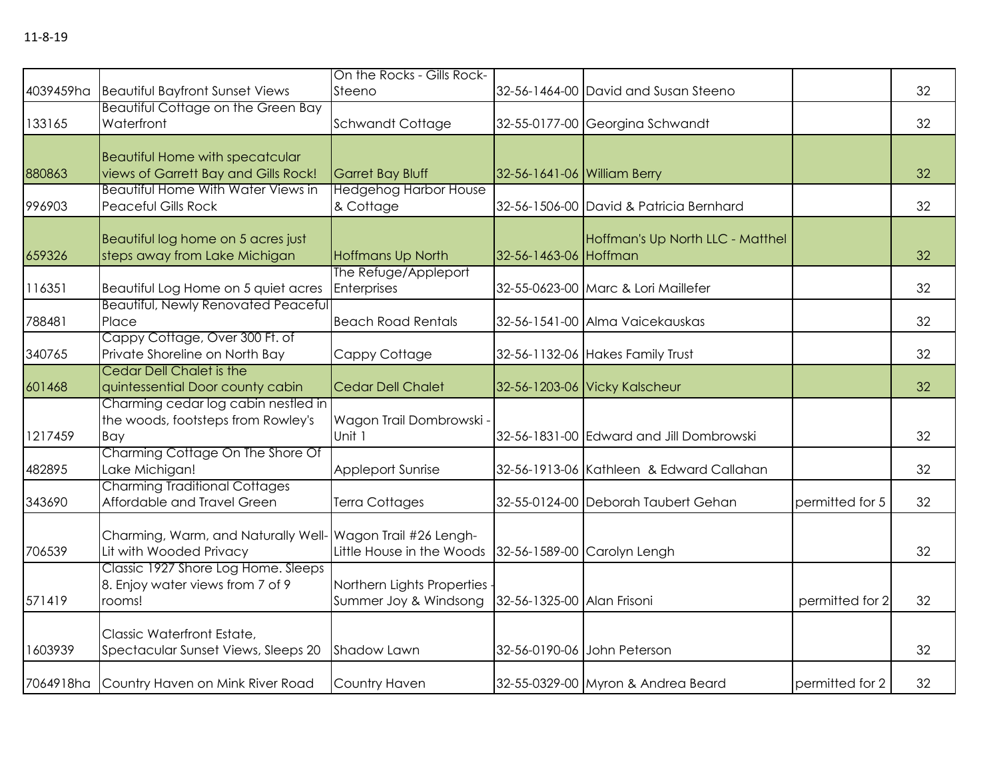|         |                                                            | On the Rocks - Gills Rock-   |                             |                                          |                 |    |
|---------|------------------------------------------------------------|------------------------------|-----------------------------|------------------------------------------|-----------------|----|
|         | 4039459ha Beautiful Bayfront Sunset Views                  | Steeno                       |                             | 32-56-1464-00 David and Susan Steeno     |                 | 32 |
|         | <b>Beautiful Cottage on the Green Bay</b>                  |                              |                             |                                          |                 |    |
| 133165  | Waterfront                                                 | Schwandt Cottage             |                             | 32-55-0177-00 Georgina Schwandt          |                 | 32 |
|         |                                                            |                              |                             |                                          |                 |    |
|         | <b>Beautiful Home with specatcular</b>                     |                              |                             |                                          |                 |    |
| 880863  | views of Garrett Bay and Gills Rock!                       | <b>Garret Bay Bluff</b>      | 32-56-1641-06 William Berry |                                          |                 | 32 |
|         | <b>Beautiful Home With Water Views in</b>                  | <b>Hedgehog Harbor House</b> |                             |                                          |                 |    |
| 996903  | <b>Peaceful Gills Rock</b>                                 | & Cottage                    |                             | 32-56-1506-00 David & Patricia Bernhard  |                 | 32 |
|         |                                                            |                              |                             |                                          |                 |    |
|         | Beautiful log home on 5 acres just                         |                              |                             | Hoffman's Up North LLC - Matthel         |                 |    |
| 659326  | steps away from Lake Michigan                              | <b>Hoffmans Up North</b>     | 32-56-1463-06 Hoffman       |                                          |                 | 32 |
|         |                                                            | The Refuge/Appleport         |                             |                                          |                 |    |
| 116351  | Beautiful Log Home on 5 quiet acres                        | Enterprises                  |                             | 32-55-0623-00 Marc & Lori Maillefer      |                 | 32 |
|         | <b>Beautiful, Newly Renovated Peaceful</b>                 |                              |                             |                                          |                 |    |
| 788481  | Place                                                      | <b>Beach Road Rentals</b>    |                             | 32-56-1541-00 Alma Vaicekauskas          |                 | 32 |
|         | Cappy Cottage, Over 300 Ft. of                             |                              |                             |                                          |                 |    |
| 340765  | Private Shoreline on North Bay                             | Cappy Cottage                |                             | 32-56-1132-06 Hakes Family Trust         |                 | 32 |
|         | <b>Cedar Dell Chalet is the</b>                            |                              |                             |                                          |                 |    |
| 601468  | quintessential Door county cabin                           | <b>Cedar Dell Chalet</b>     |                             | 32-56-1203-06 Vicky Kalscheur            |                 | 32 |
|         | Charming cedar log cabin nestled in                        |                              |                             |                                          |                 |    |
|         | the woods, footsteps from Rowley's                         | Wagon Trail Dombrowski -     |                             |                                          |                 |    |
| 1217459 | Bay                                                        | Unit 1                       |                             | 32-56-1831-00 Edward and Jill Dombrowski |                 | 32 |
|         | Charming Cottage On The Shore Of                           |                              |                             |                                          |                 |    |
| 482895  | Lake Michigan!                                             | <b>Appleport Sunrise</b>     |                             | 32-56-1913-06 Kathleen & Edward Callahan |                 | 32 |
|         | <b>Charming Traditional Cottages</b>                       |                              |                             |                                          |                 |    |
| 343690  | Affordable and Travel Green                                | Terra Cottages               |                             | 32-55-0124-00 Deborah Taubert Gehan      | permitted for 5 | 32 |
|         |                                                            |                              |                             |                                          |                 |    |
|         | Charming, Warm, and Naturally Well- Wagon Trail #26 Lengh- |                              |                             |                                          |                 |    |
| 706539  | Lit with Wooded Privacy                                    | Little House in the Woods    |                             | 32-56-1589-00 Carolyn Lengh              |                 | 32 |
|         | Classic 1927 Shore Log Home. Sleeps                        |                              |                             |                                          |                 |    |
|         | 8. Enjoy water views from 7 of 9                           | Northern Lights Properties - |                             |                                          |                 |    |
| 571419  | rooms!                                                     | Summer Joy & Windsong        | 32-56-1325-00 Alan Frisoni  |                                          | permitted for 2 | 32 |
|         |                                                            |                              |                             |                                          |                 |    |
|         | Classic Waterfront Estate,                                 |                              |                             |                                          |                 |    |
| 1603939 | Spectacular Sunset Views, Sleeps 20                        | Shadow Lawn                  |                             | 32-56-0190-06 John Peterson              |                 | 32 |
|         | 7064918ha Country Haven on Mink River Road                 | Country Haven                |                             | 32-55-0329-00 Myron & Andrea Beard       | permitted for 2 | 32 |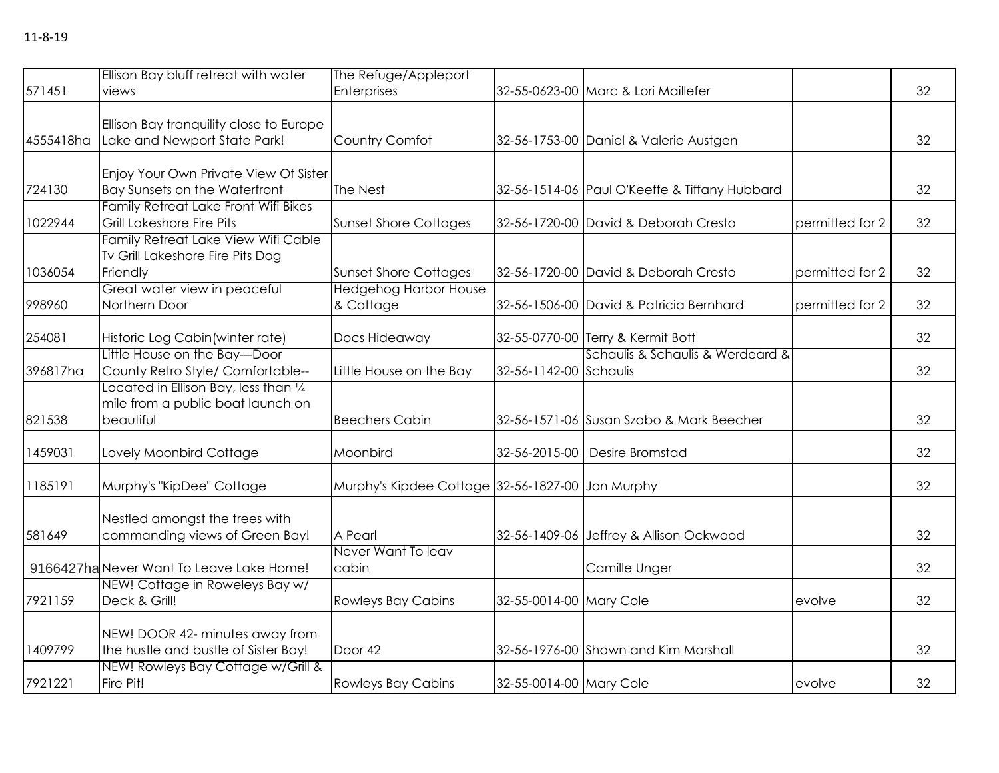| 571451    | Ellison Bay bluff retreat with water<br>views                                                                       | The Refuge/Appleport<br>Enterprises                          |                         | 32-55-0623-00 Marc & Lori Maillefer           |                 | 32 |
|-----------|---------------------------------------------------------------------------------------------------------------------|--------------------------------------------------------------|-------------------------|-----------------------------------------------|-----------------|----|
| 4555418ha | Ellison Bay tranquility close to Europe<br>Lake and Newport State Park!                                             | Country Comfot                                               |                         | 32-56-1753-00 Daniel & Valerie Austgen        |                 | 32 |
| 724130    | Enjoy Your Own Private View Of Sister<br>Bay Sunsets on the Waterfront                                              | The Nest                                                     |                         | 32-56-1514-06 Paul O'Keeffe & Tiffany Hubbard |                 | 32 |
| 1022944   | <b>Family Retreat Lake Front Wifi Bikes</b><br><b>Grill Lakeshore Fire Pits</b>                                     | <b>Sunset Shore Cottages</b>                                 |                         | 32-56-1720-00 David & Deborah Cresto          | permitted for 2 | 32 |
| 1036054   | Family Retreat Lake View Wifi Cable<br>Tv Grill Lakeshore Fire Pits Dog<br>Friendly<br>Great water view in peaceful | <b>Sunset Shore Cottages</b><br><b>Hedgehog Harbor House</b> |                         | 32-56-1720-00 David & Deborah Cresto          | permitted for 2 | 32 |
| 998960    | Northern Door                                                                                                       | & Cottage                                                    |                         | 32-56-1506-00 David & Patricia Bernhard       | permitted for 2 | 32 |
| 254081    | Historic Log Cabin (winter rate)                                                                                    | Docs Hideaway                                                |                         | 32-55-0770-00 Terry & Kermit Bott             |                 | 32 |
| 396817ha  | Little House on the Bay---Door<br>County Retro Style/ Comfortable--                                                 | Little House on the Bay                                      | 32-56-1142-00 Schaulis  | Schaulis & Schaulis & Werdeard &              |                 | 32 |
| 821538    | Located in Ellison Bay, less than $\frac{1}{4}$<br>mile from a public boat launch on<br>beautiful                   | <b>Beechers Cabin</b>                                        |                         | 32-56-1571-06 Susan Szabo & Mark Beecher      |                 | 32 |
| 1459031   | Lovely Moonbird Cottage                                                                                             | Moonbird                                                     | 32-56-2015-00           | Desire Bromstad                               |                 | 32 |
| 1185191   | Murphy's "KipDee" Cottage                                                                                           | Murphy's Kipdee Cottage 32-56-1827-00 Jon Murphy             |                         |                                               |                 | 32 |
| 581649    | Nestled amongst the trees with<br>commanding views of Green Bay!                                                    | A Pearl                                                      |                         | 32-56-1409-06 Jeffrey & Allison Ockwood       |                 | 32 |
|           | 9166427ha Never Want To Leave Lake Home!                                                                            | Never Want To leav<br>cabin                                  |                         | Camille Unger                                 |                 | 32 |
| 7921159   | NEW! Cottage in Roweleys Bay w/<br>Deck & Grill!                                                                    | <b>Rowleys Bay Cabins</b>                                    | 32-55-0014-00 Mary Cole |                                               | evolve          | 32 |
| 1409799   | NEW! DOOR 42- minutes away from<br>the hustle and bustle of Sister Bay!                                             | Door 42                                                      |                         | 32-56-1976-00 Shawn and Kim Marshall          |                 | 32 |
| 7921221   | NEW! Rowleys Bay Cottage w/Grill &<br>Fire Pit!                                                                     | <b>Rowleys Bay Cabins</b>                                    | 32-55-0014-00 Mary Cole |                                               | evolve          | 32 |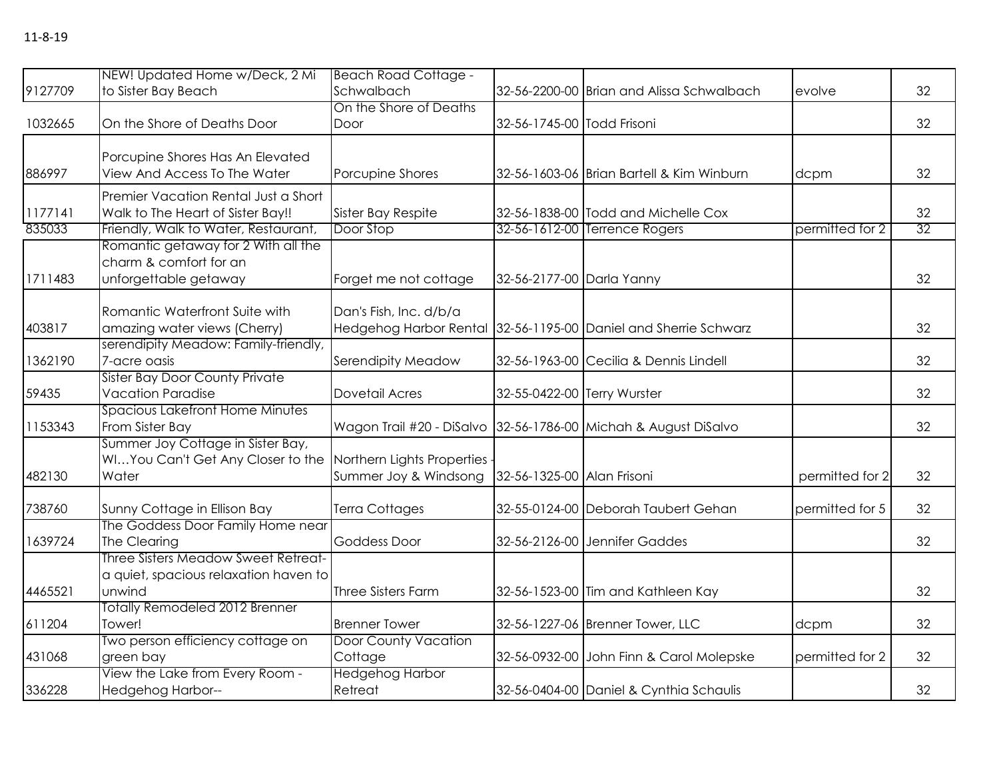| 9127709 | NEW! Updated Home w/Deck, 2 Mi<br>to Sister Bay Beach                                                  | <b>Beach Road Cottage -</b><br>Schwalbach                       |                             | 32-56-2200-00 Brian and Alissa Schwalbach | evolve          | 32 |
|---------|--------------------------------------------------------------------------------------------------------|-----------------------------------------------------------------|-----------------------------|-------------------------------------------|-----------------|----|
|         |                                                                                                        | On the Shore of Deaths                                          |                             |                                           |                 |    |
| 1032665 | On the Shore of Deaths Door                                                                            | Door                                                            | 32-56-1745-00 Todd Frisoni  |                                           |                 | 32 |
| 886997  | Porcupine Shores Has An Elevated<br>View And Access To The Water                                       | Porcupine Shores                                                |                             | 32-56-1603-06 Brian Bartell & Kim Winburn | dcpm            | 32 |
| 1177141 | Premier Vacation Rental Just a Short<br>Walk to The Heart of Sister Bay!!                              | Sister Bay Respite                                              |                             | 32-56-1838-00 Todd and Michelle Cox       |                 | 32 |
| 835033  | Friendly, Walk to Water, Restaurant,                                                                   | Door Stop                                                       |                             | 32-56-1612-00 Terrence Rogers             | permitted for 2 | 32 |
| 1711483 | Romantic getaway for 2 With all the<br>charm & comfort for an<br>unforgettable getaway                 | Forget me not cottage                                           | 32-56-2177-00 Darla Yanny   |                                           |                 | 32 |
| 403817  | Romantic Waterfront Suite with<br>amazing water views (Cherry)<br>serendipity Meadow: Family-friendly, | Dan's Fish, Inc. d/b/a<br>Hedgehog Harbor Rental                |                             | 32-56-1195-00 Daniel and Sherrie Schwarz  |                 | 32 |
| 1362190 | 7-acre oasis                                                                                           | Serendipity Meadow                                              |                             | 32-56-1963-00 Cecilia & Dennis Lindell    |                 | 32 |
| 59435   | <b>Sister Bay Door County Private</b><br><b>Vacation Paradise</b>                                      | <b>Dovetail Acres</b>                                           | 32-55-0422-00 Terry Wurster |                                           |                 | 32 |
| 1153343 | <b>Spacious Lakefront Home Minutes</b><br>From Sister Bay                                              | Wagon Trail #20 - DiSalvo 32-56-1786-00 Michah & August DiSalvo |                             |                                           |                 | 32 |
| 482130  | Summer Joy Cottage in Sister Bay,<br>WIYou Can't Get Any Closer to the<br>Water                        | Northern Lights Properties<br>Summer Joy & Windsong             | 32-56-1325-00 Alan Frisoni  |                                           | permitted for 2 | 32 |
| 738760  | Sunny Cottage in Ellison Bay                                                                           | Terra Cottages                                                  |                             | 32-55-0124-00 Deborah Taubert Gehan       | permitted for 5 | 32 |
| 1639724 | The Goddess Door Family Home near<br>The Clearing                                                      | <b>Goddess Door</b>                                             |                             | 32-56-2126-00 Jennifer Gaddes             |                 | 32 |
| 4465521 | Three Sisters Meadow Sweet Retreat-<br>a quiet, spacious relaxation haven to<br>unwind                 | <b>Three Sisters Farm</b>                                       |                             | 32-56-1523-00 Tim and Kathleen Kay        |                 | 32 |
| 611204  | <b>Totally Remodeled 2012 Brenner</b><br>Tower!                                                        | <b>Brenner Tower</b>                                            |                             | 32-56-1227-06 Brenner Tower, LLC          | dcpm            | 32 |
| 431068  | Two person efficiency cottage on<br>green bay                                                          | <b>Door County Vacation</b><br>Cottage                          |                             | 32-56-0932-00 John Finn & Carol Molepske  | permitted for 2 | 32 |
| 336228  | View the Lake from Every Room -<br>Hedgehog Harbor--                                                   | <b>Hedgehog Harbor</b><br>Retreat                               |                             | 32-56-0404-00 Daniel & Cynthia Schaulis   |                 | 32 |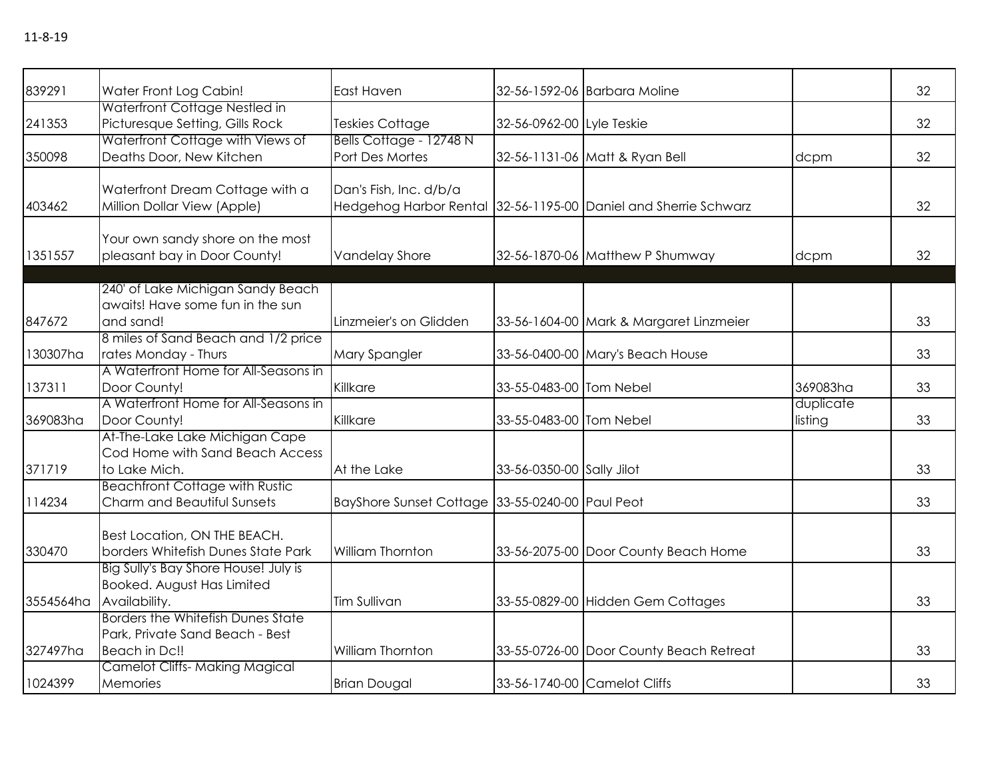| 839291    | Water Front Log Cabin!                                                | East Haven                                      |                           | 32-56-1592-06 Barbara Moline                                    |                      | 32 |
|-----------|-----------------------------------------------------------------------|-------------------------------------------------|---------------------------|-----------------------------------------------------------------|----------------------|----|
| 241353    | Waterfront Cottage Nestled in<br>Picturesque Setting, Gills Rock      | Teskies Cottage                                 | 32-56-0962-00 Lyle Teskie |                                                                 |                      | 32 |
|           | Waterfront Cottage with Views of                                      | Bells Cottage - 12748 N                         |                           |                                                                 |                      |    |
| 350098    | Deaths Door, New Kitchen                                              | Port Des Mortes                                 |                           | 32-56-1131-06 Matt & Ryan Bell                                  | dcpm                 | 32 |
|           | Waterfront Dream Cottage with a                                       | Dan's Fish, Inc. d/b/a                          |                           |                                                                 |                      |    |
| 403462    | Million Dollar View (Apple)                                           |                                                 |                           | Hedgehog Harbor Rental 32-56-1195-00 Daniel and Sherrie Schwarz |                      | 32 |
|           | Your own sandy shore on the most                                      |                                                 |                           |                                                                 |                      |    |
| 1351557   | pleasant bay in Door County!                                          | <b>Vandelay Shore</b>                           |                           | 32-56-1870-06 Matthew P Shumway                                 | dcpm                 | 32 |
|           |                                                                       |                                                 |                           |                                                                 |                      |    |
|           | 240' of Lake Michigan Sandy Beach<br>awaits! Have some fun in the sun |                                                 |                           |                                                                 |                      |    |
| 847672    | and sand!                                                             | Linzmeier's on Glidden                          |                           | 33-56-1604-00 Mark & Margaret Linzmeier                         |                      | 33 |
|           | 8 miles of Sand Beach and 1/2 price                                   |                                                 |                           |                                                                 |                      |    |
| 130307ha  | rates Monday - Thurs                                                  | <b>Mary Spangler</b>                            |                           | 33-56-0400-00 Mary's Beach House                                |                      | 33 |
|           | A Waterfront Home for All-Seasons in                                  |                                                 |                           |                                                                 |                      |    |
| 137311    | Door County!                                                          | Killkare                                        | 33-55-0483-00 Tom Nebel   |                                                                 | 369083ha             | 33 |
| 369083ha  | A Waterfront Home for All-Seasons in<br>Door County!                  | Killkare                                        | 33-55-0483-00 Tom Nebel   |                                                                 | duplicate<br>listing | 33 |
|           | At-The-Lake Lake Michigan Cape                                        |                                                 |                           |                                                                 |                      |    |
|           | Cod Home with Sand Beach Access                                       |                                                 |                           |                                                                 |                      |    |
| 371719    | to Lake Mich.                                                         | At the Lake                                     | 33-56-0350-00 Sally Jilot |                                                                 |                      | 33 |
|           | <b>Beachfront Cottage with Rustic</b>                                 |                                                 |                           |                                                                 |                      |    |
| 114234    | Charm and Beautiful Sunsets                                           | BayShore Sunset Cottage 33-55-0240-00 Paul Peot |                           |                                                                 |                      | 33 |
|           | Best Location, ON THE BEACH.                                          |                                                 |                           |                                                                 |                      |    |
| 330470    | borders Whitefish Dunes State Park                                    | <b>William Thornton</b>                         |                           | 33-56-2075-00 Door County Beach Home                            |                      | 33 |
|           | Big Sully's Bay Shore House! July is                                  |                                                 |                           |                                                                 |                      |    |
|           | Booked. August Has Limited                                            |                                                 |                           |                                                                 |                      |    |
| 3554564ha | Availability.                                                         | Tim Sullivan                                    |                           | 33-55-0829-00 Hidden Gem Cottages                               |                      | 33 |
|           | Borders the Whitefish Dunes State                                     |                                                 |                           |                                                                 |                      |    |
| 327497ha  | Park, Private Sand Beach - Best<br>Beach in Dc!!                      | <b>William Thornton</b>                         |                           | 33-55-0726-00 Door County Beach Retreat                         |                      | 33 |
|           | <b>Camelot Cliffs-Making Magical</b>                                  |                                                 |                           |                                                                 |                      |    |
| 1024399   | Memories                                                              | <b>Brian Dougal</b>                             |                           | 33-56-1740-00 Camelot Cliffs                                    |                      | 33 |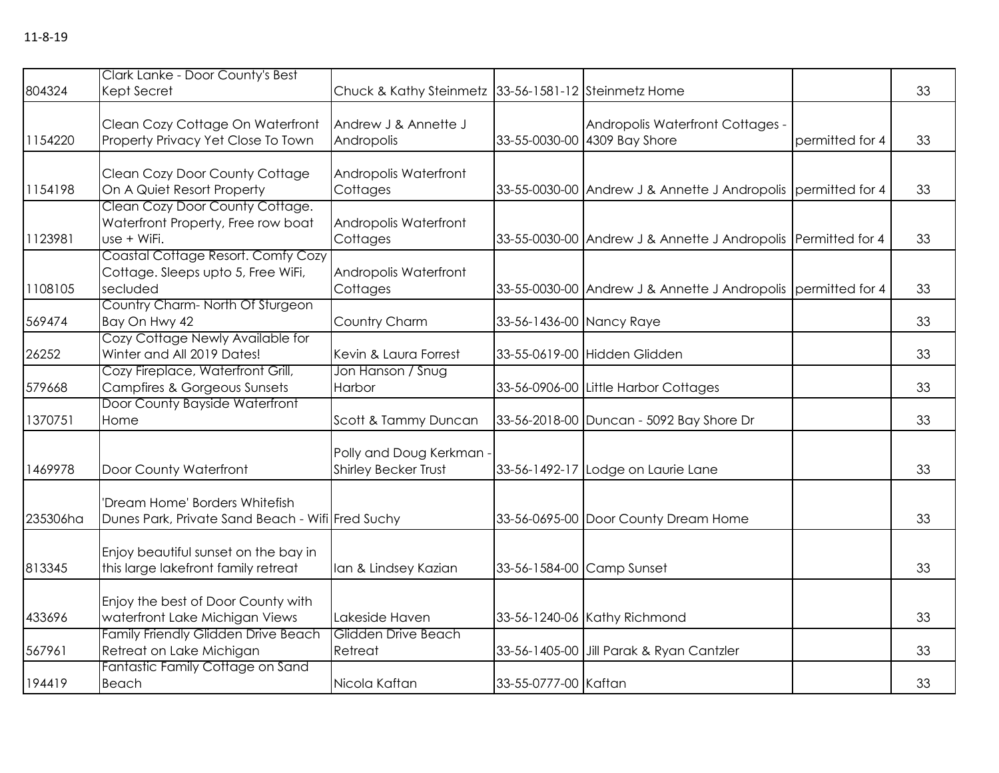| 804324   | Clark Lanke - Door County's Best<br>Kept Secret                                      | Chuck & Kathy Steinmetz 33-56-1581-12 Steinmetz Home |                           |                                                                  |                 | 33 |
|----------|--------------------------------------------------------------------------------------|------------------------------------------------------|---------------------------|------------------------------------------------------------------|-----------------|----|
| 1154220  | Clean Cozy Cottage On Waterfront<br>Property Privacy Yet Close To Town               | Andrew J & Annette J<br>Andropolis                   |                           | Andropolis Waterfront Cottages -<br>33-55-0030-00 4309 Bay Shore | permitted for 4 | 33 |
| 1154198  | Clean Cozy Door County Cottage<br>On A Quiet Resort Property                         | Andropolis Waterfront<br>Cottages                    |                           | 33-55-0030-00 Andrew J & Annette J Andropolis permitted for 4    |                 | 33 |
| 1123981  | Clean Cozy Door County Cottage.<br>Waterfront Property, Free row boat<br>use + WiFi. | Andropolis Waterfront<br>Cottages                    |                           | 33-55-0030-00 Andrew J & Annette J Andropolis Permitted for 4    |                 | 33 |
| 1108105  | Coastal Cottage Resort. Comfy Cozy<br>Cottage. Sleeps upto 5, Free WiFi,<br>secluded | Andropolis Waterfront<br>Cottages                    |                           | 33-55-0030-00 Andrew J & Annette J Andropolis permitted for 4    |                 | 33 |
| 569474   | Country Charm-North Of Sturgeon<br>Bay On Hwy 42                                     | Country Charm                                        | 33-56-1436-00 Nancy Raye  |                                                                  |                 | 33 |
| 26252    | Cozy Cottage Newly Available for<br>Winter and All 2019 Dates!                       | Kevin & Laura Forrest                                |                           | 33-55-0619-00 Hidden Glidden                                     |                 | 33 |
| 579668   | Cozy Fireplace, Waterfront Grill,<br><b>Campfires &amp; Gorgeous Sunsets</b>         | Jon Hanson / Snug<br>Harbor                          |                           | 33-56-0906-00 Little Harbor Cottages                             |                 | 33 |
| 1370751  | Door County Bayside Waterfront<br>Home                                               | Scott & Tammy Duncan                                 |                           | 33-56-2018-00 Duncan - 5092 Bay Shore Dr                         |                 | 33 |
| 1469978  | Door County Waterfront                                                               | Polly and Doug Kerkman -<br>Shirley Becker Trust     |                           | 33-56-1492-17 Lodge on Laurie Lane                               |                 | 33 |
| 235306ha | 'Dream Home' Borders Whitefish<br>Dunes Park, Private Sand Beach - Wifi Fred Suchy   |                                                      |                           | 33-56-0695-00 Door County Dream Home                             |                 | 33 |
| 813345   | Enjoy beautiful sunset on the bay in<br>this large lakefront family retreat          | Ian & Lindsey Kazian                                 | 33-56-1584-00 Camp Sunset |                                                                  |                 | 33 |
| 433696   | Enjoy the best of Door County with<br>waterfront Lake Michigan Views                 | Lakeside Haven                                       |                           | 33-56-1240-06 Kathy Richmond                                     |                 | 33 |
| 567961   | Family Friendly Glidden Drive Beach<br>Retreat on Lake Michigan                      | Glidden Drive Beach<br>Retreat                       |                           | 33-56-1405-00 Jill Parak & Ryan Cantzler                         |                 | 33 |
| 194419   | Fantastic Family Cottage on Sand<br>Beach                                            | Nicola Kaftan                                        | 33-55-0777-00 Kaftan      |                                                                  |                 | 33 |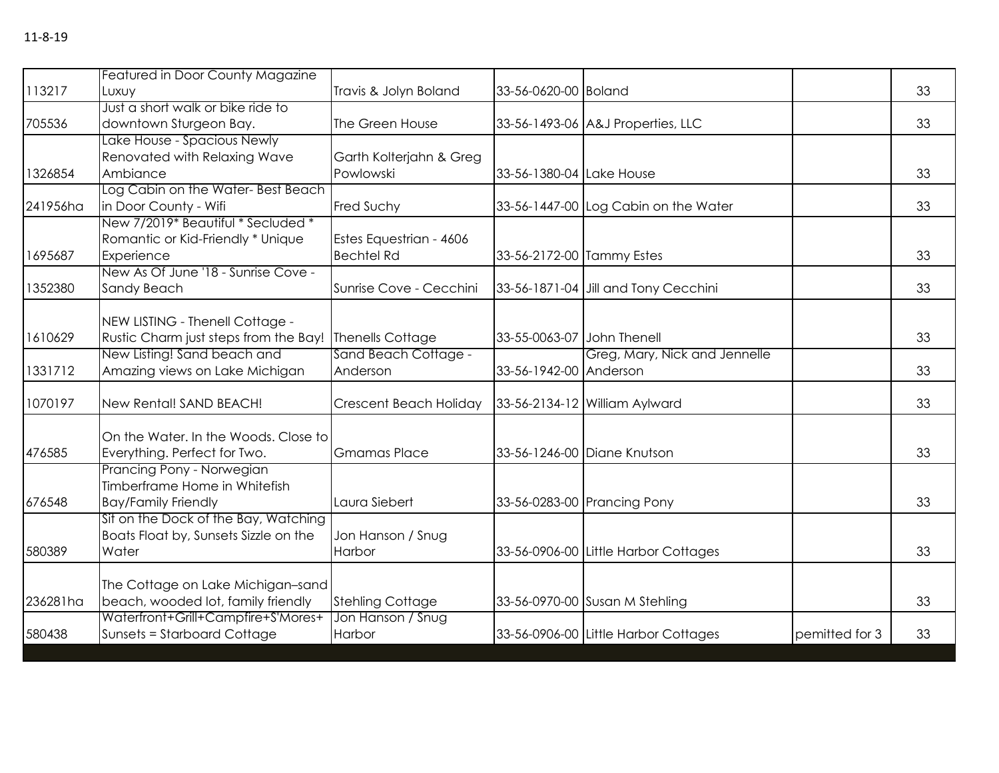|          | <b>Featured in Door County Magazine</b> |                         |                           |                                      |                |    |
|----------|-----------------------------------------|-------------------------|---------------------------|--------------------------------------|----------------|----|
| 113217   | Luxuy                                   | Travis & Jolyn Boland   | 33-56-0620-00 Boland      |                                      |                | 33 |
|          | Just a short walk or bike ride to       |                         |                           |                                      |                |    |
| 705536   | downtown Sturgeon Bay.                  | The Green House         |                           | 33-56-1493-06 A&J Properties, LLC    |                | 33 |
|          | Lake House - Spacious Newly             |                         |                           |                                      |                |    |
|          | Renovated with Relaxing Wave            | Garth Kolterjahn & Greg |                           |                                      |                |    |
| 1326854  | Ambiance                                | Powlowski               | 33-56-1380-04 Lake House  |                                      |                | 33 |
|          | Log Cabin on the Water-Best Beach       |                         |                           |                                      |                |    |
| 241956ha | in Door County - Wifi                   | Fred Suchy              |                           | 33-56-1447-00 Log Cabin on the Water |                | 33 |
|          | New 7/2019* Beautiful * Secluded *      |                         |                           |                                      |                |    |
|          | Romantic or Kid-Friendly * Unique       | Estes Equestrian - 4606 |                           |                                      |                |    |
| 1695687  | Experience                              | <b>Bechtel Rd</b>       | 33-56-2172-00 Tammy Estes |                                      |                | 33 |
|          | New As Of June '18 - Sunrise Cove -     |                         |                           |                                      |                |    |
| 1352380  | Sandy Beach                             | Sunrise Cove - Cecchini |                           | 33-56-1871-04 Jill and Tony Cecchini |                | 33 |
|          |                                         |                         |                           |                                      |                |    |
|          | NEW LISTING - Thenell Cottage -         |                         |                           |                                      |                |    |
| 1610629  | Rustic Charm just steps from the Bay!   | Thenells Cottage        | 33-55-0063-07             | John Thenell                         |                | 33 |
|          | New Listing! Sand beach and             | Sand Beach Cottage -    |                           | Greg, Mary, Nick and Jennelle        |                |    |
| 1331712  | Amazing views on Lake Michigan          | Anderson                | 33-56-1942-00 Anderson    |                                      |                | 33 |
| 1070197  | New Rental! SAND BEACH!                 | Crescent Beach Holiday  |                           | 33-56-2134-12 William Aylward        |                | 33 |
|          |                                         |                         |                           |                                      |                |    |
|          | On the Water, In the Woods, Close to    |                         |                           |                                      |                |    |
| 476585   | Everything. Perfect for Two.            | <b>Gmamas Place</b>     |                           | 33-56-1246-00 Diane Knutson          |                | 33 |
|          | Prancing Pony - Norwegian               |                         |                           |                                      |                |    |
|          | Timberframe Home in Whitefish           |                         |                           |                                      |                |    |
| 676548   | <b>Bay/Family Friendly</b>              | Laura Siebert           |                           | 33-56-0283-00 Prancing Pony          |                | 33 |
|          | Sit on the Dock of the Bay, Watching    |                         |                           |                                      |                |    |
|          | Boats Float by, Sunsets Sizzle on the   | Jon Hanson / Snug       |                           |                                      |                |    |
| 580389   | Water                                   | Harbor                  |                           | 33-56-0906-00 Little Harbor Cottages |                | 33 |
|          |                                         |                         |                           |                                      |                |    |
|          | The Cottage on Lake Michigan-sand       |                         |                           |                                      |                |    |
| 236281ha | beach, wooded lot, family friendly      | <b>Stehling Cottage</b> |                           | 33-56-0970-00 Susan M Stehling       |                | 33 |
|          | Waterfront+Grill+Campfire+S'Mores+      | Jon Hanson / Snug       |                           |                                      |                |    |
| 580438   | <b>Sunsets = Starboard Cottage</b>      | Harbor                  |                           | 33-56-0906-00 Little Harbor Cottages | pemitted for 3 | 33 |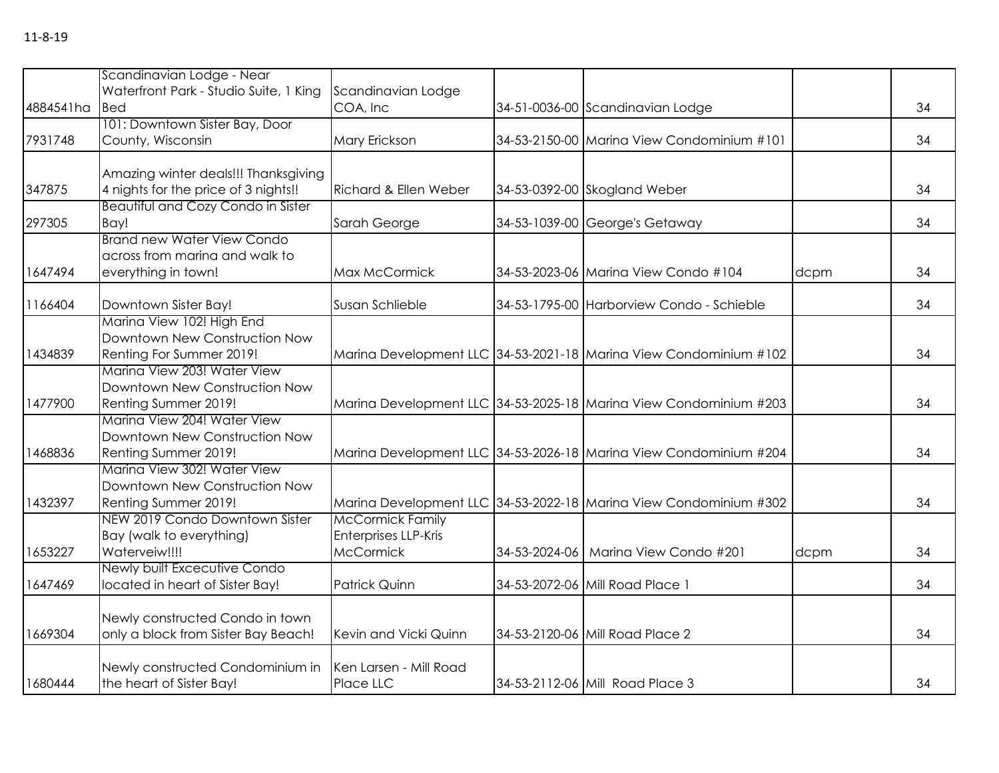|           | Scandinavian Lodge - Near                 |                                                 |                                                                   |      |    |
|-----------|-------------------------------------------|-------------------------------------------------|-------------------------------------------------------------------|------|----|
|           | Waterfront Park - Studio Suite, 1 King    | Scandinavian Lodge                              |                                                                   |      |    |
| 4884541ha | <b>Bed</b>                                | COA, Inc                                        | 34-51-0036-00 Scandinavian Lodge                                  |      | 34 |
| 7931748   | 101: Downtown Sister Bay, Door            |                                                 | 34-53-2150-00 Marina View Condominium #101                        |      | 34 |
|           | County, Wisconsin                         | Mary Erickson                                   |                                                                   |      |    |
|           | Amazing winter deals!!! Thanksgiving      |                                                 |                                                                   |      |    |
| 347875    | 4 nights for the price of 3 nights!!      | Richard & Ellen Weber                           | 34-53-0392-00 Skogland Weber                                      |      | 34 |
|           | <b>Beautiful and Cozy Condo in Sister</b> |                                                 |                                                                   |      |    |
| 297305    | Bay!                                      | Sarah George                                    | 34-53-1039-00 George's Getaway                                    |      | 34 |
|           | <b>Brand new Water View Condo</b>         |                                                 |                                                                   |      |    |
|           | across from marina and walk to            |                                                 |                                                                   |      |    |
| 1647494   | everything in town!                       | Max McCormick                                   | 34-53-2023-06 Marina View Condo #104                              | dcpm | 34 |
| 1166404   | Downtown Sister Bay!                      | Susan Schlieble                                 | 34-53-1795-00 Harborview Condo - Schieble                         |      | 34 |
|           | Marina View 102! High End                 |                                                 |                                                                   |      |    |
|           | Downtown New Construction Now             |                                                 |                                                                   |      |    |
| 1434839   | Renting For Summer 2019!                  |                                                 | Marina Development LLC 34-53-2021-18 Marina View Condominium #102 |      | 34 |
|           | Marina View 203! Water View               |                                                 |                                                                   |      |    |
|           | Downtown New Construction Now             |                                                 |                                                                   |      |    |
| 1477900   | Renting Summer 2019!                      |                                                 | Marina Development LLC 34-53-2025-18 Marina View Condominium #203 |      | 34 |
|           | Marina View 204! Water View               |                                                 |                                                                   |      |    |
|           | Downtown New Construction Now             |                                                 |                                                                   |      |    |
| 1468836   | Renting Summer 2019!                      |                                                 | Marina Development LLC 34-53-2026-18 Marina View Condominium #204 |      | 34 |
|           | Marina View 302! Water View               |                                                 |                                                                   |      |    |
|           | Downtown New Construction Now             |                                                 |                                                                   |      |    |
| 1432397   | Renting Summer 2019!                      |                                                 | Marina Development LLC 34-53-2022-18 Marina View Condominium #302 |      | 34 |
|           | NEW 2019 Condo Downtown Sister            | <b>McCormick Family</b>                         |                                                                   |      |    |
|           | Bay (walk to everything)<br>Waterveiw!!!! | <b>Enterprises LLP-Kris</b><br><b>McCormick</b> | 34-53-2024-06   Marina View Condo #201                            |      | 34 |
| 1653227   | Newly built Excecutive Condo              |                                                 |                                                                   | dcpm |    |
| 1647469   | located in heart of Sister Bay!           | Patrick Quinn                                   | 34-53-2072-06 Mill Road Place 1                                   |      | 34 |
|           |                                           |                                                 |                                                                   |      |    |
|           | Newly constructed Condo in town           |                                                 |                                                                   |      |    |
| 1669304   | only a block from Sister Bay Beach!       | Kevin and Vicki Quinn                           | 34-53-2120-06 Mill Road Place 2                                   |      | 34 |
|           |                                           |                                                 |                                                                   |      |    |
|           | Newly constructed Condominium in          | Ken Larsen - Mill Road                          |                                                                   |      |    |
| 1680444   | the heart of Sister Bay!                  | Place LLC                                       | 34-53-2112-06 Mill Road Place 3                                   |      | 34 |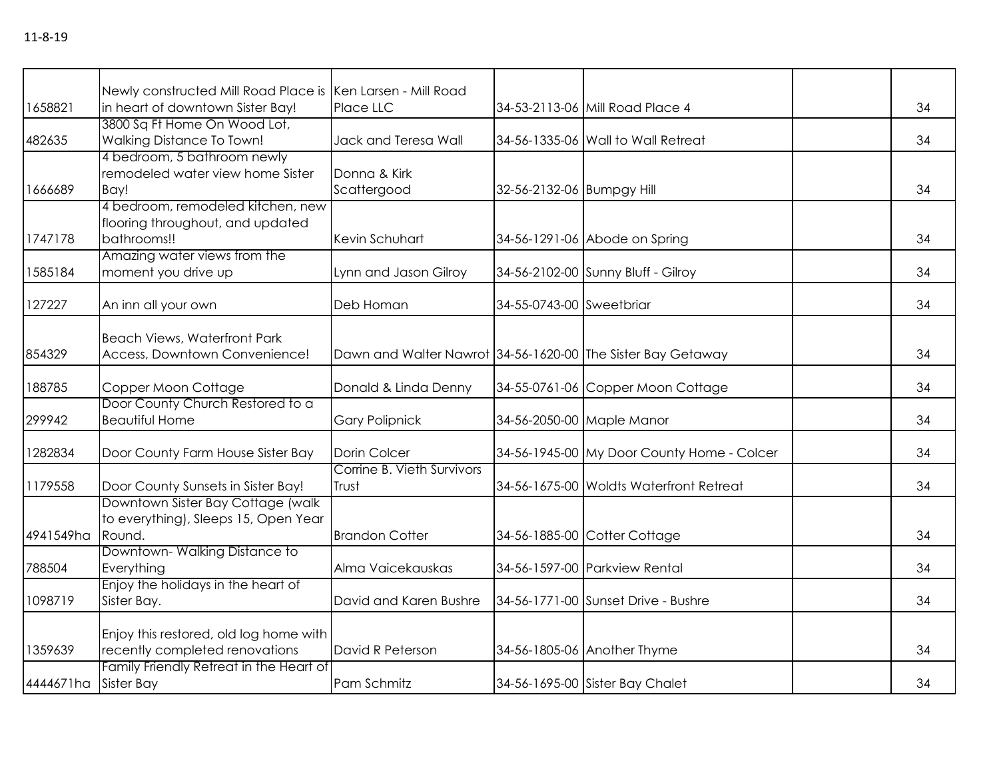|           | Newly constructed Mill Road Place is Ken Larsen - Mill Road                |                                                             |                           |                                            |    |
|-----------|----------------------------------------------------------------------------|-------------------------------------------------------------|---------------------------|--------------------------------------------|----|
| 1658821   | in heart of downtown Sister Bay!<br>3800 Sq Ft Home On Wood Lot,           | Place LLC                                                   |                           | 34-53-2113-06 Mill Road Place 4            | 34 |
| 482635    | Walking Distance To Town!                                                  | Jack and Teresa Wall                                        |                           | 34-56-1335-06 Wall to Wall Retreat         | 34 |
|           | 4 bedroom, 5 bathroom newly                                                |                                                             |                           |                                            |    |
|           | remodeled water view home Sister                                           | Donna & Kirk                                                |                           |                                            |    |
| 1666689   | Bay!                                                                       | Scattergood                                                 | 32-56-2132-06 Bumpgy Hill |                                            | 34 |
|           | 4 bedroom, remodeled kitchen, new                                          |                                                             |                           |                                            |    |
|           | flooring throughout, and updated                                           |                                                             |                           |                                            |    |
| 1747178   | bathrooms!!                                                                | Kevin Schuhart                                              |                           | 34-56-1291-06 Abode on Spring              | 34 |
|           | Amazing water views from the                                               |                                                             |                           |                                            |    |
| 1585184   | moment you drive up                                                        | Lynn and Jason Gilroy                                       |                           | 34-56-2102-00 Sunny Bluff - Gilroy         | 34 |
|           |                                                                            |                                                             |                           |                                            |    |
| 127227    | An inn all your own                                                        | Deb Homan                                                   | 34-55-0743-00 Sweetbriar  |                                            | 34 |
|           | <b>Beach Views, Waterfront Park</b>                                        |                                                             |                           |                                            |    |
| 854329    | Access, Downtown Convenience!                                              | Dawn and Walter Nawrot 34-56-1620-00 The Sister Bay Getaway |                           |                                            | 34 |
|           |                                                                            |                                                             |                           |                                            |    |
| 188785    | Copper Moon Cottage                                                        | Donald & Linda Denny                                        |                           | 34-55-0761-06 Copper Moon Cottage          | 34 |
|           | Door County Church Restored to a                                           |                                                             |                           |                                            |    |
| 299942    | <b>Beautiful Home</b>                                                      | <b>Gary Polipnick</b>                                       |                           | 34-56-2050-00 Maple Manor                  | 34 |
|           |                                                                            |                                                             |                           |                                            |    |
| 1282834   | Door County Farm House Sister Bay                                          | Dorin Colcer                                                |                           | 34-56-1945-00 My Door County Home - Colcer | 34 |
|           |                                                                            | Corrine B. Vieth Survivors                                  |                           |                                            |    |
| 1179558   | Door County Sunsets in Sister Bay!                                         | Trust                                                       |                           | 34-56-1675-00 Woldts Waterfront Retreat    | 34 |
|           | Downtown Sister Bay Cottage (walk)<br>to everything), Sleeps 15, Open Year |                                                             |                           |                                            |    |
| 4941549ha | Round.                                                                     | <b>Brandon Cotter</b>                                       |                           | 34-56-1885-00 Cotter Cottage               | 34 |
|           | Downtown-Walking Distance to                                               |                                                             |                           |                                            |    |
| 788504    | Everything                                                                 | Alma Vaicekauskas                                           |                           | 34-56-1597-00 Parkview Rental              | 34 |
|           | Enjoy the holidays in the heart of                                         |                                                             |                           |                                            |    |
| 1098719   | Sister Bay.                                                                | David and Karen Bushre                                      |                           | 34-56-1771-00 Sunset Drive - Bushre        | 34 |
|           |                                                                            |                                                             |                           |                                            |    |
|           | Enjoy this restored, old log home with                                     |                                                             |                           |                                            |    |
| 1359639   | recently completed renovations                                             | David R Peterson                                            |                           | 34-56-1805-06 Another Thyme                | 34 |
|           | Family Friendly Retreat in the Heart of                                    |                                                             |                           |                                            |    |
| 4444671ha | Sister Bay                                                                 | Pam Schmitz                                                 |                           | 34-56-1695-00 Sister Bay Chalet            | 34 |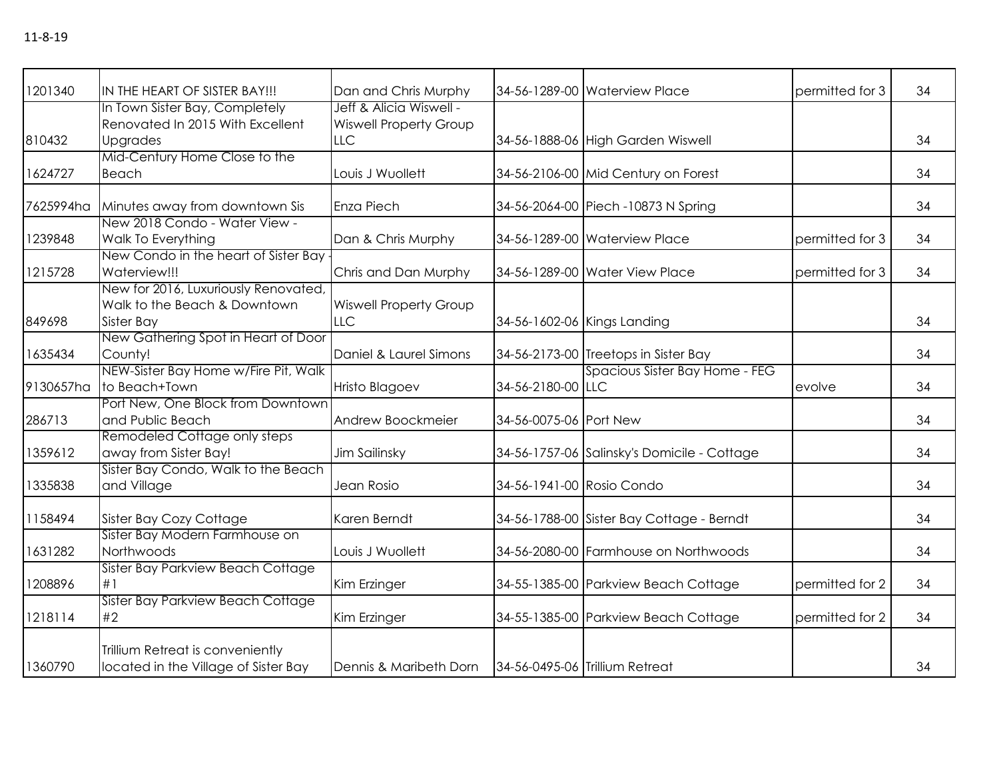| 1201340   | IN THE HEART OF SISTER BAY!!!        | Dan and Chris Murphy          |                           | 34-56-1289-00 Waterview Place               | permitted for 3 | 34 |
|-----------|--------------------------------------|-------------------------------|---------------------------|---------------------------------------------|-----------------|----|
|           | In Town Sister Bay, Completely       | Jeff & Alicia Wiswell -       |                           |                                             |                 |    |
|           | Renovated In 2015 With Excellent     | <b>Wiswell Property Group</b> |                           |                                             |                 |    |
| 810432    | <b>Upgrades</b>                      | LLC                           |                           | 34-56-1888-06 High Garden Wiswell           |                 | 34 |
|           | Mid-Century Home Close to the        |                               |                           |                                             |                 |    |
| 1624727   | Beach                                | Louis J Wuollett              |                           | 34-56-2106-00 Mid Century on Forest         |                 | 34 |
|           |                                      |                               |                           |                                             |                 |    |
| 7625994ha | Minutes away from downtown Sis       | <b>Enza Piech</b>             |                           | 34-56-2064-00 Piech -10873 N Spring         |                 | 34 |
|           | New 2018 Condo - Water View -        |                               |                           |                                             |                 |    |
| 1239848   | Walk To Everything                   | Dan & Chris Murphy            |                           | 34-56-1289-00 Waterview Place               | permitted for 3 | 34 |
|           | New Condo in the heart of Sister Bay |                               |                           |                                             |                 |    |
| 1215728   | Waterview!!!                         | Chris and Dan Murphy          |                           | 34-56-1289-00 Water View Place              | permitted for 3 | 34 |
|           | New for 2016, Luxuriously Renovated, |                               |                           |                                             |                 |    |
|           | Walk to the Beach & Downtown         | <b>Wiswell Property Group</b> |                           |                                             |                 |    |
| 849698    | Sister Bay                           | LLC                           |                           | 34-56-1602-06 Kings Landing                 |                 | 34 |
|           | New Gathering Spot in Heart of Door  |                               |                           |                                             |                 |    |
| 1635434   | County!                              | Daniel & Laurel Simons        |                           | 34-56-2173-00 Treetops in Sister Bay        |                 | 34 |
|           | NEW-Sister Bay Home w/Fire Pit, Walk |                               |                           | Spacious Sister Bay Home - FEG              |                 |    |
| 9130657ha | to Beach+Town                        | Hristo Blagoev                | 34-56-2180-00 LLC         |                                             | evolve          | 34 |
|           | Port New, One Block from Downtown    |                               |                           |                                             |                 |    |
| 286713    | and Public Beach                     | Andrew Boockmeier             | 34-56-0075-06 Port New    |                                             |                 | 34 |
|           | Remodeled Cottage only steps         |                               |                           |                                             |                 |    |
| 1359612   | away from Sister Bay!                | Jim Sailinsky                 |                           | 34-56-1757-06 Salinsky's Domicile - Cottage |                 | 34 |
|           | Sister Bay Condo, Walk to the Beach  |                               |                           |                                             |                 |    |
| 1335838   | and Village                          | Jean Rosio                    | 34-56-1941-00 Rosio Condo |                                             |                 | 34 |
|           |                                      |                               |                           |                                             |                 |    |
| 1158494   | Sister Bay Cozy Cottage              | Karen Berndt                  |                           | 34-56-1788-00 Sister Bay Cottage - Berndt   |                 | 34 |
|           | Sister Bay Modern Farmhouse on       |                               |                           |                                             |                 |    |
| 1631282   | Northwoods                           | Louis J Wuollett              |                           | 34-56-2080-00 Farmhouse on Northwoods       |                 | 34 |
|           | Sister Bay Parkview Beach Cottage    |                               |                           |                                             |                 |    |
| 1208896   | #1                                   | Kim Erzinger                  |                           | 34-55-1385-00 Parkview Beach Cottage        | permitted for 2 | 34 |
|           | Sister Bay Parkview Beach Cottage    |                               |                           |                                             |                 |    |
| 1218114   | #2                                   | Kim Erzinger                  |                           | 34-55-1385-00 Parkview Beach Cottage        | permitted for 2 | 34 |
|           |                                      |                               |                           |                                             |                 |    |
|           | Trillium Retreat is conveniently     |                               |                           |                                             |                 |    |
| 1360790   | located in the Village of Sister Bay | Dennis & Maribeth Dorn        |                           | 34-56-0495-06 Trillium Retreat              |                 | 34 |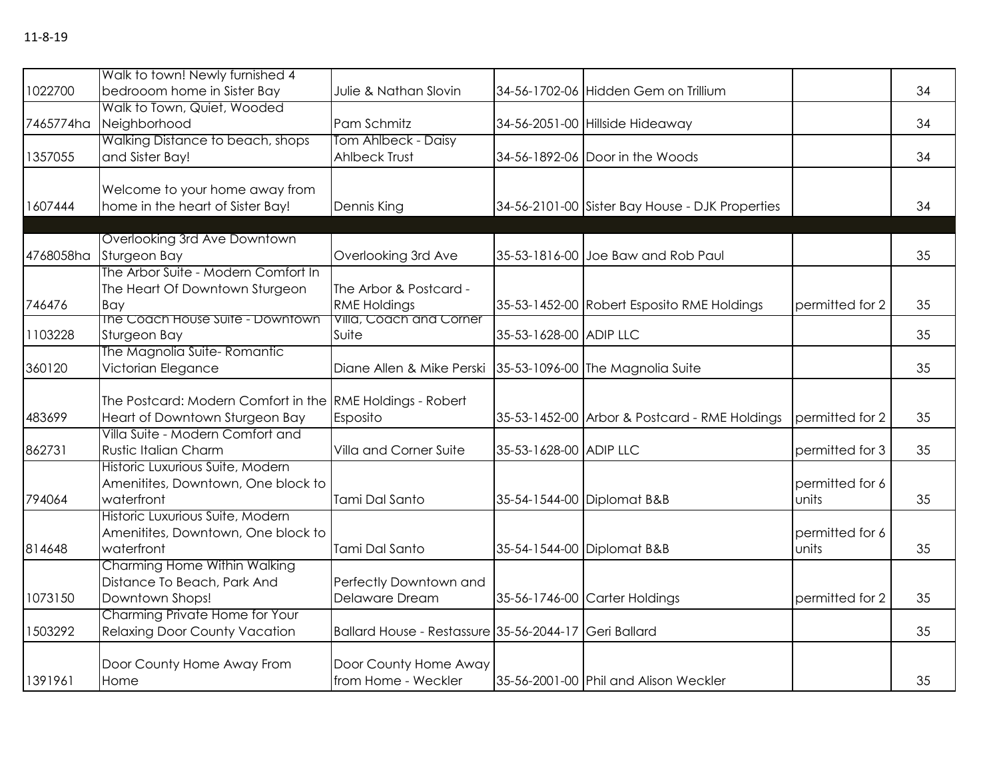|           | Walk to town! Newly furnished 4                           |                                                       |                        |                                                 |                 |    |
|-----------|-----------------------------------------------------------|-------------------------------------------------------|------------------------|-------------------------------------------------|-----------------|----|
| 1022700   | bedrooom home in Sister Bay                               | Julie & Nathan Slovin                                 |                        | 34-56-1702-06 Hidden Gem on Trillium            |                 | 34 |
| 7465774ha | Walk to Town, Quiet, Wooded<br>Neighborhood               | Pam Schmitz                                           |                        | 34-56-2051-00 Hillside Hideaway                 |                 | 34 |
|           | Walking Distance to beach, shops                          | Tom Ahlbeck - Daisy                                   |                        |                                                 |                 |    |
| 1357055   | and Sister Bay!                                           | Ahlbeck Trust                                         |                        | 34-56-1892-06 Door in the Woods                 |                 | 34 |
|           | Welcome to your home away from                            |                                                       |                        |                                                 |                 |    |
| 1607444   | home in the heart of Sister Bay!                          | Dennis King                                           |                        | 34-56-2101-00 Sister Bay House - DJK Properties |                 | 34 |
|           |                                                           |                                                       |                        |                                                 |                 |    |
|           | Overlooking 3rd Ave Downtown                              |                                                       |                        |                                                 |                 |    |
| 4768058ha | Sturgeon Bay                                              | Overlooking 3rd Ave                                   |                        | 35-53-1816-00 Joe Baw and Rob Paul              |                 | 35 |
|           | The Arbor Suite - Modern Comfort In                       |                                                       |                        |                                                 |                 |    |
|           | The Heart Of Downtown Sturgeon                            | The Arbor & Postcard -                                |                        |                                                 |                 |    |
| 746476    | Bay<br>The Coach House Suite - Downtown                   | <b>RME Holdings</b><br>Villa, Coach and Corner        |                        | 35-53-1452-00 Robert Esposito RME Holdings      | permitted for 2 | 35 |
| 1103228   | Sturgeon Bay                                              | Suite                                                 | 35-53-1628-00 ADIP LLC |                                                 |                 | 35 |
|           | The Magnolia Suite-Romantic                               |                                                       |                        |                                                 |                 |    |
| 360120    | Victorian Elegance                                        | Diane Allen & Mike Perski                             |                        | 35-53-1096-00 The Magnolia Suite                |                 | 35 |
|           |                                                           |                                                       |                        |                                                 |                 |    |
|           | The Postcard: Modern Comfort in the RME Holdings - Robert |                                                       |                        |                                                 |                 |    |
| 483699    | Heart of Downtown Sturgeon Bay                            | Esposito                                              |                        | 35-53-1452-00 Arbor & Postcard - RME Holdings   | permitted for 2 | 35 |
|           | Villa Suite - Modern Comfort and                          |                                                       |                        |                                                 |                 |    |
| 862731    | Rustic Italian Charm                                      | Villa and Corner Suite                                | 35-53-1628-00 ADIP LLC |                                                 | permitted for 3 | 35 |
|           | Historic Luxurious Suite, Modern                          |                                                       |                        |                                                 |                 |    |
|           | Amenitites, Downtown, One block to                        |                                                       |                        |                                                 | permitted for 6 |    |
| 794064    | waterfront                                                | Tami Dal Santo                                        |                        | 35-54-1544-00 Diplomat B&B                      | units           | 35 |
|           | Historic Luxurious Suite, Modern                          |                                                       |                        |                                                 |                 |    |
|           | Amenitites, Downtown, One block to                        |                                                       |                        |                                                 | permitted for 6 |    |
| 814648    | waterfront                                                | Tami Dal Santo                                        |                        | 35-54-1544-00 Diplomat B&B                      | units           | 35 |
|           | Charming Home Within Walking                              |                                                       |                        |                                                 |                 |    |
|           | Distance To Beach, Park And                               | Perfectly Downtown and                                |                        |                                                 |                 |    |
| 1073150   | Downtown Shops!                                           | Delaware Dream                                        |                        | 35-56-1746-00 Carter Holdings                   | permitted for 2 | 35 |
|           | Charming Private Home for Your                            |                                                       |                        |                                                 |                 |    |
| 1503292   | <b>Relaxing Door County Vacation</b>                      | Ballard House - Restassure 35-56-2044-17 Geri Ballard |                        |                                                 |                 | 35 |
|           |                                                           |                                                       |                        |                                                 |                 |    |
| 1391961   | Door County Home Away From<br>Home                        | Door County Home Away<br>from Home - Weckler          |                        | 35-56-2001-00 Phil and Alison Weckler           |                 | 35 |
|           |                                                           |                                                       |                        |                                                 |                 |    |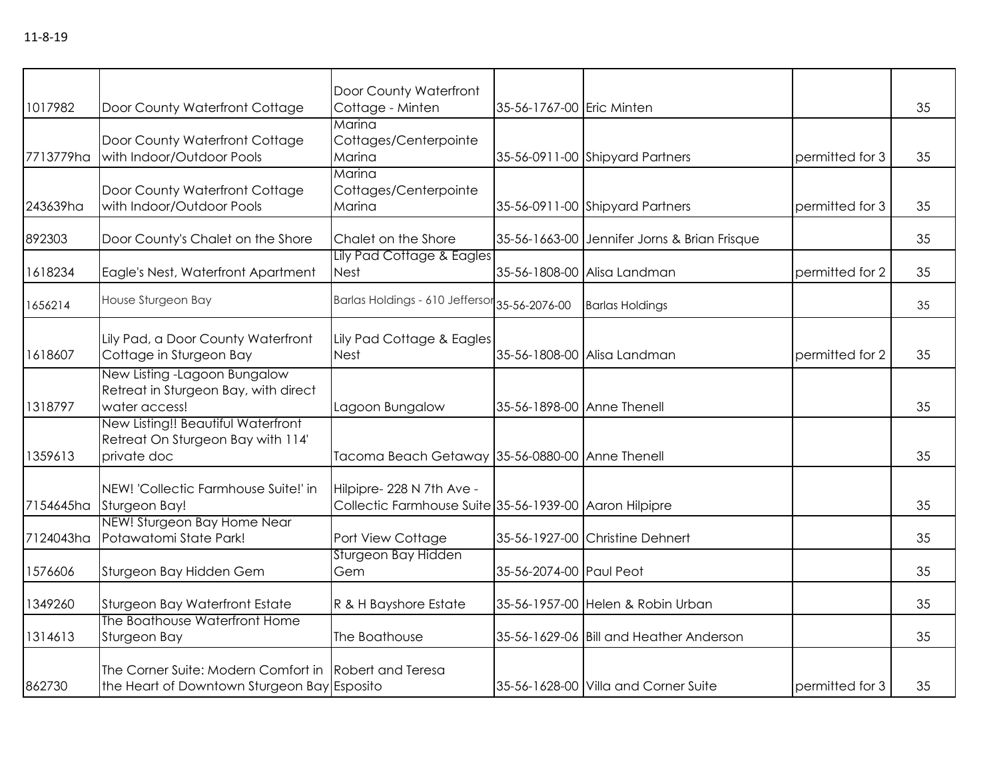| 1017982   | Door County Waterfront Cottage                                                         | Door County Waterfront<br>Cottage - Minten                                          | 35-56-1767-00 Eric Minten  |                                              |                 | 35 |
|-----------|----------------------------------------------------------------------------------------|-------------------------------------------------------------------------------------|----------------------------|----------------------------------------------|-----------------|----|
| 7713779ha | Door County Waterfront Cottage<br>with Indoor/Outdoor Pools                            | Marina<br>Cottages/Centerpointe<br>Marina                                           |                            | 35-56-0911-00 Shipyard Partners              | permitted for 3 | 35 |
| 243639ha  | Door County Waterfront Cottage<br>with Indoor/Outdoor Pools                            | Marina<br>Cottages/Centerpointe<br>Marina                                           |                            | 35-56-0911-00 Shipyard Partners              | permitted for 3 | 35 |
| 892303    | Door County's Chalet on the Shore                                                      | Chalet on the Shore                                                                 |                            | 35-56-1663-00 Jennifer Jorns & Brian Frisque |                 | 35 |
| 1618234   | Eagle's Nest, Waterfront Apartment                                                     | Lily Pad Cottage & Eagles<br><b>Nest</b>                                            |                            | 35-56-1808-00 Alisa Landman                  | permitted for 2 | 35 |
| 1656214   | House Sturgeon Bay                                                                     | Barlas Holdings - 610 Jeffersor 35-56-2076-00                                       |                            | <b>Barlas Holdings</b>                       |                 | 35 |
| 1618607   | Lily Pad, a Door County Waterfront<br>Cottage in Sturgeon Bay                          | Lily Pad Cottage & Eagles<br><b>Nest</b>                                            |                            | 35-56-1808-00 Alisa Landman                  | permitted for 2 | 35 |
| 1318797   | New Listing - Lagoon Bungalow<br>Retreat in Sturgeon Bay, with direct<br>water access! | Lagoon Bungalow                                                                     | 35-56-1898-00 Anne Thenell |                                              |                 | 35 |
| 1359613   | New Listing!! Beautiful Waterfront<br>Retreat On Sturgeon Bay with 114'<br>private doc | Tacoma Beach Getaway 35-56-0880-00 Anne Thenell                                     |                            |                                              |                 | 35 |
| 7154645ha | NEW! 'Collectic Farmhouse Suite!' in<br>Sturgeon Bay!                                  | Hilpipre- 228 N 7th Ave -<br>Collectic Farmhouse Suite 35-56-1939-00 Aaron Hilpipre |                            |                                              |                 | 35 |
| 7124043ha | NEW! Sturgeon Bay Home Near<br>Potawatomi State Park!                                  | Port View Cottage                                                                   |                            | 35-56-1927-00 Christine Dehnert              |                 | 35 |
| 1576606   | Sturgeon Bay Hidden Gem                                                                | Sturgeon Bay Hidden<br>Gem                                                          | 35-56-2074-00 Paul Peot    |                                              |                 | 35 |
| 1349260   | Sturgeon Bay Waterfront Estate                                                         | R & H Bayshore Estate                                                               |                            | 35-56-1957-00 Helen & Robin Urban            |                 | 35 |
| 1314613   | The Boathouse Waterfront Home<br>Sturgeon Bay                                          | The Boathouse                                                                       |                            | 35-56-1629-06 Bill and Heather Anderson      |                 | 35 |
|           |                                                                                        |                                                                                     |                            |                                              |                 |    |

S5-56-1628-00 Villa and Corner Suite permitted for 3 35

Robert and Teresa

862730

The Corner Suite: Modern Comfort in the Heart of Downtown Sturgeon Bay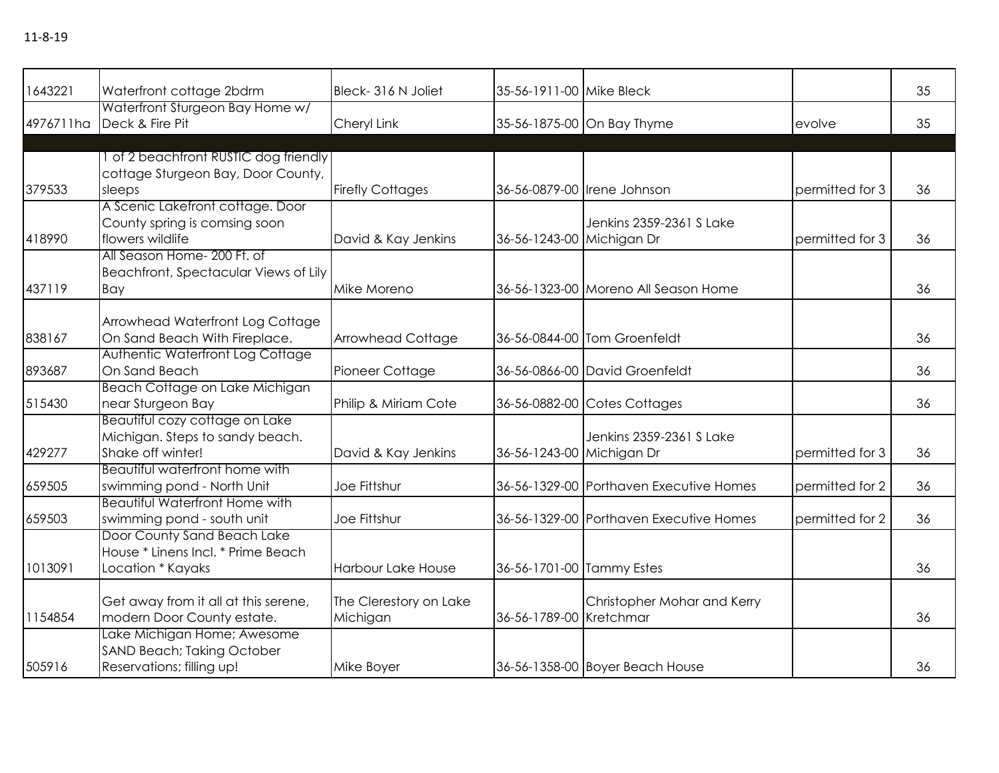| 1643221   | Waterfront cottage 2bdrm              | Bleck-316 N Joliet        | 35-56-1911-00 Mike Bleck  |                                         |                 | 35 |
|-----------|---------------------------------------|---------------------------|---------------------------|-----------------------------------------|-----------------|----|
|           | Waterfront Sturgeon Bay Home w/       |                           |                           |                                         |                 |    |
| 4976711ha | Deck & Fire Pit                       | Cheryl Link               |                           | 35-56-1875-00 On Bay Thyme              | evolve          | 35 |
|           |                                       |                           |                           |                                         |                 |    |
|           | 1 of 2 beachfront RUSTIC dog friendly |                           |                           |                                         |                 |    |
|           | cottage Sturgeon Bay, Door County,    |                           |                           |                                         |                 |    |
| 379533    | sleeps                                | <b>Firefly Cottages</b>   |                           | 36-56-0879-00 Irene Johnson             | permitted for 3 | 36 |
|           | A Scenic Lakefront cottage. Door      |                           |                           |                                         |                 |    |
|           | County spring is comsing soon         |                           |                           | Jenkins 2359-2361 S Lake                |                 |    |
| 418990    | flowers wildlife                      | David & Kay Jenkins       | 36-56-1243-00 Michigan Dr |                                         | permitted for 3 | 36 |
|           | All Season Home- 200 Ft. of           |                           |                           |                                         |                 |    |
|           | Beachfront, Spectacular Views of Lily |                           |                           |                                         |                 |    |
| 437119    | Bay                                   | Mike Moreno               |                           | 36-56-1323-00 Moreno All Season Home    |                 | 36 |
|           | Arrowhead Waterfront Log Cottage      |                           |                           |                                         |                 |    |
| 838167    | On Sand Beach With Fireplace.         | <b>Arrowhead Cottage</b>  |                           | 36-56-0844-00 Tom Groenfeldt            |                 | 36 |
|           | Authentic Waterfront Log Cottage      |                           |                           |                                         |                 |    |
| 893687    | On Sand Beach                         | Pioneer Cottage           |                           | 36-56-0866-00 David Groenfeldt          |                 | 36 |
|           | Beach Cottage on Lake Michigan        |                           |                           |                                         |                 |    |
| 515430    | near Sturgeon Bay                     | Philip & Miriam Cote      |                           | 36-56-0882-00 Cotes Cottages            |                 | 36 |
|           | Beautiful cozy cottage on Lake        |                           |                           |                                         |                 |    |
|           | Michigan. Steps to sandy beach.       |                           |                           | Jenkins 2359-2361 S Lake                |                 |    |
| 429277    | Shake off winter!                     | David & Kay Jenkins       | 36-56-1243-00 Michigan Dr |                                         | permitted for 3 | 36 |
|           | Beautiful waterfront home with        |                           |                           |                                         |                 |    |
| 659505    | swimming pond - North Unit            | Joe Fittshur              |                           | 36-56-1329-00 Porthaven Executive Homes | permitted for 2 | 36 |
|           | <b>Beautiful Waterfront Home with</b> |                           |                           |                                         |                 |    |
| 659503    | swimming pond - south unit            | Joe Fittshur              |                           | 36-56-1329-00 Porthaven Executive Homes | permitted for 2 | 36 |
|           | Door County Sand Beach Lake           |                           |                           |                                         |                 |    |
|           | House * Linens Incl. * Prime Beach    |                           |                           |                                         |                 |    |
| 1013091   | Location * Kayaks                     | <b>Harbour Lake House</b> | 36-56-1701-00 Tammy Estes |                                         |                 | 36 |
|           |                                       |                           |                           |                                         |                 |    |
|           | Get away from it all at this serene,  | The Clerestory on Lake    |                           | Christopher Mohar and Kerry             |                 |    |
| 1154854   | modern Door County estate.            | Michigan                  | 36-56-1789-00 Kretchmar   |                                         |                 | 36 |
|           | Lake Michigan Home; Awesome           |                           |                           |                                         |                 |    |
|           | <b>SAND Beach; Taking October</b>     |                           |                           |                                         |                 |    |
| 505916    | Reservations; filling up!             | Mike Boyer                |                           | 36-56-1358-00 Boyer Beach House         |                 | 36 |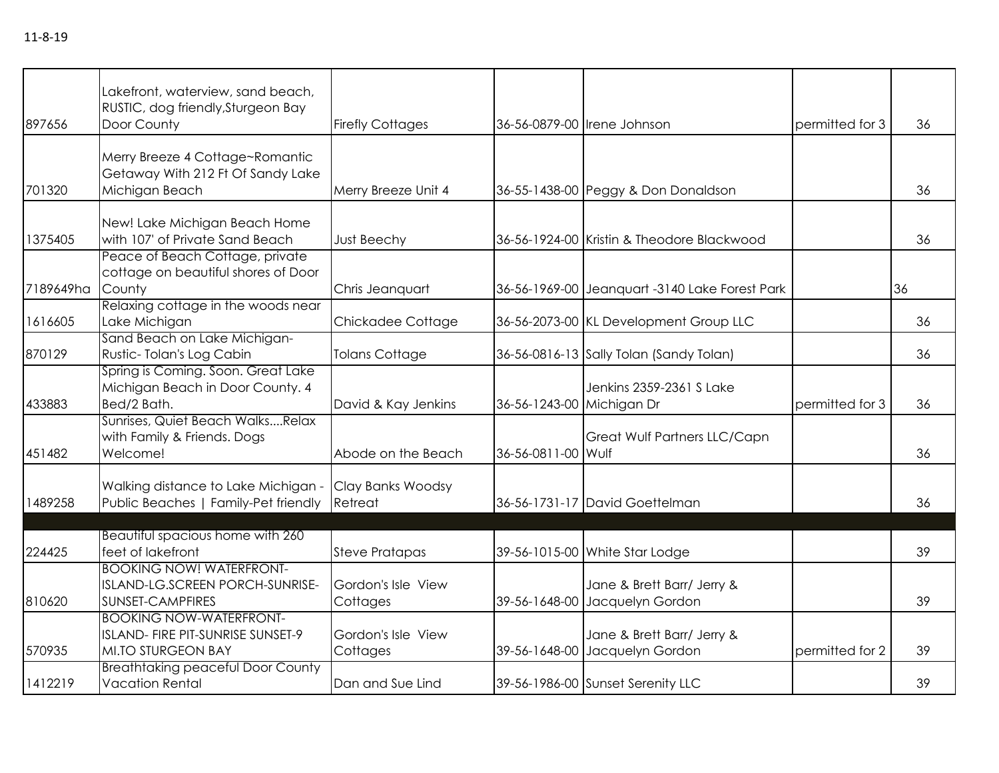| 897656    | Lakefront, waterview, sand beach,<br>RUSTIC, dog friendly, Sturgeon Bay<br>Door County    | <b>Firefly Cottages</b>        |                           | 36-56-0879-00 Irene Johnson                                  | permitted for 3 | 36 |
|-----------|-------------------------------------------------------------------------------------------|--------------------------------|---------------------------|--------------------------------------------------------------|-----------------|----|
| 701320    | Merry Breeze 4 Cottage~Romantic<br>Getaway With 212 Ft Of Sandy Lake<br>Michigan Beach    | Merry Breeze Unit 4            |                           | 36-55-1438-00 Peggy & Don Donaldson                          |                 | 36 |
| 1375405   | New! Lake Michigan Beach Home<br>with 107' of Private Sand Beach                          | <b>Just Beechy</b>             |                           | 36-56-1924-00 Kristin & Theodore Blackwood                   |                 | 36 |
| 7189649ha | Peace of Beach Cottage, private<br>cottage on beautiful shores of Door<br>County          | Chris Jeanquart                |                           | 36-56-1969-00 Jeanquart -3140 Lake Forest Park               |                 | 36 |
| 1616605   | Relaxing cottage in the woods near<br>Lake Michigan                                       | Chickadee Cottage              |                           | 36-56-2073-00 KL Development Group LLC                       |                 | 36 |
| 870129    | Sand Beach on Lake Michigan-<br>Rustic-Tolan's Log Cabin                                  | <b>Tolans Cottage</b>          |                           | 36-56-0816-13 Sally Tolan (Sandy Tolan)                      |                 | 36 |
| 433883    | Spring is Coming. Soon. Great Lake<br>Michigan Beach in Door County. 4<br>Bed/2 Bath.     | David & Kay Jenkins            | 36-56-1243-00 Michigan Dr | Jenkins 2359-2361 S Lake                                     | permitted for 3 | 36 |
| 451482    | Sunrises, Quiet Beach WalksRelax<br>with Family & Friends. Dogs<br>Welcome!               | Abode on the Beach             | 36-56-0811-00 Wulf        | Great Wulf Partners LLC/Capn                                 |                 | 36 |
| 1489258   | Walking distance to Lake Michigan -<br>Public Beaches   Family-Pet friendly               | Clay Banks Woodsy<br>Retreat   |                           | 36-56-1731-17 David Goettelman                               |                 | 36 |
| 224425    | Beautiful spacious home with 260<br>feet of lakefront                                     | <b>Steve Pratapas</b>          |                           | 39-56-1015-00 White Star Lodge                               |                 | 39 |
| 810620    | <b>BOOKING NOW! WATERFRONT-</b><br>ISLAND-LG.SCREEN PORCH-SUNRISE-<br>SUNSET-CAMPFIRES    | Gordon's Isle View<br>Cottages |                           | Jane & Brett Barr/ Jerry &<br>39-56-1648-00 Jacquelyn Gordon |                 | 39 |
| 570935    | <b>BOOKING NOW-WATERFRONT-</b><br>ISLAND- FIRE PIT-SUNRISE SUNSET-9<br>MI.TO STURGEON BAY | Gordon's Isle View<br>Cottages |                           | Jane & Brett Barr/ Jerry &<br>39-56-1648-00 Jacquelyn Gordon | permitted for 2 | 39 |
| 1412219   | <b>Breathtaking peaceful Door County</b><br><b>Vacation Rental</b>                        | Dan and Sue Lind               |                           | 39-56-1986-00 Sunset Serenity LLC                            |                 | 39 |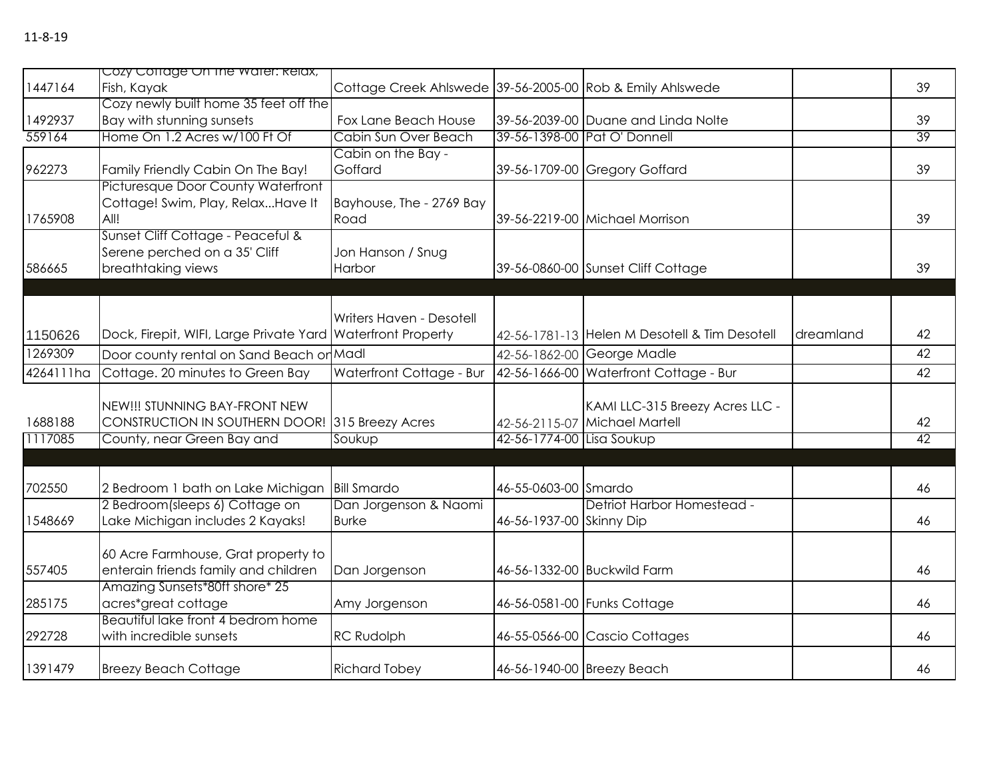|           | Cozy Coffage On the water: Relax,                           |                                                           |                            |                                               |           |    |
|-----------|-------------------------------------------------------------|-----------------------------------------------------------|----------------------------|-----------------------------------------------|-----------|----|
| 1447164   | Fish, Kayak                                                 | Cottage Creek Ahlswede 39-56-2005-00 Rob & Emily Ahlswede |                            |                                               |           | 39 |
|           | Cozy newly built home 35 feet off the                       |                                                           |                            |                                               |           |    |
| 1492937   | Bay with stunning sunsets                                   | Fox Lane Beach House                                      |                            | 39-56-2039-00 Duane and Linda Nolte           |           | 39 |
| 559164    | Home On 1.2 Acres w/100 Ft Of                               | Cabin Sun Over Beach                                      |                            | 39-56-1398-00 Pat O' Donnell                  |           | 39 |
|           |                                                             | Cabin on the Bay -                                        |                            |                                               |           |    |
| 962273    | Family Friendly Cabin On The Bay!                           | Goffard                                                   |                            | 39-56-1709-00 Gregory Goffard                 |           | 39 |
|           | Picturesque Door County Waterfront                          |                                                           |                            |                                               |           |    |
|           | Cottage! Swim, Play, RelaxHave It                           | Bayhouse, The - 2769 Bay                                  |                            |                                               |           |    |
| 1765908   | All!                                                        | Road                                                      |                            | 39-56-2219-00 Michael Morrison                |           | 39 |
|           | Sunset Cliff Cottage - Peaceful &                           |                                                           |                            |                                               |           |    |
|           | Serene perched on a 35' Cliff                               | Jon Hanson / Snug                                         |                            |                                               |           |    |
| 586665    | breathtaking views                                          | Harbor                                                    |                            | 39-56-0860-00 Sunset Cliff Cottage            |           | 39 |
|           |                                                             |                                                           |                            |                                               |           |    |
|           |                                                             |                                                           |                            |                                               |           |    |
|           |                                                             | Writers Haven - Desotell                                  |                            |                                               |           |    |
| 1150626   | Dock, Firepit, WIFI, Large Private Yard Waterfront Property |                                                           |                            | 42-56-1781-13 Helen M Desotell & Tim Desotell | dreamland | 42 |
| 1269309   | Door county rental on Sand Beach or Madl                    |                                                           |                            | 42-56-1862-00 George Madle                    |           | 42 |
| 4264111ha | Cottage. 20 minutes to Green Bay                            | Waterfront Cottage - Bur                                  |                            | 42-56-1666-00 Waterfront Cottage - Bur        |           | 42 |
|           |                                                             |                                                           |                            |                                               |           |    |
|           | NEW!!! STUNNING BAY-FRONT NEW                               |                                                           |                            | KAMI LLC-315 Breezy Acres LLC -               |           |    |
| 1688188   | CONSTRUCTION IN SOUTHERN DOOR! 315 Breezy Acres             |                                                           |                            | 42-56-2115-07 Michael Martell                 |           | 42 |
| 1117085   | County, near Green Bay and                                  | Soukup                                                    | 42-56-1774-00 Lisa Soukup  |                                               |           | 42 |
|           |                                                             |                                                           |                            |                                               |           |    |
| 702550    | 2 Bedroom 1 bath on Lake Michigan                           | <b>Bill Smardo</b>                                        | 46-55-0603-00 Smardo       |                                               |           | 46 |
|           | 2 Bedroom(sleeps 6) Cottage on                              | Dan Jorgenson & Naomi                                     |                            | Detriot Harbor Homestead -                    |           |    |
| 1548669   | Lake Michigan includes 2 Kayaks!                            | <b>Burke</b>                                              | 46-56-1937-00 Skinny Dip   |                                               |           | 46 |
|           |                                                             |                                                           |                            |                                               |           |    |
|           | 60 Acre Farmhouse, Grat property to                         |                                                           |                            |                                               |           |    |
| 557405    | enterain friends family and children                        | Dan Jorgenson                                             |                            | 46-56-1332-00 Buckwild Farm                   |           | 46 |
|           | Amazing Sunsets*80ft shore* 25                              |                                                           |                            |                                               |           |    |
| 285175    | acres*great cottage                                         | Amy Jorgenson                                             |                            | 46-56-0581-00 Funks Cottage                   |           | 46 |
|           | Beautiful lake front 4 bedrom home                          |                                                           |                            |                                               |           |    |
| 292728    | with incredible sunsets                                     | <b>RC Rudolph</b>                                         |                            | 46-55-0566-00 Cascio Cottages                 |           | 46 |
| 1391479   | <b>Breezy Beach Cottage</b>                                 | <b>Richard Tobey</b>                                      | 46-56-1940-00 Breezy Beach |                                               |           | 46 |
|           |                                                             |                                                           |                            |                                               |           |    |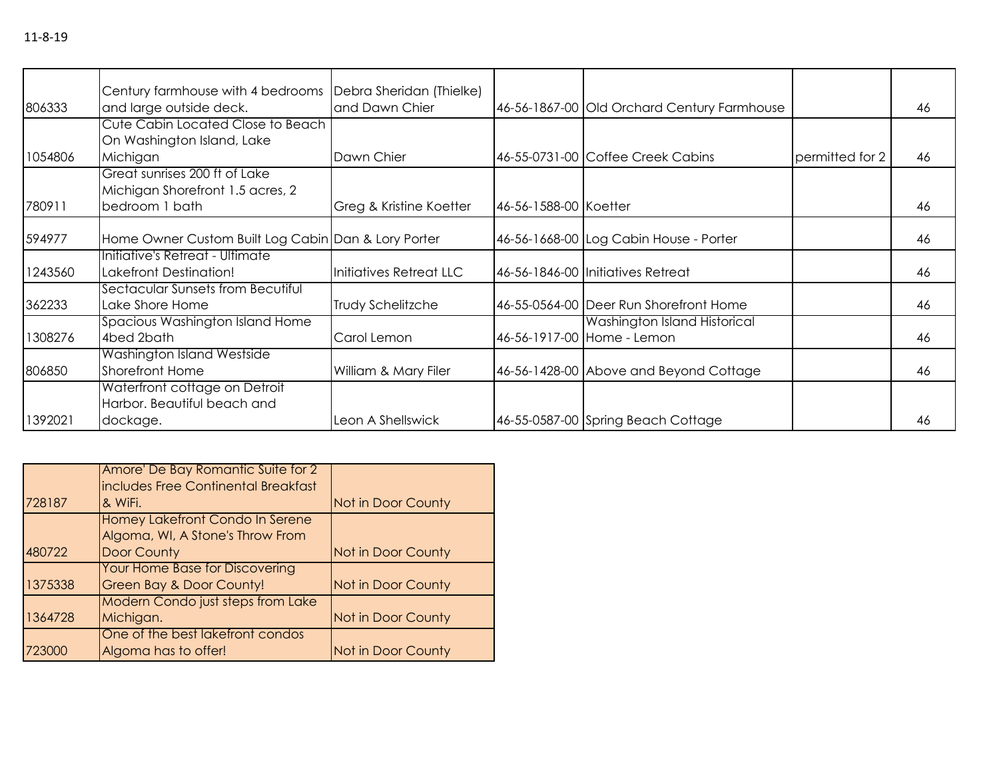|         | Century farmhouse with 4 bedrooms   Debra Sheridan (Thielke)                        |                          |                       |                                                            |                 |    |
|---------|-------------------------------------------------------------------------------------|--------------------------|-----------------------|------------------------------------------------------------|-----------------|----|
| 806333  | and large outside deck.                                                             | and Dawn Chier           |                       | 46-56-1867-00 Old Orchard Century Farmhouse                |                 | 46 |
| 1054806 | Cute Cabin Located Close to Beach<br>On Washington Island, Lake<br>Michigan         | Dawn Chier               |                       | 46-55-0731-00 Coffee Creek Cabins                          | permitted for 2 | 46 |
| 780911  | Great sunrises 200 ft of Lake<br>Michigan Shorefront 1.5 acres, 2<br>bedroom 1 bath | Greg & Kristine Koetter  | 46-56-1588-00 Koetter |                                                            |                 | 46 |
| 594977  | Home Owner Custom Built Log Cabin Dan & Lory Porter                                 |                          |                       | 46-56-1668-00 Log Cabin House - Porter                     |                 | 46 |
| 1243560 | Initiative's Retreat - Ultimate<br>Lakefront Destination!                           | Initiatives Retreat LLC  |                       | 46-56-1846-00 Initiatives Retreat                          |                 | 46 |
| 362233  | Sectacular Sunsets from Becutiful<br>Lake Shore Home                                | <b>Trudy Schelitzche</b> |                       | 46-55-0564-00 Deer Run Shorefront Home                     |                 | 46 |
| 1308276 | Spacious Washington Island Home<br>4bed 2bath                                       | Carol Lemon              |                       | Washington Island Historical<br>46-56-1917-00 Home - Lemon |                 | 46 |
| 806850  | Washington Island Westside<br><b>Shorefront Home</b>                                | William & Mary Filer     |                       | 46-56-1428-00 Above and Beyond Cottage                     |                 | 46 |
| 1392021 | Waterfront cottage on Detroit<br>Harbor. Beautiful beach and<br>dockage.            | Leon A Shellswick        |                       | 46-55-0587-00 Spring Beach Cottage                         |                 | 46 |

|         | Amore' De Bay Romantic Suite for 2<br>includes Free Continental Breakfast |                    |
|---------|---------------------------------------------------------------------------|--------------------|
| 728187  | & WiFi.                                                                   | Not in Door County |
|         | Homey Lakefront Condo In Serene<br>Algoma, WI, A Stone's Throw From       |                    |
| 480722  | Door County                                                               | Not in Door County |
| 1375338 | <b>Your Home Base for Discovering</b><br>Green Bay & Door County!         | Not in Door County |
| 1364728 | <b>Modern Condo just steps from Lake</b><br>Michigan.                     | Not in Door County |
| 723000  | One of the best lakefront condos<br>Algoma has to offer!                  | Not in Door County |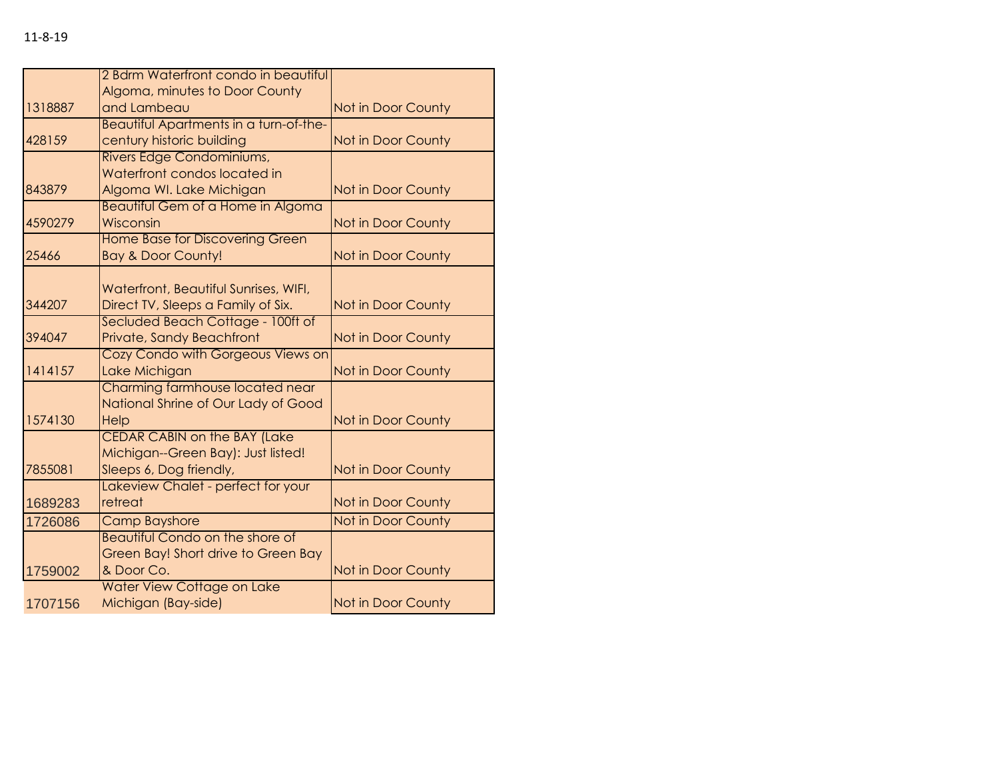|         | 2 Bdrm Waterfront condo in beautiful                          |                    |
|---------|---------------------------------------------------------------|--------------------|
|         | Algoma, minutes to Door County                                |                    |
| 1318887 | and Lambeau                                                   | Not in Door County |
|         | Beautiful Apartments in a turn-of-the-                        |                    |
| 428159  | century historic building                                     | Not in Door County |
|         | Rivers Edge Condominiums,                                     |                    |
|         | Waterfront condos located in                                  |                    |
| 843879  | Algoma WI. Lake Michigan                                      | Not in Door County |
|         | <b>Beautiful Gem of a Home in Algoma</b>                      |                    |
| 4590279 | Wisconsin                                                     | Not in Door County |
|         | <b>Home Base for Discovering Green</b>                        |                    |
| 25466   | <b>Bay &amp; Door County!</b>                                 | Not in Door County |
|         |                                                               |                    |
|         | Waterfront, Beautiful Sunrises, WIFI,                         |                    |
| 344207  | Direct TV, Sleeps a Family of Six.                            | Not in Door County |
|         | Secluded Beach Cottage - 100ft of                             |                    |
| 394047  | Private, Sandy Beachfront                                     | Not in Door County |
|         | Cozy Condo with Gorgeous Views on                             |                    |
| 1414157 | Lake Michigan                                                 | Not in Door County |
|         | Charming farmhouse located near                               |                    |
|         | National Shrine of Our Lady of Good                           |                    |
| 1574130 | Help                                                          | Not in Door County |
|         | <b>CEDAR CABIN on the BAY (Lake</b>                           |                    |
|         | Michigan--Green Bay): Just listed!                            |                    |
| 7855081 | Sleeps 6, Dog friendly,<br>Lakeview Chalet - perfect for your | Not in Door County |
| 1689283 | retreat                                                       | Not in Door County |
|         | <b>Camp Bayshore</b>                                          |                    |
| 1726086 | <b>Beautiful Condo on the shore of</b>                        | Not in Door County |
|         | Green Bay! Short drive to Green Bay                           |                    |
| 1759002 | & Door Co.                                                    | Not in Door County |
|         | Water View Cottage on Lake                                    |                    |
| 1707156 | Michigan (Bay-side)                                           | Not in Door County |
|         |                                                               |                    |